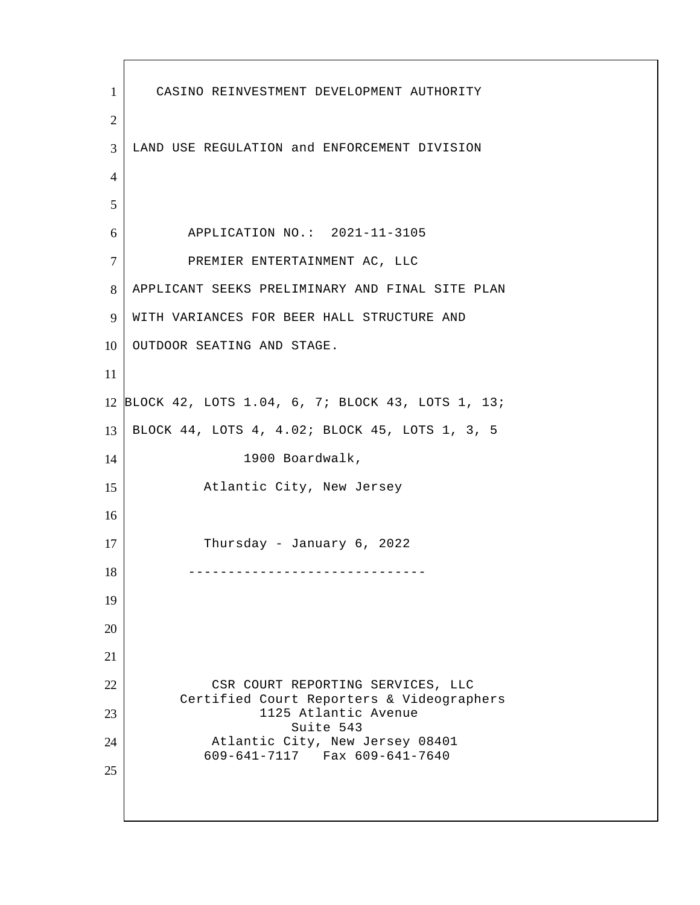CASINO REINVESTMENT DEVELOPMENT AUTHORITY LAND USE REGULATION and ENFORCEMENT DIVISION APPLICATION NO.: 2021-11-3105 7 PREMIER ENTERTAINMENT AC, LLC APPLICANT SEEKS PRELIMINARY AND FINAL SITE PLAN 9 WITH VARIANCES FOR BEER HALL STRUCTURE AND 10 OUTDOOR SEATING AND STAGE. BLOCK 42, LOTS 1.04, 6, 7; BLOCK 43, LOTS 1, 13; BLOCK 44, LOTS 4, 4.02; BLOCK 45, LOTS 1, 3, 5 14 1900 Boardwalk, 15 Atlantic City, New Jersey 17 Thursday - January 6, 2022 ------------------------------ 22 CSR COURT REPORTING SERVICES, LLC Certified Court Reporters & Videographers 1125 Atlantic Avenue Suite 543 24 Atlantic City, New Jersey 08401 609-641-7117 Fax 609-641-7640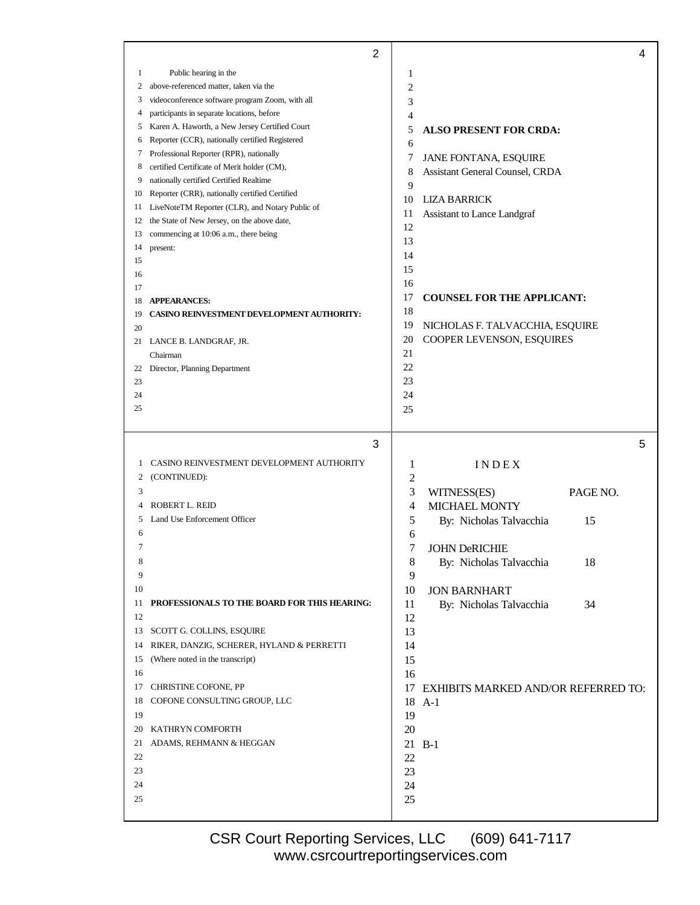|          | $\overline{2}$                                                                                    |                         |                                            | 4        |
|----------|---------------------------------------------------------------------------------------------------|-------------------------|--------------------------------------------|----------|
| 1        | Public hearing in the                                                                             | 1                       |                                            |          |
| 2        | above-referenced matter, taken via the                                                            | $\overline{c}$          |                                            |          |
| 3        | videoconference software program Zoom, with all                                                   | 3                       |                                            |          |
| 4        | participants in separate locations, before                                                        | 4                       |                                            |          |
| 5        | Karen A. Haworth, a New Jersey Certified Court                                                    | 5                       | <b>ALSO PRESENT FOR CRDA:</b>              |          |
| 6        | Reporter (CCR), nationally certified Registered                                                   | 6                       |                                            |          |
| 7        | Professional Reporter (RPR), nationally                                                           | 7                       | <b>JANE FONTANA, ESQUIRE</b>               |          |
| 8        | certified Certificate of Merit holder (CM),                                                       | 8                       | Assistant General Counsel, CRDA            |          |
| 9        | nationally certified Certified Realtime                                                           | 9                       |                                            |          |
| 10       | Reporter (CRR), nationally certified Certified<br>LiveNoteTM Reporter (CLR), and Notary Public of | 10                      | <b>LIZA BARRICK</b>                        |          |
| 11<br>12 | the State of New Jersey, on the above date,                                                       | 11                      | Assistant to Lance Landgraf                |          |
| 13       | commencing at 10:06 a.m., there being                                                             | 12                      |                                            |          |
| 14       | present:                                                                                          | 13                      |                                            |          |
| 15       |                                                                                                   | 14                      |                                            |          |
| 16       |                                                                                                   | 15                      |                                            |          |
| 17       |                                                                                                   | 16                      |                                            |          |
| 18       | <b>APPEARANCES:</b>                                                                               | 17                      | <b>COUNSEL FOR THE APPLICANT:</b>          |          |
| 19       | <b>CASINO REINVESTMENT DEVELOPMENT AUTHORITY:</b>                                                 | 18                      |                                            |          |
| 20       |                                                                                                   | 19                      | NICHOLAS F. TALVACCHIA, ESQUIRE            |          |
|          | 21 LANCE B. LANDGRAF, JR.                                                                         | 20                      | COOPER LEVENSON, ESQUIRES                  |          |
|          | Chairman                                                                                          | 21                      |                                            |          |
| 22       | Director, Planning Department                                                                     | 22                      |                                            |          |
| 23       |                                                                                                   | 23                      |                                            |          |
| 24       |                                                                                                   | 24                      |                                            |          |
| 25       |                                                                                                   | 25                      |                                            |          |
|          |                                                                                                   |                         |                                            |          |
|          | 3                                                                                                 |                         |                                            | 5        |
|          |                                                                                                   |                         |                                            |          |
|          |                                                                                                   |                         |                                            |          |
| 1        | CASINO REINVESTMENT DEVELOPMENT AUTHORITY                                                         | 1                       | INDEX                                      |          |
| 2<br>3   | (CONTINUED):                                                                                      | $\overline{\mathbf{c}}$ |                                            |          |
| 4        | <b>ROBERT L. REID</b>                                                                             | 3                       | WITNESS(ES)                                | PAGE NO. |
| 5        | Land Use Enforcement Officer                                                                      | 4                       | <b>MICHAEL MONTY</b>                       |          |
| 6        |                                                                                                   | 5                       | By: Nicholas Talvacchia                    | 15       |
| 7        |                                                                                                   | 6                       |                                            |          |
| 8        |                                                                                                   | 7                       | <b>JOHN DeRICHIE</b>                       |          |
| 9        |                                                                                                   | 8                       | By: Nicholas Talvacchia                    | 18       |
| 10       |                                                                                                   | 9                       | <b>JON BARNHART</b>                        |          |
| 11       | PROFESSIONALS TO THE BOARD FOR THIS HEARING:                                                      | 10                      |                                            | 34       |
| 12       |                                                                                                   | 11                      | By: Nicholas Talvacchia                    |          |
| 13       | SCOTT G. COLLINS, ESQUIRE                                                                         | 12                      |                                            |          |
| 14       | RIKER, DANZIG, SCHERER, HYLAND & PERRETTI                                                         | 13<br>14                |                                            |          |
| 15       | (Where noted in the transcript)                                                                   |                         |                                            |          |
| 16       |                                                                                                   | 15<br>16                |                                            |          |
| 17       | CHRISTINE COFONE, PP                                                                              | 17                      | <b>EXHIBITS MARKED AND/OR REFERRED TO:</b> |          |
| 18       | COFONE CONSULTING GROUP, LLC                                                                      | 18                      | $A-1$                                      |          |
| 19       |                                                                                                   | 19                      |                                            |          |
| 20       | KATHRYN COMFORTH                                                                                  | 20                      |                                            |          |
| 21       | ADAMS, REHMANN & HEGGAN                                                                           | 21                      | $B-1$                                      |          |
| 22       |                                                                                                   | 22                      |                                            |          |
| 23       |                                                                                                   | 23                      |                                            |          |
| 24       |                                                                                                   | 24                      |                                            |          |
| 25       |                                                                                                   | 25                      |                                            |          |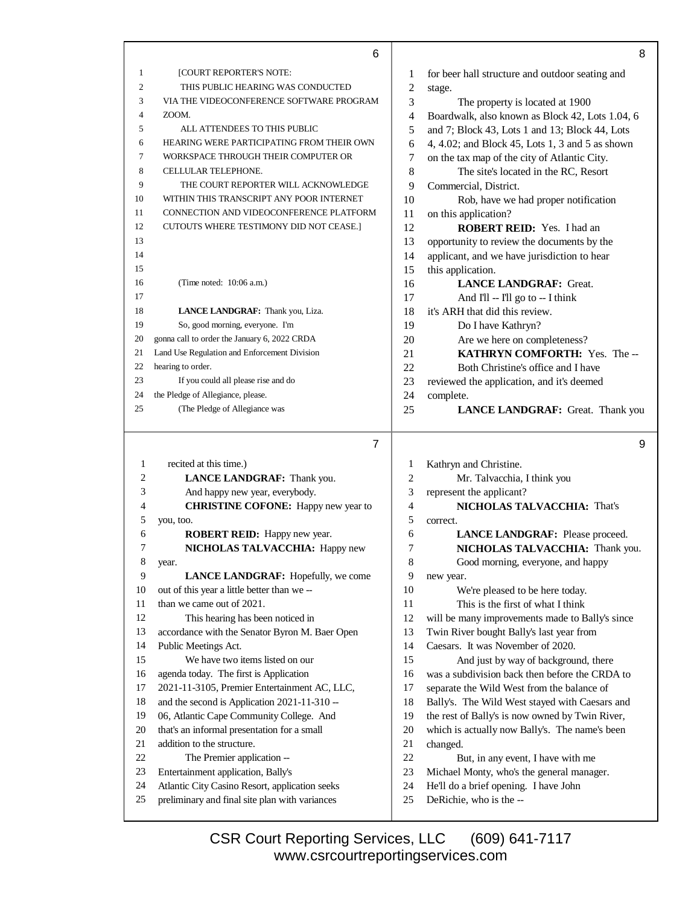|                | 6                                                                                                |                          | 8                                                                |
|----------------|--------------------------------------------------------------------------------------------------|--------------------------|------------------------------------------------------------------|
| 1              | [COURT REPORTER'S NOTE:                                                                          | 1                        | for beer hall structure and outdoor seating and                  |
| $\overline{2}$ | THIS PUBLIC HEARING WAS CONDUCTED                                                                | $\overline{c}$           | stage.                                                           |
| 3              | VIA THE VIDEOCONFERENCE SOFTWARE PROGRAM                                                         | 3                        | The property is located at 1900                                  |
| 4              | ZOOM.                                                                                            | 4                        | Boardwalk, also known as Block 42, Lots 1.04, 6                  |
| 5              | ALL ATTENDEES TO THIS PUBLIC                                                                     | 5                        | and 7; Block 43, Lots 1 and 13; Block 44, Lots                   |
| 6              | HEARING WERE PARTICIPATING FROM THEIR OWN                                                        | 6                        | 4, 4.02; and Block 45, Lots 1, 3 and 5 as shown                  |
| 7              | WORKSPACE THROUGH THEIR COMPUTER OR                                                              | 7                        | on the tax map of the city of Atlantic City.                     |
| 8              | CELLULAR TELEPHONE.                                                                              | 8                        | The site's located in the RC, Resort                             |
| 9              | THE COURT REPORTER WILL ACKNOWLEDGE                                                              | 9                        | Commercial, District.                                            |
| 10             | WITHIN THIS TRANSCRIPT ANY POOR INTERNET                                                         | 10                       | Rob, have we had proper notification                             |
| 11             | CONNECTION AND VIDEOCONFERENCE PLATFORM                                                          | 11                       | on this application?                                             |
| 12             | CUTOUTS WHERE TESTIMONY DID NOT CEASE.]                                                          | 12                       | ROBERT REID: Yes. I had an                                       |
| 13             |                                                                                                  | 13                       | opportunity to review the documents by the                       |
| 14             |                                                                                                  | 14                       | applicant, and we have jurisdiction to hear                      |
| 15             |                                                                                                  | 15                       | this application.                                                |
| 16             | (Time noted: 10:06 a.m.)                                                                         | 16                       | <b>LANCE LANDGRAF: Great.</b>                                    |
| 17             |                                                                                                  | 17                       | And I'll -- I'll go to -- I think                                |
| 18             | <b>LANCE LANDGRAF:</b> Thank you, Liza.                                                          | 18                       | it's ARH that did this review.                                   |
| 19             | So, good morning, everyone. I'm                                                                  | 19                       | Do I have Kathryn?                                               |
| 20             | gonna call to order the January 6, 2022 CRDA                                                     | 20                       | Are we here on completeness?                                     |
| 21             | Land Use Regulation and Enforcement Division                                                     | 21                       | KATHRYN COMFORTH: Yes. The --                                    |
| 22             | hearing to order.                                                                                | 22                       | Both Christine's office and I have                               |
| 23             | If you could all please rise and do                                                              | 23                       | reviewed the application, and it's deemed                        |
| 24<br>25       | the Pledge of Allegiance, please.                                                                | 24                       | complete.                                                        |
|                | (The Pledge of Allegiance was                                                                    | 25                       | LANCE LANDGRAF: Great. Thank you                                 |
|                |                                                                                                  |                          |                                                                  |
|                | $\overline{7}$                                                                                   |                          | 9                                                                |
| 1              |                                                                                                  |                          |                                                                  |
| 2              | recited at this time.)                                                                           | 1<br>$\overline{c}$      | Kathryn and Christine.                                           |
| 3              | LANCE LANDGRAF: Thank you.<br>And happy new year, everybody.                                     | 3                        | Mr. Talvacchia, I think you                                      |
| 4              |                                                                                                  | $\overline{\mathcal{L}}$ | represent the applicant?<br>NICHOLAS TALVACCHIA: That's          |
| 5              | <b>CHRISTINE COFONE:</b> Happy new year to<br>you, too.                                          | 5                        | correct.                                                         |
| 6              | ROBERT REID: Happy new year.                                                                     | 6                        | LANCE LANDGRAF: Please proceed.                                  |
| 7              | NICHOLAS TALVACCHIA: Happy new                                                                   | 7                        | NICHOLAS TALVACCHIA: Thank you.                                  |
| 8              | year.                                                                                            | $\,8\,$                  | Good morning, everyone, and happy                                |
| 9              | LANCE LANDGRAF: Hopefully, we come                                                               | 9                        | new year.                                                        |
| 10             | out of this year a little better than we --                                                      | 10                       | We're pleased to be here today.                                  |
| 11             | than we came out of 2021.                                                                        | 11                       | This is the first of what I think                                |
| 12             | This hearing has been noticed in                                                                 | 12                       | will be many improvements made to Bally's since                  |
| 13             | accordance with the Senator Byron M. Baer Open                                                   | 13                       | Twin River bought Bally's last year from                         |
| 14             | Public Meetings Act.                                                                             | 14                       | Caesars. It was November of 2020.                                |
| 15             | We have two items listed on our                                                                  | 15                       | And just by way of background, there                             |
| 16             | agenda today. The first is Application                                                           | 16                       | was a subdivision back then before the CRDA to                   |
| 17             | 2021-11-3105, Premier Entertainment AC, LLC,                                                     | 17                       | separate the Wild West from the balance of                       |
| 18             | and the second is Application 2021-11-310 --                                                     | 18                       | Bally's. The Wild West stayed with Caesars and                   |
| 19             | 06, Atlantic Cape Community College. And                                                         | 19                       | the rest of Bally's is now owned by Twin River,                  |
| 20             | that's an informal presentation for a small                                                      | 20                       | which is actually now Bally's. The name's been                   |
| 21             | addition to the structure.                                                                       | 21                       | changed.                                                         |
| $22\,$         | The Premier application --                                                                       | $22\,$                   | But, in any event, I have with me                                |
| 23             | Entertainment application, Bally's                                                               | 23                       | Michael Monty, who's the general manager.                        |
| 24<br>25       | Atlantic City Casino Resort, application seeks<br>preliminary and final site plan with variances | 24<br>25                 | He'll do a brief opening. I have John<br>DeRichie, who is the -- |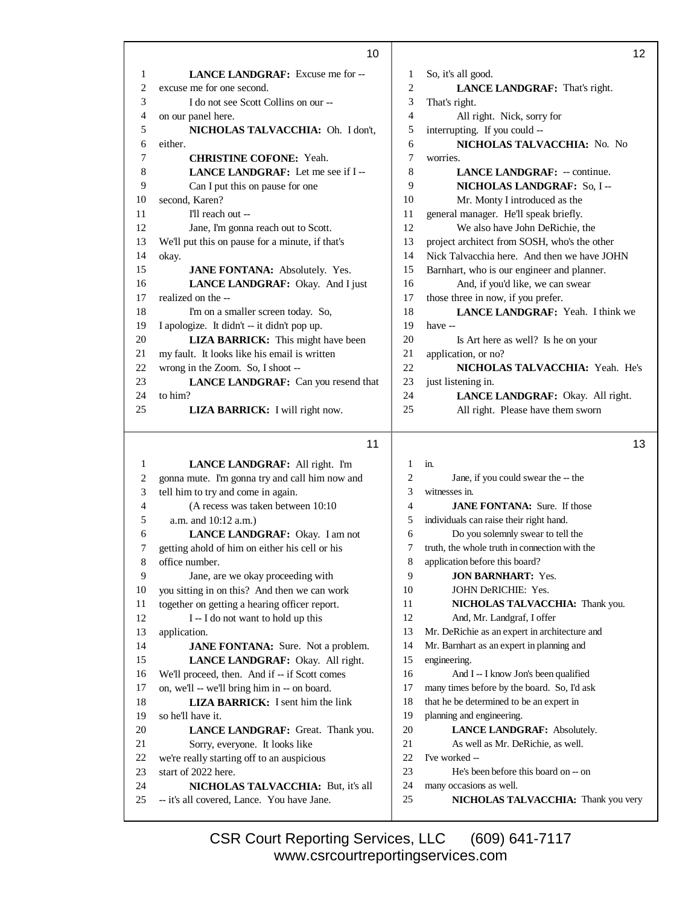|                | 10                                                                               |                | 12                                                             |
|----------------|----------------------------------------------------------------------------------|----------------|----------------------------------------------------------------|
| 1              | <b>LANCE LANDGRAF:</b> Excuse me for --                                          | 1              | So, it's all good.                                             |
| 2              | excuse me for one second.                                                        | $\mathbf{2}$   | LANCE LANDGRAF: That's right.                                  |
| 3              | I do not see Scott Collins on our --                                             | 3              | That's right.                                                  |
| 4              | on our panel here.                                                               | $\overline{4}$ | All right. Nick, sorry for                                     |
| 5              | NICHOLAS TALVACCHIA: Oh. I don't,                                                | 5              | interrupting. If you could --                                  |
| 6              | either.                                                                          | 6              | NICHOLAS TALVACCHIA: No. No                                    |
| 7              | <b>CHRISTINE COFONE: Yeah.</b>                                                   | 7              | worries.                                                       |
| 8              | LANCE LANDGRAF: Let me see if I-                                                 | 8              | <b>LANCE LANDGRAF:</b> -- continue.                            |
| 9              | Can I put this on pause for one                                                  | 9              | NICHOLAS LANDGRAF: So, I --                                    |
| 10             | second, Karen?                                                                   | 10             | Mr. Monty I introduced as the                                  |
| 11             | I'll reach out --                                                                | 11             | general manager. He'll speak briefly.                          |
| 12             | Jane, I'm gonna reach out to Scott.                                              | 12             | We also have John DeRichie, the                                |
| 13             | We'll put this on pause for a minute, if that's                                  | 13             | project architect from SOSH, who's the other                   |
| 14             | okay.                                                                            | 14             | Nick Talvacchia here. And then we have JOHN                    |
| 15             | JANE FONTANA: Absolutely. Yes.                                                   | 15             | Barnhart, who is our engineer and planner.                     |
| 16             | LANCE LANDGRAF: Okay. And I just                                                 | 16             | And, if you'd like, we can swear                               |
| 17             | realized on the --                                                               | 17             | those three in now, if you prefer.                             |
| 18             | I'm on a smaller screen today. So,                                               | 18             | <b>LANCE LANDGRAF:</b> Yeah. I think we                        |
| 19             | I apologize. It didn't -- it didn't pop up.                                      | 19             | have --                                                        |
| 20             | <b>LIZA BARRICK:</b> This might have been                                        | 20             | Is Art here as well? Is he on your                             |
| 21             | my fault. It looks like his email is written                                     | 21             | application, or no?                                            |
| 22             | wrong in the Zoom. So, I shoot --                                                | 22             | NICHOLAS TALVACCHIA: Yeah. He's                                |
| 23             | LANCE LANDGRAF: Can you resend that                                              | 23             | just listening in.                                             |
| 24             | to him?                                                                          | 24             | LANCE LANDGRAF: Okay. All right.                               |
| 25             | LIZA BARRICK: I will right now.                                                  | 25             | All right. Please have them sworn                              |
|                |                                                                                  |                |                                                                |
|                | 11                                                                               |                | 13                                                             |
| $\mathbf{1}$   |                                                                                  |                |                                                                |
|                |                                                                                  |                |                                                                |
|                | LANCE LANDGRAF: All right. I'm                                                   | $\mathbf{1}$   | in.                                                            |
| 2              | gonna mute. I'm gonna try and call him now and                                   | $\mathbf{2}$   | Jane, if you could swear the -- the                            |
| 3              | tell him to try and come in again.                                               | 3              | witnesses in.                                                  |
| $\overline{4}$ | (A recess was taken between 10:10                                                | $\overline{4}$ | <b>JANE FONTANA:</b> Sure. If those                            |
| 5              | a.m. and 10:12 a.m.)                                                             | 5              | individuals can raise their right hand.                        |
| 6              | LANCE LANDGRAF: Okay. I am not                                                   | 6              | Do you solemnly swear to tell the                              |
| 7              | getting ahold of him on either his cell or his                                   | 7              | truth, the whole truth in connection with the                  |
| 8              | office number.                                                                   | 8              | application before this board?                                 |
| 9              | Jane, are we okay proceeding with                                                | 9              | <b>JON BARNHART: Yes.</b>                                      |
| 10             | you sitting in on this? And then we can work                                     | 10             | JOHN DeRICHIE: Yes.                                            |
| 11             | together on getting a hearing officer report.                                    | 11             | NICHOLAS TALVACCHIA: Thank you.                                |
| 12             | I -- I do not want to hold up this                                               | 12             | And, Mr. Landgraf, I offer                                     |
| 13             | application.                                                                     | 13             | Mr. DeRichie as an expert in architecture and                  |
| 14             | <b>JANE FONTANA:</b> Sure. Not a problem.                                        | 14             | Mr. Barnhart as an expert in planning and                      |
| 15             | LANCE LANDGRAF: Okay. All right.                                                 | 15             | engineering.                                                   |
| 16             | We'll proceed, then. And if -- if Scott comes                                    | 16             | And I -- I know Jon's been qualified                           |
| 17             | on, we'll -- we'll bring him in -- on board.                                     | 17             | many times before by the board. So, I'd ask                    |
| 18             | <b>LIZA BARRICK:</b> I sent him the link                                         | 18             | that he be determined to be an expert in                       |
| 19             | so he'll have it.                                                                | 19             | planning and engineering.                                      |
| 20             | LANCE LANDGRAF: Great. Thank you.                                                | 20             | LANCE LANDGRAF: Absolutely.                                    |
| 21             | Sorry, everyone. It looks like                                                   | 21             | As well as Mr. DeRichie, as well.                              |
| 22             | we're really starting off to an auspicious                                       | 22             | I've worked --                                                 |
| 23             | start of 2022 here.                                                              | 23             | He's been before this board on -- on                           |
| 24<br>25       | NICHOLAS TALVACCHIA: But, it's all<br>-- it's all covered, Lance. You have Jane. | 24<br>25       | many occasions as well.<br>NICHOLAS TALVACCHIA: Thank you very |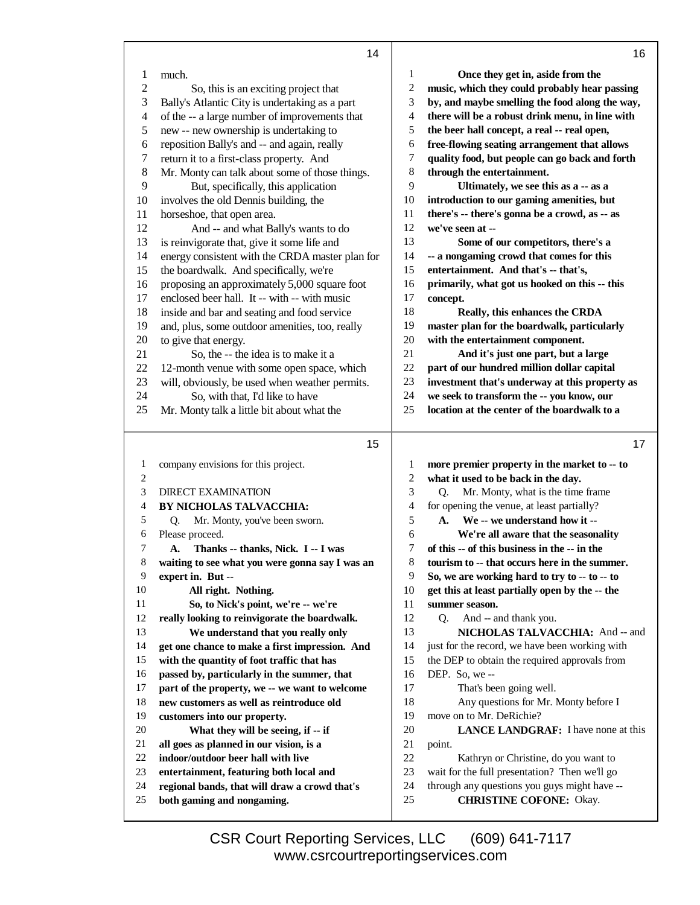|                | 14                                              |          | 16                                                                                        |
|----------------|-------------------------------------------------|----------|-------------------------------------------------------------------------------------------|
| 1              | much.                                           | 1        | Once they get in, aside from the                                                          |
| $\mathfrak{2}$ | So, this is an exciting project that            | 2        | music, which they could probably hear passing                                             |
| 3              | Bally's Atlantic City is undertaking as a part  | 3        | by, and maybe smelling the food along the way,                                            |
| 4              | of the -- a large number of improvements that   | 4        | there will be a robust drink menu, in line with                                           |
| 5              | new -- new ownership is undertaking to          | 5        | the beer hall concept, a real -- real open,                                               |
| $\epsilon$     | reposition Bally's and -- and again, really     | 6        | free-flowing seating arrangement that allows                                              |
| 7              | return it to a first-class property. And        | 7        | quality food, but people can go back and forth                                            |
| $8\,$          | Mr. Monty can talk about some of those things.  | 8        | through the entertainment.                                                                |
| 9              | But, specifically, this application             | 9        | Ultimately, we see this as a -- as a                                                      |
| 10             | involves the old Dennis building, the           | 10       | introduction to our gaming amenities, but                                                 |
| 11             |                                                 | 11       | there's -- there's gonna be a crowd, as -- as                                             |
| 12             | horseshoe, that open area.                      | 12       | we've seen at --                                                                          |
|                | And -- and what Bally's wants to do             | 13       |                                                                                           |
| 13             | is reinvigorate that, give it some life and     | 14       | Some of our competitors, there's a                                                        |
| 14             | energy consistent with the CRDA master plan for | 15       | -- a nongaming crowd that comes for this<br>entertainment. And that's -- that's,          |
| 15             | the boardwalk. And specifically, we're          |          |                                                                                           |
| 16             | proposing an approximately 5,000 square foot    | 16<br>17 | primarily, what got us hooked on this -- this                                             |
| 17             | enclosed beer hall. It -- with -- with music    |          | concept.                                                                                  |
| 18             | inside and bar and seating and food service     | 18       | Really, this enhances the CRDA                                                            |
| 19             | and, plus, some outdoor amenities, too, really  | 19       | master plan for the boardwalk, particularly                                               |
| 20             | to give that energy.                            | 20       | with the entertainment component.                                                         |
| 21             | So, the -- the idea is to make it a             | 21       | And it's just one part, but a large                                                       |
| 22             | 12-month venue with some open space, which      | 22       | part of our hundred million dollar capital                                                |
| 23             | will, obviously, be used when weather permits.  | 23       | investment that's underway at this property as                                            |
| 24             | So, with that, I'd like to have                 | 24<br>25 | we seek to transform the -- you know, our<br>location at the center of the boardwalk to a |
| 25             | Mr. Monty talk a little bit about what the      |          |                                                                                           |
|                |                                                 |          |                                                                                           |
|                | 15                                              |          | 17                                                                                        |
| 1              | company envisions for this project.             | 1        | more premier property in the market to -- to                                              |
| 2              |                                                 |          |                                                                                           |
|                |                                                 | 2        | what it used to be back in the day.                                                       |
| 3              | <b>DIRECT EXAMINATION</b>                       | 3        | Mr. Monty, what is the time frame<br>Q.                                                   |
| 4              | BY NICHOLAS TALVACCHIA:                         | 4        | for opening the venue, at least partially?                                                |
| 5              | Mr. Monty, you've been sworn.<br>Q.             | 5        | We -- we understand how it --<br>A.                                                       |
| 6              | Please proceed.                                 | 6        | We're all aware that the seasonality                                                      |
| 7              | Thanks -- thanks, Nick. I -- I was<br>А.        | 7        | of this -- of this business in the -- in the                                              |
| 8              | waiting to see what you were gonna say I was an | 8        | tourism to -- that occurs here in the summer.                                             |
| 9              | expert in. But --                               | 9        | So, we are working hard to try to -- to -- to                                             |
| 10             | All right. Nothing.                             | 10       | get this at least partially open by the -- the                                            |
| 11             | So, to Nick's point, we're -- we're             | 11       | summer season.                                                                            |
| 12             | really looking to reinvigorate the boardwalk.   | 12       | And -- and thank you.<br>Q.                                                               |
| 13             | We understand that you really only              | 13       | NICHOLAS TALVACCHIA: And -- and                                                           |
| 14             | get one chance to make a first impression. And  | 14       | just for the record, we have been working with                                            |
| 15             | with the quantity of foot traffic that has      | 15       | the DEP to obtain the required approvals from                                             |
| 16             | passed by, particularly in the summer, that     | 16       | DEP. So, we-                                                                              |
| 17             | part of the property, we -- we want to welcome  | 17       | That's been going well.                                                                   |
| 18             | new customers as well as reintroduce old        | 18       | Any questions for Mr. Monty before I                                                      |
| 19             | customers into our property.                    | 19       | move on to Mr. DeRichie?                                                                  |
| 20             | What they will be seeing, if -- if              | 20       | <b>LANCE LANDGRAF:</b> I have none at this                                                |
| 21             | all goes as planned in our vision, is a         | 21       | point.                                                                                    |
| 22             | indoor/outdoor beer hall with live              | 22       | Kathryn or Christine, do you want to                                                      |
| 23             | entertainment, featuring both local and         | 23       | wait for the full presentation? Then we'll go                                             |
| 24             | regional bands, that will draw a crowd that's   | 24       | through any questions you guys might have --                                              |
| 25             | both gaming and nongaming.                      | 25       | <b>CHRISTINE COFONE: Okay.</b>                                                            |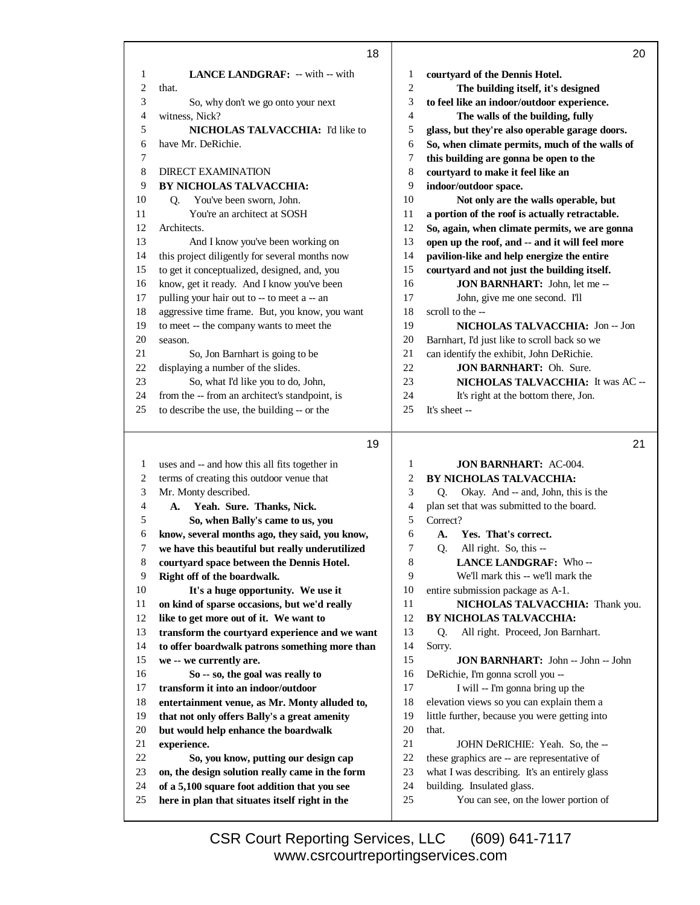|              | 18                                                                                             |                              | 20                                                                 |
|--------------|------------------------------------------------------------------------------------------------|------------------------------|--------------------------------------------------------------------|
| 1            | <b>LANCE LANDGRAF:</b> -- with -- with                                                         | 1                            | courtyard of the Dennis Hotel.                                     |
| 2            | that.                                                                                          | $\overline{c}$               | The building itself, it's designed                                 |
| 3            | So, why don't we go onto your next                                                             | 3                            | to feel like an indoor/outdoor experience.                         |
| 4            | witness, Nick?                                                                                 | 4                            | The walls of the building, fully                                   |
| 5            | NICHOLAS TALVACCHIA: I'd like to                                                               | 5                            | glass, but they're also operable garage doors.                     |
| 6            | have Mr. DeRichie.                                                                             | 6                            | So, when climate permits, much of the walls of                     |
| 7            |                                                                                                | 7                            | this building are gonna be open to the                             |
| 8            | <b>DIRECT EXAMINATION</b>                                                                      | 8                            | courtyard to make it feel like an                                  |
| 9            | BY NICHOLAS TALVACCHIA:                                                                        | 9                            | indoor/outdoor space.                                              |
| 10           | You've been sworn, John.<br>Q.                                                                 | $10\,$                       | Not only are the walls operable, but                               |
| 11           | You're an architect at SOSH                                                                    | 11                           | a portion of the roof is actually retractable.                     |
| 12           | Architects.                                                                                    | 12                           | So, again, when climate permits, we are gonna                      |
| 13           | And I know you've been working on                                                              | 13                           | open up the roof, and -- and it will feel more                     |
| 14           | this project diligently for several months now                                                 | 14                           | pavilion-like and help energize the entire                         |
| 15           | to get it conceptualized, designed, and, you                                                   | 15                           | courtyard and not just the building itself.                        |
| 16           | know, get it ready. And I know you've been                                                     | 16                           | JON BARNHART: John, let me --                                      |
| 17           | pulling your hair out to -- to meet a -- an                                                    | 17                           | John, give me one second. I'll                                     |
| 18           | aggressive time frame. But, you know, you want                                                 | 18                           | scroll to the --                                                   |
| 19           | to meet -- the company wants to meet the                                                       | 19                           | NICHOLAS TALVACCHIA: Jon -- Jon                                    |
| 20           | season.                                                                                        | 20                           | Barnhart, I'd just like to scroll back so we                       |
| 21           | So, Jon Barnhart is going to be                                                                | 21                           | can identify the exhibit, John DeRichie.                           |
| 22           | displaying a number of the slides.                                                             | 22                           | <b>JON BARNHART:</b> Oh. Sure.                                     |
| 23<br>24     | So, what I'd like you to do, John,<br>from the -- from an architect's standpoint, is           | 23<br>24                     | NICHOLAS TALVACCHIA: It was AC --                                  |
| 25           | to describe the use, the building -- or the                                                    | 25                           | It's right at the bottom there, Jon.<br>It's sheet --              |
|              |                                                                                                |                              |                                                                    |
|              |                                                                                                |                              |                                                                    |
|              | 19                                                                                             |                              | 21                                                                 |
|              |                                                                                                |                              |                                                                    |
| $\mathbf{1}$ | uses and -- and how this all fits together in                                                  | 1                            | <b>JON BARNHART: AC-004.</b>                                       |
| $\sqrt{2}$   | terms of creating this outdoor venue that                                                      | $\overline{\mathbf{c}}$<br>3 | <b>BY NICHOLAS TALVACCHIA:</b>                                     |
| 3            | Mr. Monty described.                                                                           | 4                            | Okay. And -- and, John, this is the<br>O.                          |
| 4<br>5       | Yeah. Sure. Thanks, Nick.<br><b>A.</b>                                                         | 5                            | plan set that was submitted to the board.<br>Correct?              |
| 6            | So, when Bally's came to us, you<br>know, several months ago, they said, you know,             | 6                            | A.<br>Yes. That's correct.                                         |
| 7            | we have this beautiful but really underutilized                                                | $\tau$                       | All right. So, this --                                             |
| 8            | courtyard space between the Dennis Hotel.                                                      | 8                            | Q.<br><b>LANCE LANDGRAF: Who--</b>                                 |
| 9            | Right off of the boardwalk.                                                                    | 9                            | We'll mark this -- we'll mark the                                  |
| 10           | It's a huge opportunity. We use it                                                             | 10                           | entire submission package as A-1.                                  |
| 11           | on kind of sparse occasions, but we'd really                                                   | 11                           | NICHOLAS TALVACCHIA: Thank you.                                    |
| 12           | like to get more out of it. We want to                                                         | 12                           | BY NICHOLAS TALVACCHIA:                                            |
| 13           | transform the courtyard experience and we want                                                 | 13                           | All right. Proceed, Jon Barnhart.<br>Q.                            |
| 14           | to offer boardwalk patrons something more than                                                 | 14                           | Sorry.                                                             |
| 15           | we -- we currently are.                                                                        | 15                           | JON BARNHART: John -- John -- John                                 |
| 16           | So -- so, the goal was really to                                                               | 16                           | DeRichie, I'm gonna scroll you --                                  |
| 17           | transform it into an indoor/outdoor                                                            | 17                           | I will -- I'm gonna bring up the                                   |
| 18           | entertainment venue, as Mr. Monty alluded to,                                                  | 18                           | elevation views so you can explain them a                          |
| 19           | that not only offers Bally's a great amenity                                                   | 19                           | little further, because you were getting into                      |
| 20           | but would help enhance the boardwalk                                                           | 20                           | that.                                                              |
| 21           | experience.                                                                                    | 21                           | JOHN DeRICHIE: Yeah. So, the --                                    |
| 22           | So, you know, putting our design cap                                                           | $22\,$                       | these graphics are -- are representative of                        |
| 23           | on, the design solution really came in the form                                                | 23                           | what I was describing. It's an entirely glass                      |
| 24<br>25     | of a 5,100 square foot addition that you see<br>here in plan that situates itself right in the | 24<br>25                     | building. Insulated glass.<br>You can see, on the lower portion of |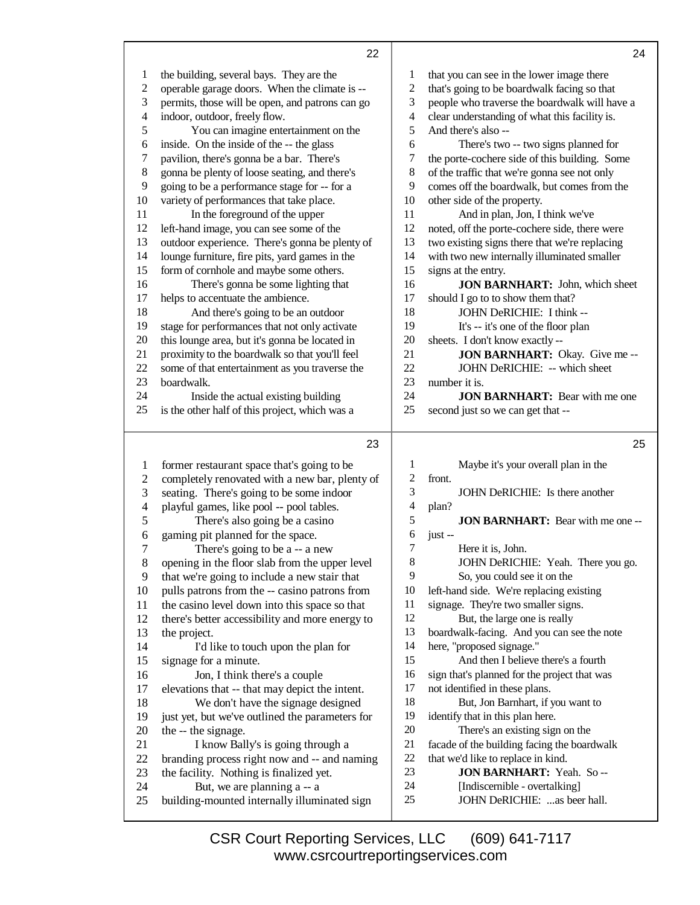|    | 22                                              |                | 24                                            |
|----|-------------------------------------------------|----------------|-----------------------------------------------|
| 1  | the building, several bays. They are the        | 1              | that you can see in the lower image there     |
| 2  | operable garage doors. When the climate is --   | 2              | that's going to be boardwalk facing so that   |
| 3  | permits, those will be open, and patrons can go | 3              | people who traverse the boardwalk will have a |
| 4  | indoor, outdoor, freely flow.                   | $\overline{4}$ | clear understanding of what this facility is. |
| 5  | You can imagine entertainment on the            | 5              | And there's also --                           |
| 6  | inside. On the inside of the -- the glass       | 6              | There's two -- two signs planned for          |
| 7  | pavilion, there's gonna be a bar. There's       | 7              | the porte-cochere side of this building. Some |
| 8  | gonna be plenty of loose seating, and there's   | $\,8\,$        | of the traffic that we're gonna see not only  |
| 9  | going to be a performance stage for -- for a    | 9              | comes off the boardwalk, but comes from the   |
| 10 | variety of performances that take place.        | 10             | other side of the property.                   |
| 11 | In the foreground of the upper                  | 11             | And in plan, Jon, I think we've               |
| 12 | left-hand image, you can see some of the        | 12             | noted, off the porte-cochere side, there were |
| 13 | outdoor experience. There's gonna be plenty of  | 13             | two existing signs there that we're replacing |
| 14 | lounge furniture, fire pits, yard games in the  | 14             | with two new internally illuminated smaller   |
| 15 | form of cornhole and maybe some others.         | 15             | signs at the entry.                           |
| 16 | There's gonna be some lighting that             | 16             | <b>JON BARNHART:</b> John, which sheet        |
| 17 | helps to accentuate the ambience.               | 17             | should I go to to show them that?             |
| 18 | And there's going to be an outdoor              | 18             | JOHN DeRICHIE: I think --                     |
| 19 | stage for performances that not only activate   | 19             | It's -- it's one of the floor plan            |
| 20 | this lounge area, but it's gonna be located in  | 20             | sheets. I don't know exactly --               |
| 21 | proximity to the boardwalk so that you'll feel  | 21             | JON BARNHART: Okay. Give me --                |
| 22 | some of that entertainment as you traverse the  | 22             | JOHN DeRICHIE: -- which sheet                 |
| 23 | boardwalk.                                      | 23             | number it is.                                 |
| 24 | Inside the actual existing building             | 24             | <b>JON BARNHART:</b> Bear with me one         |
| 25 | is the other half of this project, which was a  | 25             | second just so we can get that --             |
|    | 23                                              |                | 25                                            |

|                | دے                                              |    | دے                                           |
|----------------|-------------------------------------------------|----|----------------------------------------------|
| 1              | former restaurant space that's going to be      | 1  | Maybe it's your overall plan in the          |
| $\overline{c}$ | completely renovated with a new bar, plenty of  | 2  | front.                                       |
| 3              | seating. There's going to be some indoor        | 3  | JOHN DeRICHIE: Is there another              |
| 4              | playful games, like pool -- pool tables.        | 4  | plan?                                        |
| 5              | There's also going be a casino                  | 5  | <b>JON BARNHART:</b> Bear with me one --     |
| 6              | gaming pit planned for the space.               | 6  | $just -$                                     |
| $\overline{7}$ | There's going to be a -- a new                  | 7  | Here it is, John.                            |
| 8              | opening in the floor slab from the upper level  | 8  | JOHN DeRICHIE: Yeah. There you go.           |
| 9              | that we're going to include a new stair that    | 9  | So, you could see it on the                  |
| 10             | pulls patrons from the -- casino patrons from   | 10 | left-hand side. We're replacing existing     |
| 11             | the casino level down into this space so that   | 11 | signage. They're two smaller signs.          |
| 12             | there's better accessibility and more energy to | 12 | But, the large one is really                 |
| 13             | the project.                                    | 13 | boardwalk-facing. And you can see the note   |
| 14             | I'd like to touch upon the plan for             | 14 | here, "proposed signage."                    |
| 15             | signage for a minute.                           | 15 | And then I believe there's a fourth          |
| 16             | Jon, I think there's a couple                   | 16 | sign that's planned for the project that was |
| 17             | elevations that -- that may depict the intent.  | 17 | not identified in these plans.               |
| 18             | We don't have the signage designed              | 18 | But, Jon Barnhart, if you want to            |
| 19             | just yet, but we've outlined the parameters for | 19 | identify that in this plan here.             |
| 20             | the -- the signage.                             | 20 | There's an existing sign on the              |
| 21             | I know Bally's is going through a               | 21 | facade of the building facing the boardwalk  |
| 22             | branding process right now and -- and naming    | 22 | that we'd like to replace in kind.           |
| 23             | the facility. Nothing is finalized yet.         | 23 | <b>JON BARNHART:</b> Yeah. So--              |
| 24             | But, we are planning a -- a                     | 24 | [Indiscernible - overtalking]                |
| 25             | building-mounted internally illuminated sign    | 25 | JOHN DeRICHIE: as beer hall.                 |
|                |                                                 |    |                                              |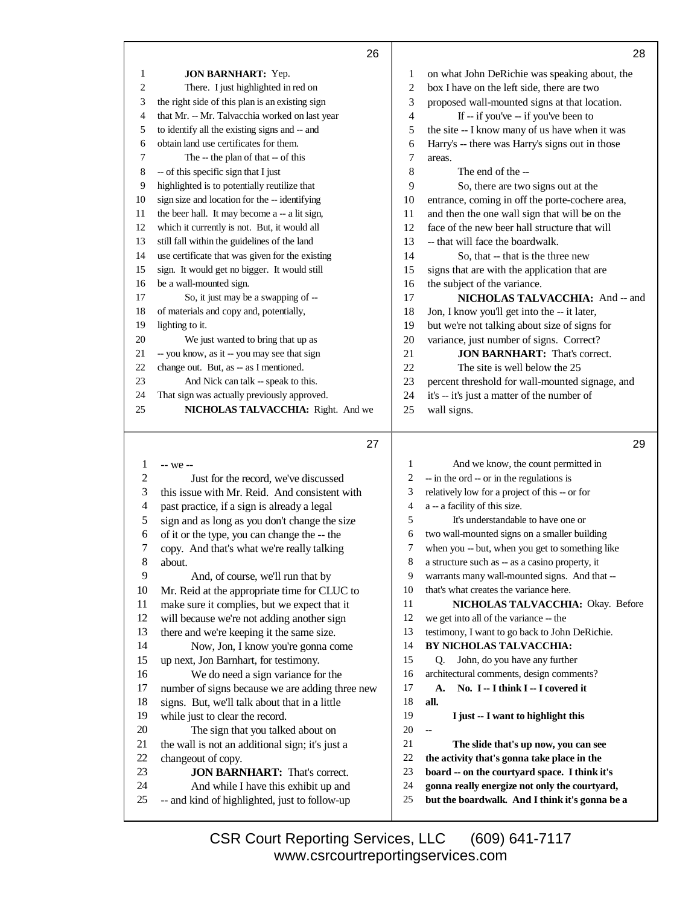|                          | 26                                                                                    |                  | 28                                                                                      |
|--------------------------|---------------------------------------------------------------------------------------|------------------|-----------------------------------------------------------------------------------------|
| 1                        | <b>JON BARNHART:</b> Yep.                                                             | 1                | on what John DeRichie was speaking about, the                                           |
| $\overline{c}$           | There. I just highlighted in red on                                                   | $\overline{c}$   | box I have on the left side, there are two                                              |
| 3                        | the right side of this plan is an existing sign                                       | 3                | proposed wall-mounted signs at that location.                                           |
| 4                        | that Mr. -- Mr. Talvacchia worked on last year                                        | 4                | If -- if you've -- if you've been to                                                    |
| 5                        | to identify all the existing signs and -- and                                         | 5                | the site -- I know many of us have when it was                                          |
| 6                        | obtain land use certificates for them.                                                | 6                | Harry's -- there was Harry's signs out in those                                         |
| 7                        | The -- the plan of that -- of this                                                    | 7                | areas.                                                                                  |
| 8                        | -- of this specific sign that I just                                                  | $8\,$            | The end of the --                                                                       |
| 9                        | highlighted is to potentially reutilize that                                          | 9                | So, there are two signs out at the                                                      |
| 10                       | sign size and location for the -- identifying                                         | 10               | entrance, coming in off the porte-cochere area,                                         |
| 11                       | the beer hall. It may become a -- a lit sign,                                         | 11               | and then the one wall sign that will be on the                                          |
| 12                       | which it currently is not. But, it would all                                          | 12               | face of the new beer hall structure that will                                           |
| 13                       | still fall within the guidelines of the land                                          | 13               | -- that will face the boardwalk.                                                        |
| 14                       | use certificate that was given for the existing                                       | 14               | So, that -- that is the three new                                                       |
| 15                       | sign. It would get no bigger. It would still                                          | 15               | signs that are with the application that are                                            |
| 16                       | be a wall-mounted sign.                                                               | 16               | the subject of the variance.                                                            |
| 17                       | So, it just may be a swapping of --                                                   | 17               | NICHOLAS TALVACCHIA: And -- and                                                         |
| 18                       | of materials and copy and, potentially,                                               | 18               | Jon, I know you'll get into the -- it later,                                            |
| 19                       | lighting to it.                                                                       | 19               | but we're not talking about size of signs for                                           |
| 20                       | We just wanted to bring that up as                                                    | 20               | variance, just number of signs. Correct?                                                |
| 21                       | -- you know, as it -- you may see that sign                                           | 21               | <b>JON BARNHART:</b> That's correct.                                                    |
| 22                       | change out. But, as -- as I mentioned.                                                | 22               | The site is well below the 25                                                           |
| 23                       | And Nick can talk -- speak to this.                                                   | 23               | percent threshold for wall-mounted signage, and                                         |
| 24                       | That sign was actually previously approved.                                           | 24               | it's -- it's just a matter of the number of                                             |
| 25                       | NICHOLAS TALVACCHIA: Right. And we                                                    | 25               | wall signs.                                                                             |
|                          |                                                                                       |                  |                                                                                         |
|                          |                                                                                       |                  |                                                                                         |
|                          | 27                                                                                    |                  | 29                                                                                      |
|                          |                                                                                       |                  |                                                                                         |
| $\mathbf{1}$             | -- we --                                                                              | 1                | And we know, the count permitted in                                                     |
| $\boldsymbol{2}$         | Just for the record, we've discussed                                                  | 2                | -- in the ord -- or in the regulations is                                               |
| 3                        | this issue with Mr. Reid. And consistent with                                         | 3                | relatively low for a project of this -- or for                                          |
| $\overline{\mathcal{A}}$ | past practice, if a sign is already a legal                                           | $\overline{4}$   | a -- a facility of this size.                                                           |
| 5                        | sign and as long as you don't change the size                                         | 5                | It's understandable to have one or                                                      |
| 6                        | of it or the type, you can change the -- the                                          | 6                | two wall-mounted signs on a smaller building                                            |
| 7                        | copy. And that's what we're really talking                                            | 7                | when you -- but, when you get to something like                                         |
| 8                        | about.                                                                                | $\,$ 8 $\,$<br>9 | a structure such as -- as a casino property, it                                         |
| $\overline{9}$           | And, of course, we'll run that by                                                     | 10               | warrants many wall-mounted signs. And that --<br>that's what creates the variance here. |
| 10                       | Mr. Reid at the appropriate time for CLUC to                                          | 11               |                                                                                         |
| 11<br>12                 | make sure it complies, but we expect that it                                          | 12               | NICHOLAS TALVACCHIA: Okay. Before                                                       |
| 13                       | will because we're not adding another sign                                            | 13               | we get into all of the variance -- the                                                  |
| 14                       | there and we're keeping it the same size.                                             | 14               | testimony, I want to go back to John DeRichie.<br>BY NICHOLAS TALVACCHIA:               |
| 15                       | Now, Jon, I know you're gonna come                                                    | 15               | John, do you have any further<br>Q.                                                     |
| 16                       | up next, Jon Barnhart, for testimony.                                                 | 16               | architectural comments, design comments?                                                |
| 17                       | We do need a sign variance for the<br>number of signs because we are adding three new | 17               | No. I -- I think I -- I covered it<br>A.                                                |
| 18                       | signs. But, we'll talk about that in a little                                         | 18               | all.                                                                                    |
| 19                       | while just to clear the record.                                                       | 19               | I just -- I want to highlight this                                                      |
| 20                       | The sign that you talked about on                                                     | 20               | щ,                                                                                      |
| 21                       | the wall is not an additional sign; it's just a                                       | 21               | The slide that's up now, you can see                                                    |
| 22                       | changeout of copy.                                                                    | 22               | the activity that's gonna take place in the                                             |
| 23                       | <b>JON BARNHART:</b> That's correct.                                                  | 23               | board -- on the courtyard space. I think it's                                           |
| 24                       | And while I have this exhibit up and                                                  | 24               | gonna really energize not only the courtyard,                                           |
| 25                       | -- and kind of highlighted, just to follow-up                                         | 25               | but the boardwalk. And I think it's gonna be a                                          |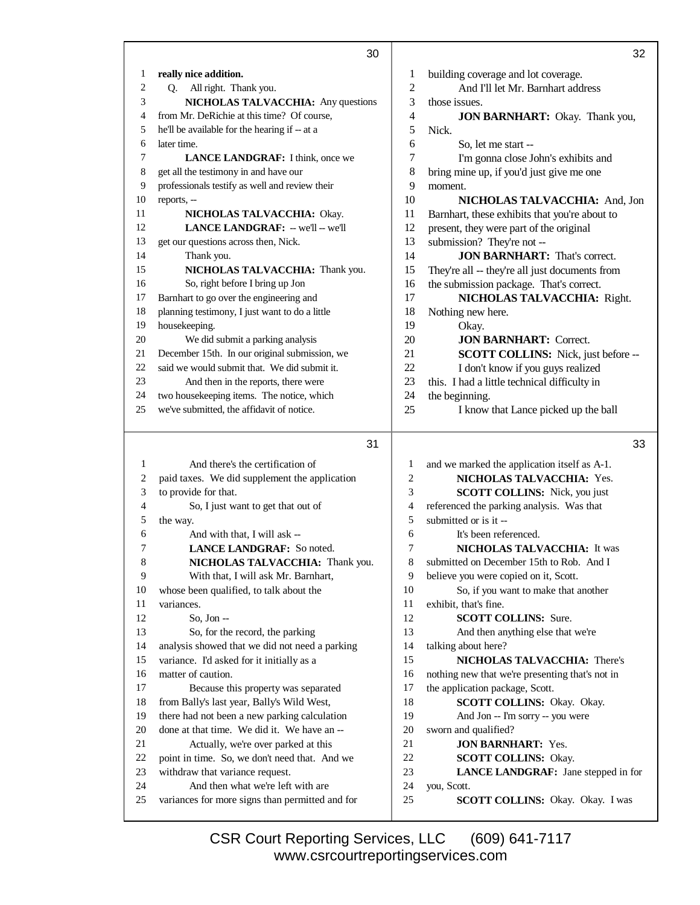|              | 30                                                                                   |              | 32                                              |
|--------------|--------------------------------------------------------------------------------------|--------------|-------------------------------------------------|
| $\mathbf{1}$ | really nice addition.                                                                | 1            | building coverage and lot coverage.             |
| 2            | Q. All right. Thank you.                                                             | $\sqrt{2}$   | And I'll let Mr. Barnhart address               |
| 3            | NICHOLAS TALVACCHIA: Any questions                                                   | 3            | those issues.                                   |
| 4            | from Mr. DeRichie at this time? Of course,                                           | 4            | <b>JON BARNHART:</b> Okay. Thank you,           |
| 5            | he'll be available for the hearing if -- at a                                        | 5            | Nick.                                           |
| 6            | later time.                                                                          | 6            | So, let me start --                             |
| 7            | LANCE LANDGRAF: I think, once we                                                     | 7            | I'm gonna close John's exhibits and             |
| 8            | get all the testimony in and have our                                                | 8            | bring mine up, if you'd just give me one        |
| 9            | professionals testify as well and review their                                       | 9            | moment.                                         |
| 10           | reports, --                                                                          | 10           | NICHOLAS TALVACCHIA: And, Jon                   |
| 11           | NICHOLAS TALVACCHIA: Okay.                                                           | 11           | Barnhart, these exhibits that you're about to   |
| 12           | LANCE LANDGRAF: - we'll -- we'll                                                     | 12           | present, they were part of the original         |
| 13           | get our questions across then, Nick.                                                 | 13           | submission? They're not --                      |
| 14           | Thank you.                                                                           | 14           | <b>JON BARNHART:</b> That's correct.            |
| 15           | NICHOLAS TALVACCHIA: Thank you.                                                      | 15           | They're all -- they're all just documents from  |
| 16           | So, right before I bring up Jon                                                      | 16           | the submission package. That's correct.         |
| 17           | Barnhart to go over the engineering and                                              | 17           | NICHOLAS TALVACCHIA: Right.                     |
| 18           | planning testimony, I just want to do a little                                       | 18           | Nothing new here.                               |
| 19           | housekeeping.                                                                        | 19           | Okay.                                           |
| 20           | We did submit a parking analysis                                                     | 20           | <b>JON BARNHART: Correct.</b>                   |
| 21           | December 15th. In our original submission, we                                        | 21           | SCOTT COLLINS: Nick, just before --             |
| 22           | said we would submit that. We did submit it.                                         | 22           | I don't know if you guys realized               |
| 23           | And then in the reports, there were                                                  | 23           | this. I had a little technical difficulty in    |
| 24           | two housekeeping items. The notice, which                                            | 24           | the beginning.                                  |
| 25           | we've submitted, the affidavit of notice.                                            | 25           | I know that Lance picked up the ball            |
|              | 31                                                                                   |              | 33                                              |
|              |                                                                                      |              |                                                 |
| 1            | And there's the certification of                                                     | $\mathbf{1}$ | and we marked the application itself as A-1.    |
| 2            | paid taxes. We did supplement the application                                        | 2            | NICHOLAS TALVACCHIA: Yes.                       |
| 3            | to provide for that.                                                                 | 3            | SCOTT COLLINS: Nick, you just                   |
| 4            | So, I just want to get that out of                                                   | 4            | referenced the parking analysis. Was that       |
| 5            | the way.                                                                             | 5            | submitted or is it --                           |
| 6            | And with that, I will ask --                                                         | 6            | It's been referenced.                           |
| 7            | LANCE LANDGRAF: So noted.                                                            | 7            | NICHOLAS TALVACCHIA: It was                     |
| 8            | <b>NICHOLAS TALVACCHIA:</b> Thank you.                                               | 8            | submitted on December 15th to Rob. And I        |
| 9            | With that, I will ask Mr. Barnhart,                                                  | 9            | believe you were copied on it, Scott.           |
| 10           | whose been qualified, to talk about the                                              | 10           | So, if you want to make that another            |
| 11           | variances.                                                                           | 11           | exhibit, that's fine.                           |
| 12           | So, Jon $-$                                                                          | 12           | <b>SCOTT COLLINS: Sure.</b>                     |
| 13           | So, for the record, the parking                                                      | 13           | And then anything else that we're               |
| 14           | analysis showed that we did not need a parking                                       | 14           | talking about here?                             |
| 15           | variance. I'd asked for it initially as a                                            | 15           | NICHOLAS TALVACCHIA: There's                    |
| 16           | matter of caution.                                                                   | 16           | nothing new that we're presenting that's not in |
| 17           | Because this property was separated                                                  | 17           | the application package, Scott.                 |
| 18           | from Bally's last year, Bally's Wild West,                                           | 18           | SCOTT COLLINS: Okay. Okay.                      |
| 19           | there had not been a new parking calculation                                         | 19           | And Jon -- I'm sorry -- you were                |
| 20           | done at that time. We did it. We have an --                                          | 20           | sworn and qualified?                            |
| 21           | Actually, we're over parked at this                                                  | 21           | <b>JON BARNHART: Yes.</b>                       |
| 22           | point in time. So, we don't need that. And we                                        | 22           | <b>SCOTT COLLINS: Okay.</b>                     |
| 23           | withdraw that variance request.                                                      | 23           | LANCE LANDGRAF: Jane stepped in for             |
| 24<br>25     | And then what we're left with are<br>variances for more signs than permitted and for | 24<br>25     | you, Scott.<br>SCOTT COLLINS: Okay. Okay. I was |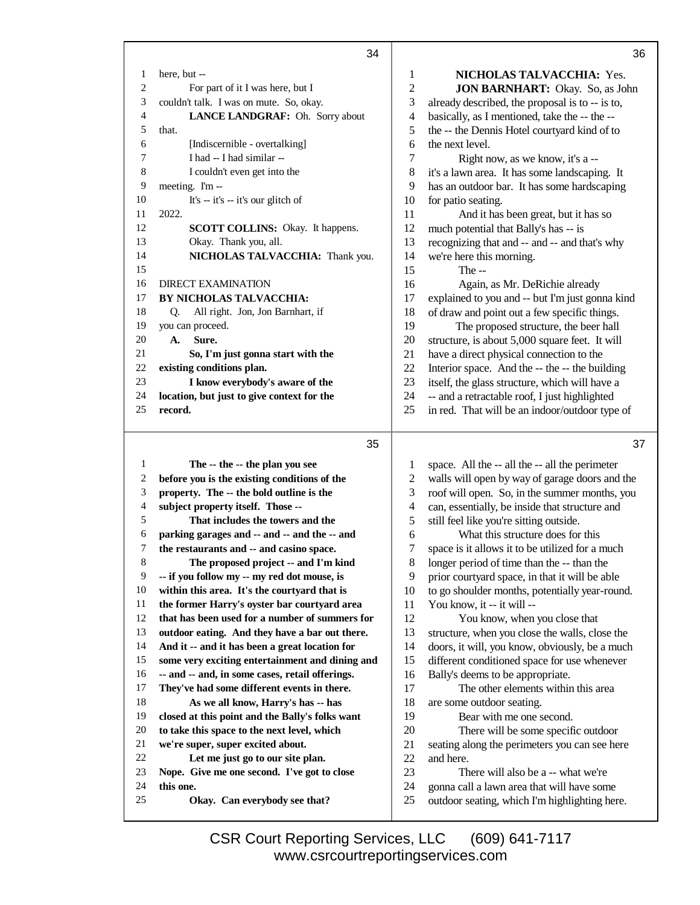|                             | 34                                                                              |                          | 36                                                                                               |
|-----------------------------|---------------------------------------------------------------------------------|--------------------------|--------------------------------------------------------------------------------------------------|
| 1                           | here, but --                                                                    | 1                        | NICHOLAS TALVACCHIA: Yes.                                                                        |
| $\sqrt{2}$                  | For part of it I was here, but I                                                | $\overline{2}$           | <b>JON BARNHART:</b> Okay. So, as John                                                           |
| $\ensuremath{\mathfrak{Z}}$ | couldn't talk. I was on mute. So, okay.                                         | 3                        | already described, the proposal is to -- is to,                                                  |
| $\overline{4}$              | LANCE LANDGRAF: Oh. Sorry about                                                 | 4                        | basically, as I mentioned, take the -- the --                                                    |
| 5                           | that.                                                                           | 5                        | the -- the Dennis Hotel courtyard kind of to                                                     |
| $\epsilon$                  | [Indiscernible - overtalking]                                                   | 6                        | the next level.                                                                                  |
| 7                           | I had -- I had similar --                                                       | 7                        | Right now, as we know, it's a --                                                                 |
| 8                           | I couldn't even get into the                                                    | 8                        | it's a lawn area. It has some landscaping. It                                                    |
| 9                           | meeting. I'm --                                                                 | 9                        | has an outdoor bar. It has some hardscaping                                                      |
| 10                          | It's $-$ it's $-$ it's our glitch of                                            | 10                       | for patio seating.                                                                               |
| 11                          | 2022.                                                                           | 11                       | And it has been great, but it has so                                                             |
| 12                          | SCOTT COLLINS: Okay. It happens.                                                | 12                       | much potential that Bally's has -- is                                                            |
| 13                          | Okay. Thank you, all.                                                           | 13                       | recognizing that and -- and -- and that's why                                                    |
| 14                          | NICHOLAS TALVACCHIA: Thank you.                                                 | 14                       | we're here this morning.                                                                         |
| 15                          |                                                                                 | 15                       | The $-$                                                                                          |
| 16                          | <b>DIRECT EXAMINATION</b>                                                       | 16                       | Again, as Mr. DeRichie already                                                                   |
| 17                          | BY NICHOLAS TALVACCHIA:                                                         | 17                       | explained to you and -- but I'm just gonna kind                                                  |
| 18                          | All right. Jon, Jon Barnhart, if<br>Q.                                          | 18                       | of draw and point out a few specific things.                                                     |
| 19                          | you can proceed.                                                                | 19                       | The proposed structure, the beer hall                                                            |
| 20                          | Sure.<br>A.                                                                     | 20                       | structure, is about 5,000 square feet. It will                                                   |
| 21<br>22                    | So, I'm just gonna start with the                                               | 21                       | have a direct physical connection to the                                                         |
| 23                          | existing conditions plan.<br>I know everybody's aware of the                    | 22<br>23                 | Interior space. And the -- the -- the building                                                   |
| 24                          | location, but just to give context for the                                      | 24                       | itself, the glass structure, which will have a<br>-- and a retractable roof, I just highlighted  |
| 25                          | record.                                                                         | 25                       | in red. That will be an indoor/outdoor type of                                                   |
|                             |                                                                                 |                          |                                                                                                  |
|                             |                                                                                 |                          |                                                                                                  |
|                             | 35                                                                              |                          | 37                                                                                               |
| 1                           |                                                                                 | 1                        |                                                                                                  |
| $\overline{c}$              | The -- the -- the plan you see<br>before you is the existing conditions of the  | $\overline{c}$           | space. All the -- all the -- all the perimeter<br>walls will open by way of garage doors and the |
| $\ensuremath{\mathfrak{Z}}$ | property. The -- the bold outline is the                                        | 3                        | roof will open. So, in the summer months, you                                                    |
| $\overline{4}$              | subject property itself. Those --                                               | $\overline{\mathcal{A}}$ | can, essentially, be inside that structure and                                                   |
| 5                           | That includes the towers and the                                                | 5                        | still feel like you're sitting outside.                                                          |
| 6                           | parking garages and -- and -- and the -- and                                    | 6                        | What this structure does for this                                                                |
| 7                           | the restaurants and -- and casino space.                                        | 7                        | space is it allows it to be utilized for a much                                                  |
| $\,8\,$                     | The proposed project -- and I'm kind                                            | 8                        | longer period of time than the -- than the                                                       |
| 9                           | -- if you follow my -- my red dot mouse, is                                     | 9                        | prior courtyard space, in that it will be able                                                   |
| 10                          | within this area. It's the courtyard that is                                    | 10                       | to go shoulder months, potentially year-round.                                                   |
| 11                          | the former Harry's oyster bar courtyard area                                    | 11                       | You know, it -- it will --                                                                       |
| 12                          | that has been used for a number of summers for                                  | 12                       | You know, when you close that                                                                    |
| 13                          | outdoor eating. And they have a bar out there.                                  | 13                       | structure, when you close the walls, close the                                                   |
| 14                          | And it -- and it has been a great location for                                  | 14                       | doors, it will, you know, obviously, be a much                                                   |
| 15                          | some very exciting entertainment and dining and                                 | 15                       | different conditioned space for use whenever                                                     |
| 16                          | -- and -- and, in some cases, retail offerings.                                 | 16                       | Bally's deems to be appropriate.                                                                 |
| 17                          | They've had some different events in there.                                     | 17                       | The other elements within this area                                                              |
| 18                          | As we all know, Harry's has -- has                                              | 18                       | are some outdoor seating.                                                                        |
| 19<br>20                    | closed at this point and the Bally's folks want                                 | 19                       | Bear with me one second.                                                                         |
| 21                          | to take this space to the next level, which                                     | 20                       | There will be some specific outdoor                                                              |
| 22                          | we're super, super excited about.                                               | 21<br>22                 | seating along the perimeters you can see here<br>and here.                                       |
| 23                          | Let me just go to our site plan.<br>Nope. Give me one second. I've got to close | 23                       | There will also be a -- what we're                                                               |
| 24                          | this one.                                                                       | 24                       | gonna call a lawn area that will have some                                                       |
| 25                          | Okay. Can everybody see that?                                                   | 25                       | outdoor seating, which I'm highlighting here.                                                    |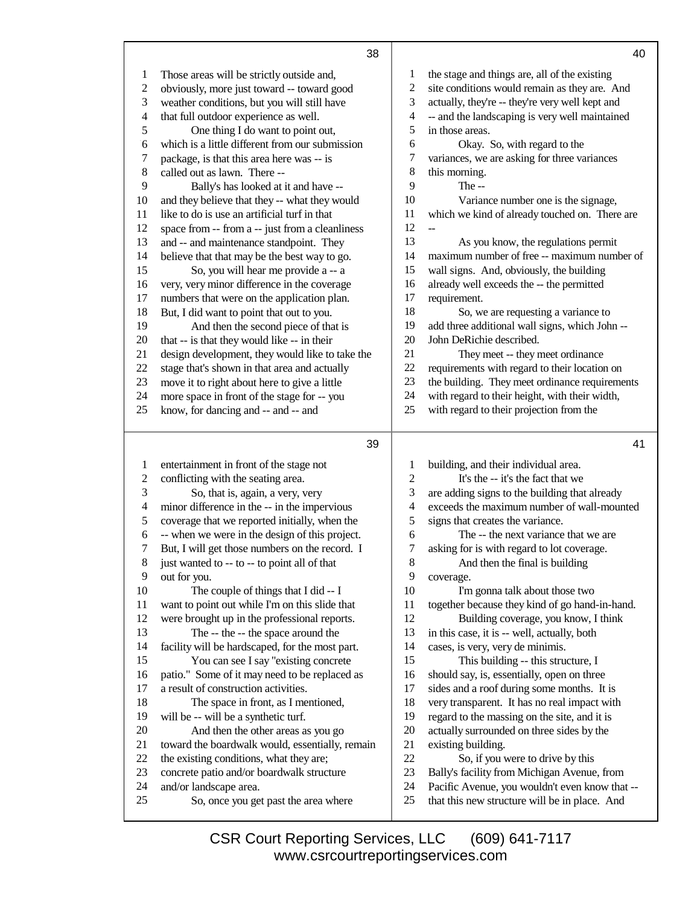|                | 38                                                                                         |                          | 40                                                                              |
|----------------|--------------------------------------------------------------------------------------------|--------------------------|---------------------------------------------------------------------------------|
| 1              | Those areas will be strictly outside and,                                                  | 1                        | the stage and things are, all of the existing                                   |
| $\overline{2}$ | obviously, more just toward -- toward good                                                 | $\mathfrak{2}$           | site conditions would remain as they are. And                                   |
| 3              | weather conditions, but you will still have                                                | 3                        | actually, they're -- they're very well kept and                                 |
| $\overline{4}$ | that full outdoor experience as well.                                                      | $\overline{\mathcal{A}}$ | -- and the landscaping is very well maintained                                  |
| $\mathfrak s$  | One thing I do want to point out,                                                          | 5                        | in those areas.                                                                 |
| $\epsilon$     | which is a little different from our submission                                            | 6                        | Okay. So, with regard to the                                                    |
| 7              | package, is that this area here was -- is                                                  | 7                        | variances, we are asking for three variances                                    |
| 8              | called out as lawn. There --                                                               | 8                        | this morning.                                                                   |
| 9              | Bally's has looked at it and have --                                                       | 9                        | The --                                                                          |
| 10             | and they believe that they -- what they would                                              | 10                       | Variance number one is the signage,                                             |
| 11             | like to do is use an artificial turf in that                                               | 11                       | which we kind of already touched on. There are                                  |
| 12             | space from -- from a -- just from a cleanliness                                            | 12                       |                                                                                 |
| 13             | and -- and maintenance standpoint. They                                                    | 13                       | As you know, the regulations permit                                             |
| 14             | believe that that may be the best way to go.                                               | 14                       | maximum number of free -- maximum number of                                     |
| 15             | So, you will hear me provide a -- a                                                        | 15                       | wall signs. And, obviously, the building                                        |
| 16             | very, very minor difference in the coverage                                                | 16                       | already well exceeds the -- the permitted                                       |
| 17             | numbers that were on the application plan.                                                 | 17                       | requirement.                                                                    |
| 18             | But, I did want to point that out to you.                                                  | 18                       | So, we are requesting a variance to                                             |
| 19             | And then the second piece of that is                                                       | 19                       | add three additional wall signs, which John --                                  |
| 20             | that -- is that they would like -- in their                                                | 20                       | John DeRichie described.                                                        |
| 21             | design development, they would like to take the                                            | 21                       | They meet -- they meet ordinance                                                |
| 22             | stage that's shown in that area and actually                                               | 22                       | requirements with regard to their location on                                   |
| 23             | move it to right about here to give a little                                               | 23                       | the building. They meet ordinance requirements                                  |
| 24             | more space in front of the stage for -- you                                                | 24                       | with regard to their height, with their width,                                  |
| 25             | know, for dancing and -- and -- and                                                        | 25                       | with regard to their projection from the                                        |
|                |                                                                                            |                          |                                                                                 |
|                | 39                                                                                         |                          | 41                                                                              |
| 1              | entertainment in front of the stage not                                                    | 1                        | building, and their individual area.                                            |
| $\overline{c}$ | conflicting with the seating area.                                                         | $\mathfrak{2}$           | It's the -- it's the fact that we                                               |
| 3              | So, that is, again, a very, very                                                           | 3                        | are adding signs to the building that already                                   |
| 4              | minor difference in the -- in the impervious                                               | 4                        | exceeds the maximum number of wall-mounted                                      |
| 5              | coverage that we reported initially, when the                                              | 5                        | signs that creates the variance.                                                |
| 6              | -- when we were in the design of this project.                                             | 6                        | The -- the next variance that we are                                            |
| 7              | But, I will get those numbers on the record. I                                             | 7                        | asking for is with regard to lot coverage.                                      |
| 8              | just wanted to -- to -- to point all of that                                               | $\,8\,$                  | And then the final is building                                                  |
| 9              | out for you.                                                                               | 9                        | coverage.                                                                       |
| 10             | The couple of things that I did -- I                                                       | 10                       | I'm gonna talk about those two                                                  |
| 11             | want to point out while I'm on this slide that                                             | 11                       | together because they kind of go hand-in-hand.                                  |
| 12             | were brought up in the professional reports.                                               | 12                       | Building coverage, you know, I think                                            |
| 13             | The -- the -- the space around the                                                         | 13                       | in this case, it is -- well, actually, both                                     |
| 14             | facility will be hardscaped, for the most part.                                            | 14                       | cases, is very, very de minimis.                                                |
| 15             | You can see I say "existing concrete                                                       | 15                       | This building -- this structure, I                                              |
| 16             | patio." Some of it may need to be replaced as                                              | 16                       | should say, is, essentially, open on three                                      |
| 17             | a result of construction activities.                                                       | 17                       | sides and a roof during some months. It is                                      |
| 18             | The space in front, as I mentioned,                                                        | 18                       | very transparent. It has no real impact with                                    |
| 19             | will be -- will be a synthetic turf.                                                       | 19                       | regard to the massing on the site, and it is                                    |
| 20<br>21       | And then the other areas as you go                                                         | 20<br>21                 | actually surrounded on three sides by the                                       |
| 22             | toward the boardwalk would, essentially, remain<br>the existing conditions, what they are; | 22                       | existing building.                                                              |
| 23             | concrete patio and/or boardwalk structure                                                  | 23                       | So, if you were to drive by this<br>Bally's facility from Michigan Avenue, from |
| 24             | and/or landscape area.                                                                     | 24                       | Pacific Avenue, you wouldn't even know that --                                  |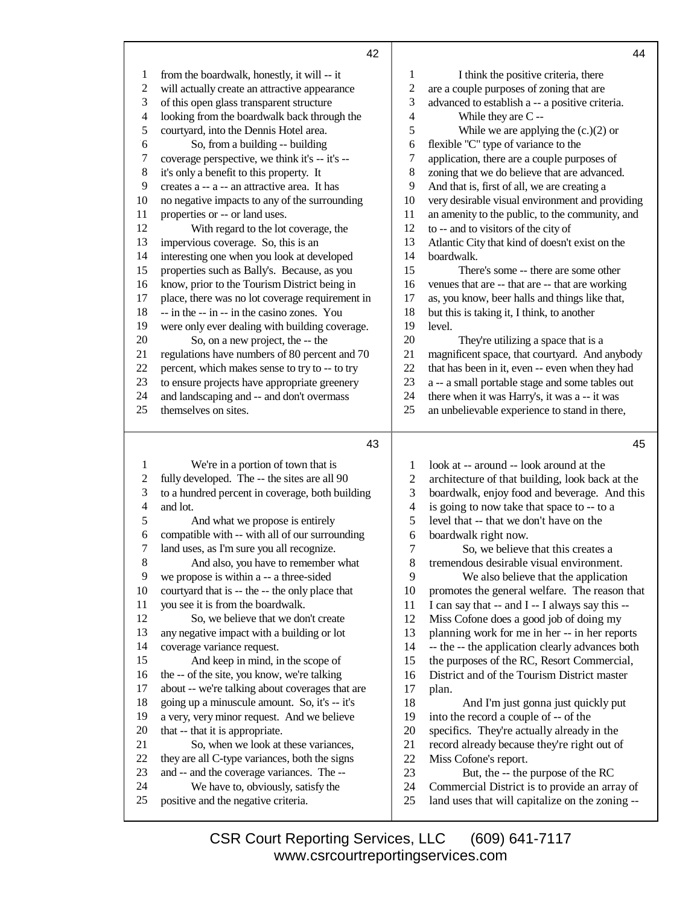|                | 42                                              |    | 44                                              |
|----------------|-------------------------------------------------|----|-------------------------------------------------|
| 1              | from the boardwalk, honestly, it will -- it     | 1  | I think the positive criteria, there            |
| 2              | will actually create an attractive appearance   | 2  | are a couple purposes of zoning that are        |
| 3              | of this open glass transparent structure        | 3  | advanced to establish a -- a positive criteria. |
| $\overline{4}$ | looking from the boardwalk back through the     | 4  | While they are C--                              |
| 5              | courtyard, into the Dennis Hotel area.          | 5  | While we are applying the $(c.)(2)$ or          |
| 6              | So, from a building -- building                 | 6  | flexible "C" type of variance to the            |
| 7              | coverage perspective, we think it's -- it's --  | 7  | application, there are a couple purposes of     |
| 8              | it's only a benefit to this property. It        | 8  | zoning that we do believe that are advanced.    |
| 9              | creates a -- a -- an attractive area. It has    | 9  | And that is, first of all, we are creating a    |
| 10             | no negative impacts to any of the surrounding   | 10 | very desirable visual environment and providing |
| 11             | properties or -- or land uses.                  | 11 | an amenity to the public, to the community, and |
| 12             | With regard to the lot coverage, the            | 12 | to -- and to visitors of the city of            |
| 13             | impervious coverage. So, this is an             | 13 | Atlantic City that kind of doesn't exist on the |
| 14             | interesting one when you look at developed      | 14 | boardwalk.                                      |
| 15             | properties such as Bally's. Because, as you     | 15 | There's some -- there are some other            |
| 16             | know, prior to the Tourism District being in    | 16 | venues that are -- that are -- that are working |
| 17             | place, there was no lot coverage requirement in | 17 | as, you know, beer halls and things like that,  |
| 18             | -- in the -- in -- in the casino zones. You     | 18 | but this is taking it, I think, to another      |
| 19             | were only ever dealing with building coverage.  | 19 | level.                                          |
| 20             | So, on a new project, the -- the                | 20 | They're utilizing a space that is a             |
| 21             | regulations have numbers of 80 percent and 70   | 21 | magnificent space, that courtyard. And anybody  |

 that has been in it, even -- even when they had a -- a small portable stage and some tables out there when it was Harry's, it was a -- it was an unbelievable experience to stand in there,

- 21 regulations have percent, which makes sense to try to -- to try
- to ensure projects have appropriate greenery
- and landscaping and -- and don't overmass
- themselves on sites.

## 

| 1  | We're in a portion of town that is              | 1  | look at -- around -- look around at the         |
|----|-------------------------------------------------|----|-------------------------------------------------|
| 2  | fully developed. The -- the sites are all 90    | 2  | architecture of that building, look back at the |
| 3  | to a hundred percent in coverage, both building | 3  | boardwalk, enjoy food and beverage. And this    |
| 4  | and lot.                                        | 4  | is going to now take that space to -- to a      |
| 5  | And what we propose is entirely                 | 5  | level that -- that we don't have on the         |
| 6  | compatible with -- with all of our surrounding  | 6  | boardwalk right now.                            |
| 7  | land uses, as I'm sure you all recognize.       | 7  | So, we believe that this creates a              |
| 8  | And also, you have to remember what             | 8  | tremendous desirable visual environment.        |
| 9  | we propose is within a -- a three-sided         | 9  | We also believe that the application            |
| 10 | courtyard that is -- the -- the only place that | 10 | promotes the general welfare. The reason that   |
| 11 | you see it is from the boardwalk.               | 11 | I can say that -- and I -- I always say this -- |
| 12 | So, we believe that we don't create             | 12 | Miss Cofone does a good job of doing my         |
| 13 | any negative impact with a building or lot      | 13 | planning work for me in her -- in her reports   |
| 14 | coverage variance request.                      | 14 | -- the -- the application clearly advances both |
| 15 | And keep in mind, in the scope of               | 15 | the purposes of the RC, Resort Commercial,      |
| 16 | the -- of the site, you know, we're talking     | 16 | District and of the Tourism District master     |
| 17 | about -- we're talking about coverages that are | 17 | plan.                                           |
| 18 | going up a minuscule amount. So, it's -- it's   | 18 | And I'm just gonna just quickly put             |
| 19 | a very, very minor request. And we believe      | 19 | into the record a couple of -- of the           |
| 20 | that -- that it is appropriate.                 | 20 | specifics. They're actually already in the      |
| 21 | So, when we look at these variances,            | 21 | record already because they're right out of     |
| 22 | they are all C-type variances, both the signs   | 22 | Miss Cofone's report.                           |
| 23 | and -- and the coverage variances. The --       | 23 | But, the -- the purpose of the RC               |
| 24 | We have to, obviously, satisfy the              | 24 | Commercial District is to provide an array of   |
| 25 | positive and the negative criteria.             | 25 | land uses that will capitalize on the zoning -- |
|    |                                                 |    |                                                 |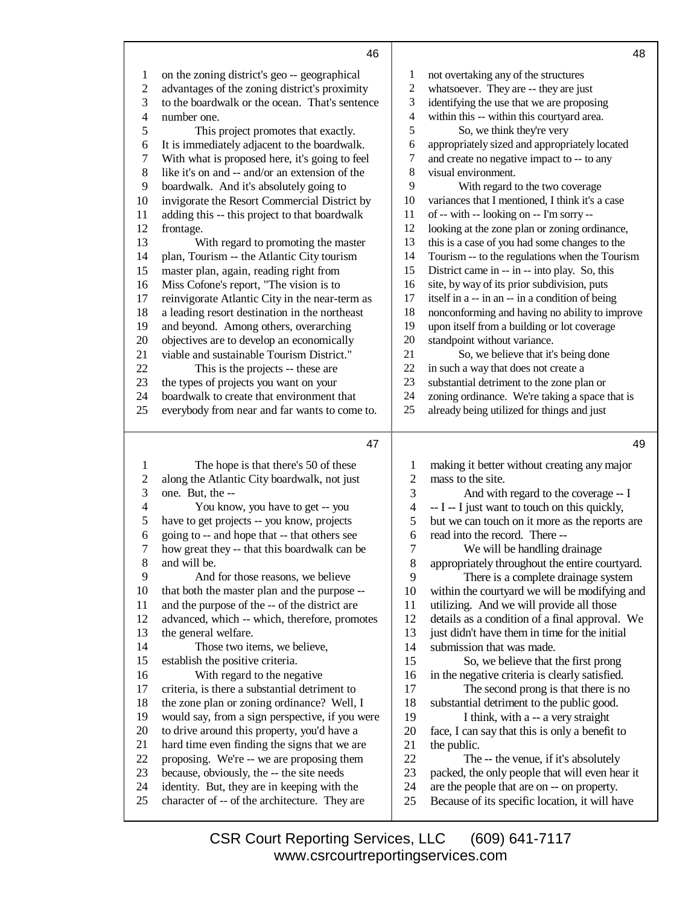| 1                | on the zoning district's geo -- geographical                                             | 1                                              | not overtaking any of the structures                                                         |  |
|------------------|------------------------------------------------------------------------------------------|------------------------------------------------|----------------------------------------------------------------------------------------------|--|
| $\overline{2}$   | advantages of the zoning district's proximity                                            | $\sqrt{2}$                                     | whatsoever. They are -- they are just                                                        |  |
| $\mathfrak{Z}$   | to the boardwalk or the ocean. That's sentence                                           | 3<br>identifying the use that we are proposing |                                                                                              |  |
| $\overline{4}$   | number one.                                                                              | 4                                              | within this -- within this courtyard area.                                                   |  |
| $\mathfrak s$    | This project promotes that exactly.                                                      | 5                                              | So, we think they're very                                                                    |  |
| 6                | It is immediately adjacent to the boardwalk.                                             | 6                                              | appropriately sized and appropriately located                                                |  |
| $\boldsymbol{7}$ | With what is proposed here, it's going to feel                                           | 7                                              | and create no negative impact to -- to any                                                   |  |
| 8                | like it's on and -- and/or an extension of the                                           | 8                                              | visual environment.                                                                          |  |
| 9                | boardwalk. And it's absolutely going to                                                  | 9                                              | With regard to the two coverage                                                              |  |
| 10               | invigorate the Resort Commercial District by                                             | 10                                             | variances that I mentioned, I think it's a case                                              |  |
| 11               | adding this -- this project to that boardwalk                                            | 11                                             | of -- with -- looking on -- I'm sorry --                                                     |  |
| 12               | frontage.                                                                                | 12                                             | looking at the zone plan or zoning ordinance,                                                |  |
| 13               | With regard to promoting the master                                                      | 13                                             | this is a case of you had some changes to the                                                |  |
| 14               | plan, Tourism -- the Atlantic City tourism                                               | 14                                             | Tourism -- to the regulations when the Tourism                                               |  |
| 15               | master plan, again, reading right from                                                   | 15                                             | District came in -- in -- into play. So, this                                                |  |
| 16               | Miss Cofone's report, "The vision is to                                                  | 16                                             | site, by way of its prior subdivision, puts                                                  |  |
| 17               | reinvigorate Atlantic City in the near-term as                                           | 17                                             | itself in a -- in an -- in a condition of being                                              |  |
| 18               | a leading resort destination in the northeast                                            | 18                                             | nonconforming and having no ability to improve                                               |  |
| 19               | and beyond. Among others, overarching                                                    | 19                                             | upon itself from a building or lot coverage                                                  |  |
| 20               | objectives are to develop an economically                                                | $20\,$                                         | standpoint without variance.                                                                 |  |
| 21               | viable and sustainable Tourism District."                                                | 21                                             | So, we believe that it's being done                                                          |  |
| 22               | This is the projects -- these are                                                        | 22                                             | in such a way that does not create a                                                         |  |
| 23               | the types of projects you want on your                                                   | 23                                             | substantial detriment to the zone plan or                                                    |  |
| 24               | boardwalk to create that environment that                                                | 24                                             | zoning ordinance. We're taking a space that is                                               |  |
| 25               | everybody from near and far wants to come to.                                            | 25                                             | already being utilized for things and just                                                   |  |
|                  |                                                                                          |                                                |                                                                                              |  |
|                  |                                                                                          |                                                |                                                                                              |  |
|                  | 47                                                                                       |                                                | 49                                                                                           |  |
| 1                | The hope is that there's 50 of these                                                     | 1                                              | making it better without creating any major                                                  |  |
| $\overline{c}$   | along the Atlantic City boardwalk, not just                                              | $\overline{2}$                                 | mass to the site.                                                                            |  |
| 3                | one. But, the --                                                                         | 3                                              | And with regard to the coverage -- I                                                         |  |
| $\overline{4}$   | You know, you have to get -- you                                                         | $\overline{4}$                                 | -- I -- I just want to touch on this quickly,                                                |  |
| 5                | have to get projects -- you know, projects                                               | $\mathfrak s$                                  | but we can touch on it more as the reports are                                               |  |
| 6                | going to -- and hope that -- that others see                                             | 6                                              | read into the record. There --                                                               |  |
| 7                | how great they -- that this boardwalk can be                                             | $\boldsymbol{7}$                               | We will be handling drainage                                                                 |  |
| 8                | and will be.                                                                             | 8                                              | appropriately throughout the entire courtyard.                                               |  |
| 9                | And for those reasons, we believe                                                        | 9                                              | There is a complete drainage system                                                          |  |
| 10               | that both the master plan and the purpose --                                             | 10                                             | within the courtyard we will be modifying and                                                |  |
| 11               | and the purpose of the -- of the district are                                            | 11                                             | utilizing. And we will provide all those                                                     |  |
| 12               | advanced, which -- which, therefore, promotes                                            | 12                                             | details as a condition of a final approval. We                                               |  |
| 13               | the general welfare.                                                                     | 13                                             | just didn't have them in time for the initial                                                |  |
| 14               | Those two items, we believe,                                                             | 14                                             | submission that was made.                                                                    |  |
| 15               | establish the positive criteria.                                                         | 15                                             | So, we believe that the first prong                                                          |  |
| 16               | With regard to the negative                                                              | 16                                             | in the negative criteria is clearly satisfied.                                               |  |
| 17               | criteria, is there a substantial detriment to                                            | 17                                             | The second prong is that there is no                                                         |  |
| 18               | the zone plan or zoning ordinance? Well, I                                               | 18                                             | substantial detriment to the public good.                                                    |  |
| 19               | would say, from a sign perspective, if you were                                          | 19                                             | I think, with a -- a very straight                                                           |  |
| 20               | to drive around this property, you'd have a                                              | 20                                             | face, I can say that this is only a benefit to                                               |  |
| 21               | hard time even finding the signs that we are                                             | 21                                             | the public.                                                                                  |  |
| 22<br>23         | proposing. We're -- we are proposing them                                                | 22                                             | The -- the venue, if it's absolutely                                                         |  |
| 24               | because, obviously, the -- the site needs<br>identity. But, they are in keeping with the | 23<br>24                                       | packed, the only people that will even hear it<br>are the people that are on -- on property. |  |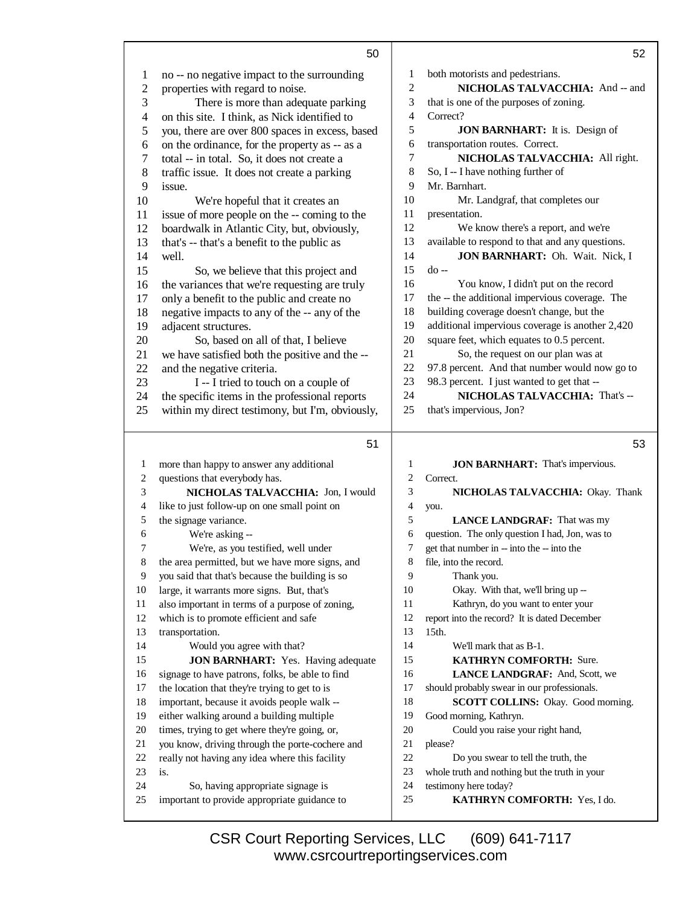|                | 50                                              |                | 52                                              |
|----------------|-------------------------------------------------|----------------|-------------------------------------------------|
| 1              | no -- no negative impact to the surrounding     | 1              | both motorists and pedestrians.                 |
| $\overline{c}$ | properties with regard to noise.                | $\overline{2}$ | NICHOLAS TALVACCHIA: And -- and                 |
| 3              | There is more than adequate parking             | 3              | that is one of the purposes of zoning.          |
| $\overline{4}$ | on this site. I think, as Nick identified to    | 4              | Correct?                                        |
| 5              | you, there are over 800 spaces in excess, based | 5              | <b>JON BARNHART:</b> It is. Design of           |
| $\epsilon$     | on the ordinance, for the property as -- as a   | 6              | transportation routes. Correct.                 |
| 7              | total -- in total. So, it does not create a     | 7              | NICHOLAS TALVACCHIA: All right.                 |
| 8              | traffic issue. It does not create a parking     | 8              | So, I -- I have nothing further of              |
| 9              | issue.                                          | 9              | Mr. Barnhart.                                   |
| 10             | We're hopeful that it creates an                | 10             | Mr. Landgraf, that completes our                |
| 11             | issue of more people on the -- coming to the    | 11             | presentation.                                   |
| 12             | boardwalk in Atlantic City, but, obviously,     | 12             | We know there's a report, and we're             |
| 13             | that's -- that's a benefit to the public as     | 13             | available to respond to that and any questions. |
| 14             | well.                                           | 14             | JON BARNHART: Oh. Wait. Nick, I                 |
| 15             | So, we believe that this project and            | 15             | $d_{0}$ --                                      |
| 16             | the variances that we're requesting are truly   | 16             | You know, I didn't put on the record            |
| 17             | only a benefit to the public and create no      | 17             | the -- the additional impervious coverage. The  |
| 18             | negative impacts to any of the -- any of the    | 18             | building coverage doesn't change, but the       |
| 19             | adjacent structures.                            | 19             | additional impervious coverage is another 2,420 |
| 20             | So, based on all of that, I believe             | 20             | square feet, which equates to 0.5 percent.      |
| 21             | we have satisfied both the positive and the --  | 21             | So, the request on our plan was at              |
| 22             | and the negative criteria.                      | 22             | 97.8 percent. And that number would now go to   |
| 23             | I -- I tried to touch on a couple of            | 23             | 98.3 percent. I just wanted to get that --      |
| 24             | the specific items in the professional reports  | 24             | NICHOLAS TALVACCHIA: That's --                  |
| 25             | within my direct testimony, but I'm, obviously, | 25             | that's impervious, Jon?                         |
|                |                                                 |                |                                                 |

## $51$

53

| 1  | more than happy to answer any additional        | 1  | <b>JON BARNHART:</b> That's impervious.        |
|----|-------------------------------------------------|----|------------------------------------------------|
| 2  | questions that everybody has.                   | 2  | Correct.                                       |
| 3  | NICHOLAS TALVACCHIA: Jon, I would               | 3  | NICHOLAS TALVACCHIA: Okay. Thank               |
| 4  | like to just follow-up on one small point on    | 4  | you.                                           |
| 5  | the signage variance.                           | 5  | <b>LANCE LANDGRAF:</b> That was my             |
| 6  | We're asking --                                 | 6  | question. The only question I had, Jon, was to |
| 7  | We're, as you testified, well under             | 7  | get that number in -- into the -- into the     |
| 8  | the area permitted, but we have more signs, and | 8  | file, into the record.                         |
| 9  | you said that that's because the building is so | 9  | Thank you.                                     |
| 10 | large, it warrants more signs. But, that's      | 10 | Okay. With that, we'll bring up --             |
| 11 | also important in terms of a purpose of zoning, | 11 | Kathryn, do you want to enter your             |
| 12 | which is to promote efficient and safe          | 12 | report into the record? It is dated December   |
| 13 | transportation.                                 | 13 | $15th$ .                                       |
| 14 | Would you agree with that?                      | 14 | We'll mark that as B-1.                        |
| 15 | <b>JON BARNHART:</b> Yes. Having adequate       | 15 | <b>KATHRYN COMFORTH: Sure.</b>                 |
| 16 | signage to have patrons, folks, be able to find | 16 | <b>LANCE LANDGRAF:</b> And, Scott, we          |
| 17 | the location that they're trying to get to is   | 17 | should probably swear in our professionals.    |
| 18 | important, because it avoids people walk --     | 18 | SCOTT COLLINS: Okay. Good morning.             |
| 19 | either walking around a building multiple       | 19 | Good morning, Kathryn.                         |
| 20 | times, trying to get where they're going, or,   | 20 | Could you raise your right hand,               |
| 21 | you know, driving through the porte-cochere and | 21 | please?                                        |
| 22 | really not having any idea where this facility  | 22 | Do you swear to tell the truth, the            |
| 23 | is.                                             | 23 | whole truth and nothing but the truth in your  |
| 24 | So, having appropriate signage is               | 24 | testimony here today?                          |
| 25 | important to provide appropriate guidance to    | 25 | KATHRYN COMFORTH: Yes, I do.                   |
|    |                                                 |    |                                                |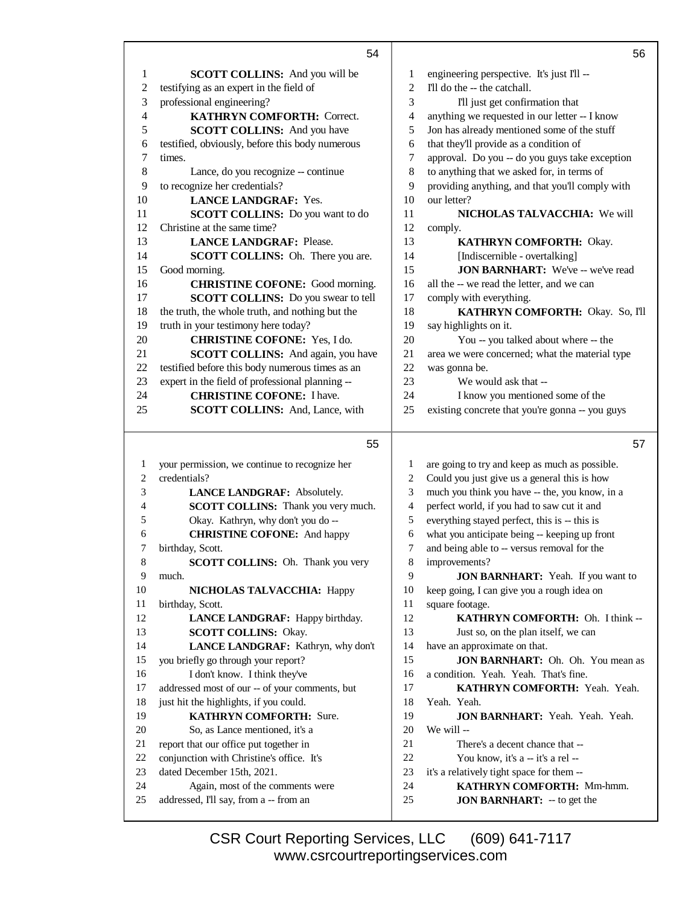|                | 54                                              |            | 56                                              |
|----------------|-------------------------------------------------|------------|-------------------------------------------------|
| 1              | <b>SCOTT COLLINS:</b> And you will be           | 1          | engineering perspective. It's just I'll --      |
| $\overline{c}$ | testifying as an expert in the field of         | $\sqrt{2}$ | I'll do the -- the catchall.                    |
| 3              | professional engineering?                       | 3          | I'll just get confirmation that                 |
| $\overline{4}$ | <b>KATHRYN COMFORTH: Correct.</b>               | 4          | anything we requested in our letter -- I know   |
| 5              | <b>SCOTT COLLINS:</b> And you have              | 5          | Jon has already mentioned some of the stuff     |
| 6              | testified, obviously, before this body numerous | 6          | that they'll provide as a condition of          |
| 7              | times.                                          | 7          | approval. Do you -- do you guys take exception  |
| $8\,$          | Lance, do you recognize -- continue             | 8          | to anything that we asked for, in terms of      |
| 9              | to recognize her credentials?                   | 9          | providing anything, and that you'll comply with |
| 10             | <b>LANCE LANDGRAF: Yes.</b>                     | 10         | our letter?                                     |
| 11             | <b>SCOTT COLLINS:</b> Do you want to do         | 11         | NICHOLAS TALVACCHIA: We will                    |
| 12             | Christine at the same time?                     | 12         |                                                 |
| 13             |                                                 | 13         | comply.<br>KATHRYN COMFORTH: Okay.              |
| 14             | <b>LANCE LANDGRAF: Please.</b>                  | 14         | [Indiscernible - overtalking]                   |
|                | SCOTT COLLINS: Oh. There you are.               |            |                                                 |
| 15             | Good morning.                                   | 15         | <b>JON BARNHART:</b> We've -- we've read        |
| 16             | <b>CHRISTINE COFONE:</b> Good morning.          | 16         | all the -- we read the letter, and we can       |
| 17             | SCOTT COLLINS: Do you swear to tell             | 17         | comply with everything.                         |
| 18             | the truth, the whole truth, and nothing but the | 18         | KATHRYN COMFORTH: Okay. So, I'll                |
| 19             | truth in your testimony here today?             | 19         | say highlights on it.                           |
| 20             | <b>CHRISTINE COFONE:</b> Yes, I do.             | 20         | You -- you talked about where -- the            |
| 21             | SCOTT COLLINS: And again, you have              | 21         | area we were concerned; what the material type  |
| 22             | testified before this body numerous times as an | 22         | was gonna be.                                   |
| 23             | expert in the field of professional planning -- | 23         | We would ask that --                            |
| 24             | <b>CHRISTINE COFONE: I have.</b>                | 24         | I know you mentioned some of the                |
| 25             | SCOTT COLLINS: And, Lance, with                 | 25         | existing concrete that you're gonna -- you guys |
|                | 55                                              |            | 57                                              |
|                |                                                 |            |                                                 |
|                |                                                 |            |                                                 |
| 1              | your permission, we continue to recognize her   | 1          | are going to try and keep as much as possible.  |
| $\overline{c}$ | credentials?                                    | $\sqrt{2}$ | Could you just give us a general this is how    |
| 3              | LANCE LANDGRAF: Absolutely.                     | 3          | much you think you have -- the, you know, in a  |
| 4              | <b>SCOTT COLLINS:</b> Thank you very much.      | 4          | perfect world, if you had to saw cut it and     |
| 5              | Okay. Kathryn, why don't you do --              | 5          | everything stayed perfect, this is -- this is   |
| 6              | <b>CHRISTINE COFONE:</b> And happy              | 6          | what you anticipate being -- keeping up front   |
| 7              | birthday, Scott.                                | 7          | and being able to -- versus removal for the     |
| $\,$ 8 $\,$    | SCOTT COLLINS: Oh. Thank you very               | 8          | improvements?                                   |
| 9              | much.                                           | 9          | JON BARNHART: Yeah. If you want to              |
| 10             | NICHOLAS TALVACCHIA: Happy                      | 10         | keep going, I can give you a rough idea on      |
| 11             | birthday, Scott.                                | 11         | square footage.                                 |
| 12             | LANCE LANDGRAF: Happy birthday.                 | 12         | KATHRYN COMFORTH: Oh. I think --                |
| 13             | <b>SCOTT COLLINS: Okay.</b>                     | 13         | Just so, on the plan itself, we can             |
| 14             | LANCE LANDGRAF: Kathryn, why don't              | 14         | have an approximate on that.                    |
| 15             | you briefly go through your report?             | 15         | JON BARNHART: Oh. Oh. You mean as               |
| 16             | I don't know. I think they've                   | 16         | a condition. Yeah. Yeah. That's fine.           |
| 17             | addressed most of our -- of your comments, but  | 17         | KATHRYN COMFORTH: Yeah. Yeah.                   |
| 18             | just hit the highlights, if you could.          | 18         | Yeah. Yeah.                                     |
| 19             | KATHRYN COMFORTH: Sure.                         | 19         | <b>JON BARNHART:</b> Yeah. Yeah. Yeah.          |
| 20             | So, as Lance mentioned, it's a                  | 20         | We will --                                      |
| 21             | report that our office put together in          | 21         | There's a decent chance that --                 |
| 22             | conjunction with Christine's office. It's       | 22         | You know, it's a -- it's a rel --               |
| 23             | dated December 15th, 2021.                      | 23         | it's a relatively tight space for them --       |
| 24             | Again, most of the comments were                | 24         | KATHRYN COMFORTH: Mm-hmm.                       |
| 25             | addressed, I'll say, from a -- from an          | 25         | <b>JON BARNHART:</b> -- to get the              |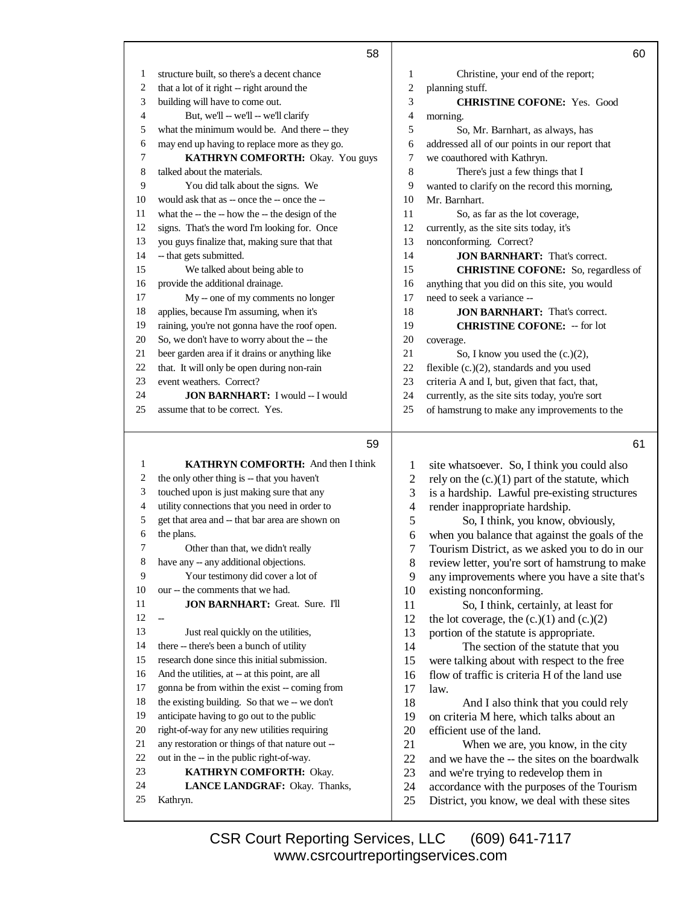|        | 58                                                                                         |                | 60                                                                                    |
|--------|--------------------------------------------------------------------------------------------|----------------|---------------------------------------------------------------------------------------|
| 1      | structure built, so there's a decent chance                                                | 1              | Christine, your end of the report;                                                    |
| 2      | that a lot of it right -- right around the                                                 | $\sqrt{2}$     | planning stuff.                                                                       |
| 3      | building will have to come out.                                                            | 3              | <b>CHRISTINE COFONE:</b> Yes. Good                                                    |
| 4      | But, we'll -- we'll -- we'll clarify                                                       | 4              | morning.                                                                              |
| 5      | what the minimum would be. And there -- they                                               | 5              | So, Mr. Barnhart, as always, has                                                      |
| 6      | may end up having to replace more as they go.                                              | 6              | addressed all of our points in our report that                                        |
| 7      | KATHRYN COMFORTH: Okay. You guys                                                           | 7              | we coauthored with Kathryn.                                                           |
| 8      | talked about the materials.                                                                | 8              | There's just a few things that I                                                      |
| 9      | You did talk about the signs. We                                                           | 9              | wanted to clarify on the record this morning,                                         |
| 10     | would ask that as -- once the -- once the --                                               | 10             | Mr. Barnhart.                                                                         |
| 11     | what the -- the -- how the -- the design of the                                            | 11             | So, as far as the lot coverage,                                                       |
| 12     | signs. That's the word I'm looking for. Once                                               | 12             | currently, as the site sits today, it's                                               |
| 13     | you guys finalize that, making sure that that                                              | 13             | nonconforming. Correct?                                                               |
| 14     | -- that gets submitted.                                                                    | 14             | <b>JON BARNHART:</b> That's correct.                                                  |
| 15     | We talked about being able to                                                              | 15             | <b>CHRISTINE COFONE:</b> So, regardless of                                            |
| 16     | provide the additional drainage.                                                           | 16             | anything that you did on this site, you would                                         |
| 17     | My -- one of my comments no longer                                                         | 17             | need to seek a variance --                                                            |
| 18     | applies, because I'm assuming, when it's                                                   | 18             | <b>JON BARNHART:</b> That's correct.                                                  |
| 19     | raining, you're not gonna have the roof open.                                              | 19             | <b>CHRISTINE COFONE:</b> -- for lot                                                   |
| 20     | So, we don't have to worry about the -- the                                                | 20             | coverage.                                                                             |
| 21     | beer garden area if it drains or anything like                                             | 21             | So, I know you used the $(c.)(2)$ ,                                                   |
| 22     | that. It will only be open during non-rain                                                 | 22             | flexible (c.)(2), standards and you used                                              |
| 23     | event weathers. Correct?                                                                   | 23             | criteria A and I, but, given that fact, that,                                         |
| 24     | <b>JON BARNHART: I would - I would</b>                                                     | 24             | currently, as the site sits today, you're sort                                        |
| 25     | assume that to be correct. Yes.                                                            | 25             | of hamstrung to make any improvements to the                                          |
|        |                                                                                            |                |                                                                                       |
|        |                                                                                            |                |                                                                                       |
|        | 59                                                                                         |                | 61                                                                                    |
|        |                                                                                            |                |                                                                                       |
| 1<br>2 | KATHRYN COMFORTH: And then I think                                                         | $\mathbf{1}$   | site whatsoever. So, I think you could also                                           |
| 3      | the only other thing is -- that you haven't                                                | $\overline{c}$ | rely on the $(c.)(1)$ part of the statute, which                                      |
| 4      | touched upon is just making sure that any<br>utility connections that you need in order to | 3              | is a hardship. Lawful pre-existing structures                                         |
| 5      | get that area and -- that bar area are shown on                                            | 4              | render inappropriate hardship.                                                        |
| 6      | the plans.                                                                                 | 5<br>6         | So, I think, you know, obviously,                                                     |
| 7      | Other than that, we didn't really                                                          | 7              | when you balance that against the goals of the                                        |
|        | have any -- any additional objections.                                                     | 8              | Tourism District, as we asked you to do in our                                        |
| 9      | Your testimony did cover a lot of                                                          | 9              | review letter, you're sort of hamstrung to make                                       |
| 10     | our -- the comments that we had.                                                           | 10             | any improvements where you have a site that's                                         |
| 11     | <b>JON BARNHART:</b> Great. Sure. I'll                                                     | 11             | existing nonconforming.                                                               |
| 12     | $\overline{\phantom{0}}$                                                                   | 12             | So, I think, certainly, at least for<br>the lot coverage, the $(c.)(1)$ and $(c.)(2)$ |
| 13     | Just real quickly on the utilities,                                                        | 13             | portion of the statute is appropriate.                                                |
| 14     | there -- there's been a bunch of utility                                                   | 14             | The section of the statute that you                                                   |
| 15     | research done since this initial submission.                                               | 15             | were talking about with respect to the free                                           |
| 16     | And the utilities, at -- at this point, are all                                            | 16             | flow of traffic is criteria H of the land use                                         |
| 17     | gonna be from within the exist -- coming from                                              | 17             | law.                                                                                  |
| 18     | the existing building. So that we -- we don't                                              | 18             | And I also think that you could rely                                                  |
| 19     | anticipate having to go out to the public                                                  | 19             | on criteria M here, which talks about an                                              |
| 20     | right-of-way for any new utilities requiring                                               | 20             | efficient use of the land.                                                            |
| 21     | any restoration or things of that nature out --                                            | 21             | When we are, you know, in the city                                                    |
| 22     | out in the -- in the public right-of-way.                                                  | 22             | and we have the -- the sites on the boardwalk                                         |
| 23     | KATHRYN COMFORTH: Okay.                                                                    | 23             | and we're trying to redevelop them in                                                 |
| 24     | LANCE LANDGRAF: Okay. Thanks,                                                              | 24             | accordance with the purposes of the Tourism                                           |
| 25     | Kathryn.                                                                                   | 25             | District, you know, we deal with these sites                                          |

Г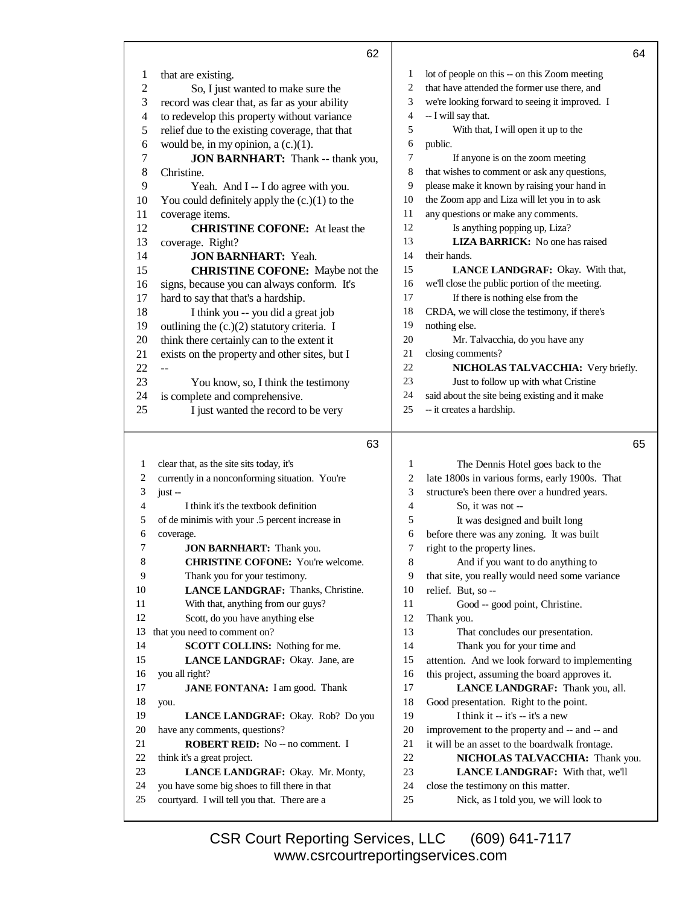|                | 62                                                                                            |          | 64                                                                          |
|----------------|-----------------------------------------------------------------------------------------------|----------|-----------------------------------------------------------------------------|
| 1              | that are existing.                                                                            | 1        | lot of people on this -- on this Zoom meeting                               |
| $\mathfrak{2}$ | So, I just wanted to make sure the                                                            | 2        | that have attended the former use there, and                                |
| 3              | record was clear that, as far as your ability                                                 | 3        | we're looking forward to seeing it improved. I                              |
| $\overline{4}$ | to redevelop this property without variance                                                   | 4        | -- I will say that.                                                         |
| 5              | relief due to the existing coverage, that that                                                | 5        | With that, I will open it up to the                                         |
| $\epsilon$     | would be, in my opinion, a $(c.)(1)$ .                                                        | 6        | public.                                                                     |
| 7              | <b>JON BARNHART:</b> Thank -- thank you,                                                      | 7        | If anyone is on the zoom meeting                                            |
| $\,8$          | Christine.                                                                                    | 8        | that wishes to comment or ask any questions,                                |
| 9              | Yeah. And I -- I do agree with you.                                                           | 9        | please make it known by raising your hand in                                |
| 10             | You could definitely apply the $(c.)(1)$ to the                                               | 10       | the Zoom app and Liza will let you in to ask                                |
| 11             | coverage items.                                                                               | 11       | any questions or make any comments.                                         |
| 12             | <b>CHRISTINE COFONE:</b> At least the                                                         | 12       | Is anything popping up, Liza?                                               |
| 13             | coverage. Right?                                                                              | 13       | LIZA BARRICK: No one has raised                                             |
| 14             | <b>JON BARNHART: Yeah.</b>                                                                    | 14       | their hands.                                                                |
| 15             | <b>CHRISTINE COFONE:</b> Maybe not the                                                        | 15       | LANCE LANDGRAF: Okay. With that,                                            |
| 16             | signs, because you can always conform. It's                                                   | 16       | we'll close the public portion of the meeting.                              |
| 17             | hard to say that that's a hardship.                                                           | 17       | If there is nothing else from the                                           |
| 18             | I think you -- you did a great job                                                            | 18       | CRDA, we will close the testimony, if there's                               |
| 19             | outlining the (c.)(2) statutory criteria. I                                                   | 19       | nothing else.                                                               |
| 20             | think there certainly can to the extent it                                                    | 20       | Mr. Talvacchia, do you have any                                             |
| 21             | exists on the property and other sites, but I                                                 | 21       | closing comments?                                                           |
| 22             |                                                                                               | 22       | NICHOLAS TALVACCHIA: Very briefly.                                          |
| 23             | You know, so, I think the testimony                                                           | 23       | Just to follow up with what Cristine                                        |
| 24             | is complete and comprehensive.                                                                | 24       | said about the site being existing and it make                              |
| 25             | I just wanted the record to be very                                                           | 25       | -- it creates a hardship.                                                   |
|                |                                                                                               |          |                                                                             |
|                | 63                                                                                            |          | 65                                                                          |
|                |                                                                                               |          |                                                                             |
| 1<br>2         | clear that, as the site sits today, it's                                                      | 1        | The Dennis Hotel goes back to the                                           |
| 3              | currently in a nonconforming situation. You're                                                | 2        | late 1800s in various forms, early 1900s. That                              |
| 4              | $just -$<br>I think it's the textbook definition                                              | 3<br>4   | structure's been there over a hundred years.                                |
| 5              |                                                                                               | 5        | So, it was not --                                                           |
| 6              | of de minimis with your .5 percent increase in                                                | 6        | It was designed and built long                                              |
| 7              | coverage.                                                                                     | 7        | before there was any zoning. It was built<br>right to the property lines.   |
| 8              | JON BARNHART: Thank you.<br><b>CHRISTINE COFONE:</b> You're welcome.                          | 8        | And if you want to do anything to                                           |
| 9              | Thank you for your testimony.                                                                 | 9        | that site, you really would need some variance                              |
| 10             | LANCE LANDGRAF: Thanks, Christine.                                                            | 10       | relief. But, so --                                                          |
| 11             | With that, anything from our guys?                                                            | 11       | Good -- good point, Christine.                                              |
| 12             | Scott, do you have anything else                                                              | 12       | Thank you.                                                                  |
| 13             | that you need to comment on?                                                                  | 13       | That concludes our presentation.                                            |
| 14             | SCOTT COLLINS: Nothing for me.                                                                | 14       | Thank you for your time and                                                 |
| 15             | LANCE LANDGRAF: Okay. Jane, are                                                               | 15       | attention. And we look forward to implementing                              |
| 16             | you all right?                                                                                | 16       | this project, assuming the board approves it.                               |
| 17             | <b>JANE FONTANA:</b> I am good. Thank                                                         | 17       | LANCE LANDGRAF: Thank you, all.                                             |
| 18             | you.                                                                                          | 18       | Good presentation. Right to the point.                                      |
| 19             | LANCE LANDGRAF: Okay. Rob? Do you                                                             | 19       | I think it -- it's -- it's a new                                            |
| 20             | have any comments, questions?                                                                 | 20       | improvement to the property and -- and -- and                               |
| 21             | ROBERT REID: No -- no comment. I                                                              | 21       | it will be an asset to the boardwalk frontage.                              |
| 22             | think it's a great project.                                                                   | 22       | NICHOLAS TALVACCHIA: Thank you.                                             |
| 23             | LANCE LANDGRAF: Okay. Mr. Monty,                                                              | 23       | LANCE LANDGRAF: With that, we'll                                            |
| 24<br>25       | you have some big shoes to fill there in that<br>courtyard. I will tell you that. There are a | 24<br>25 | close the testimony on this matter.<br>Nick, as I told you, we will look to |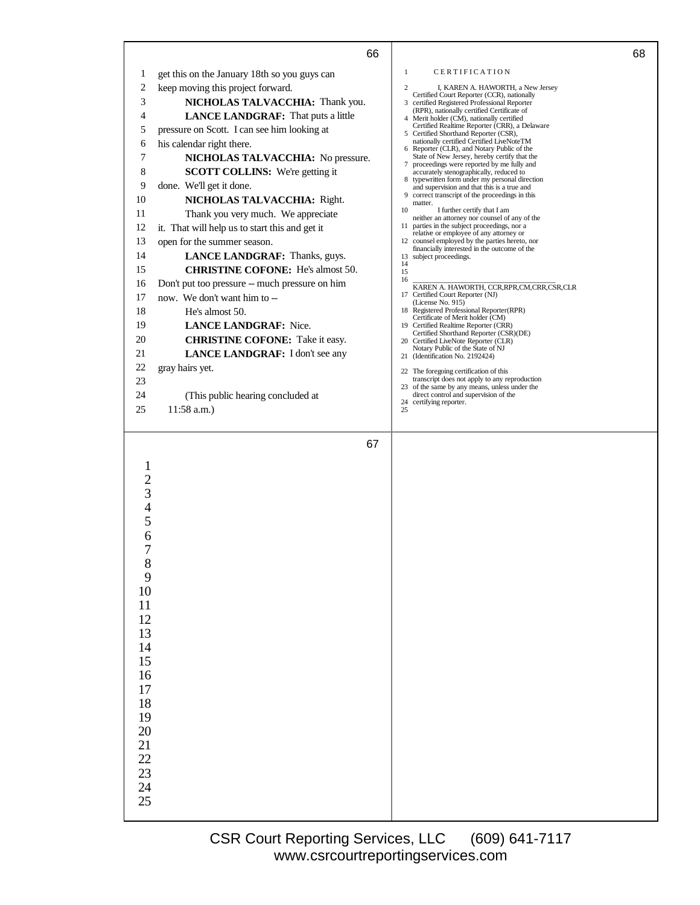|       | 66                                             | 68                                                                                            |
|-------|------------------------------------------------|-----------------------------------------------------------------------------------------------|
| 1     | get this on the January 18th so you guys can   | CERTIFICATION<br>1                                                                            |
| 2     | keep moving this project forward.              | $\overline{c}$<br>I, KAREN A. HAWORTH, a New Jersey                                           |
| 3     | NICHOLAS TALVACCHIA: Thank you.                | Certified Court Reporter (CCR), nationally<br>3 certified Registered Professional Reporter    |
| 4     | LANCE LANDGRAF: That puts a little             | (RPR), nationally certified Certificate of<br>4 Merit holder (CM), nationally certified       |
| 5     | pressure on Scott. I can see him looking at    | Certified Realtime Reporter (CRR), a Delaware<br>5 Certified Shorthand Reporter (CSR),        |
| 6     | his calendar right there.                      | nationally certified Certified LiveNoteTM<br>6 Reporter (CLR), and Notary Public of the       |
| 7     | NICHOLAS TALVACCHIA: No pressure.              | State of New Jersey, hereby certify that the                                                  |
| 8     | <b>SCOTT COLLINS:</b> We're getting it         | proceedings were reported by me fully and<br>7<br>accurately stenographically, reduced to     |
| 9     | done. We'll get it done.                       | 8 typewritten form under my personal direction<br>and supervision and that this is a true and |
| 10    | NICHOLAS TALVACCHIA: Right.                    | correct transcript of the proceedings in this<br>9<br>matter.                                 |
| 11    | Thank you very much. We appreciate             | 10<br>I further certify that I am<br>neither an attorney nor counsel of any of the            |
| 12    | it. That will help us to start this and get it | parties in the subject proceedings, nor a<br>11                                               |
| 13    | open for the summer season.                    | relative or employee of any attorney or<br>12 counsel employed by the parties hereto, nor     |
| 14    | LANCE LANDGRAF: Thanks, guys.                  | financially interested in the outcome of the<br>13 subject proceedings.                       |
| 15    | <b>CHRISTINE COFONE:</b> He's almost 50.       | 14<br>15                                                                                      |
| 16    | Don't put too pressure -- much pressure on him | 16<br>KAREN A. HAWORTH, CCR, RPR, CM, CRR, CSR, CLR                                           |
| 17    | now. We don't want him to --                   | 17 Certified Court Reporter (NJ)                                                              |
| 18    | He's almost 50.                                | (License No. 915)<br>18 Registered Professional Reporter(RPR)                                 |
| 19    | <b>LANCE LANDGRAF: Nice.</b>                   | Certificate of Merit holder (CM)<br>19 Certified Realtime Reporter (CRR)                      |
| 20    | <b>CHRISTINE COFONE:</b> Take it easy.         | Certified Shorthand Reporter (CSR)(DE)<br>20 Certified LiveNote Reporter (CLR)                |
| 21    | LANCE LANDGRAF: I don't see any                | Notary Public of the State of NJ<br>21 (Identification No. 2192424)                           |
| 22    | gray hairs yet.                                |                                                                                               |
| 23    |                                                | 22 The foregoing certification of this<br>transcript does not apply to any reproduction       |
| 24    | (This public hearing concluded at              | 23 of the same by any means, unless under the<br>direct control and supervision of the        |
| 25    | 11:58 a.m.)                                    | 24 certifying reporter.<br>25                                                                 |
|       |                                                |                                                                                               |
|       | 67                                             |                                                                                               |
|       |                                                |                                                                                               |
|       |                                                |                                                                                               |
|       |                                                |                                                                                               |
| 3     |                                                |                                                                                               |
|       |                                                |                                                                                               |
| 5     |                                                |                                                                                               |
| 6     |                                                |                                                                                               |
| 7     |                                                |                                                                                               |
| $8\,$ |                                                |                                                                                               |
| 9     |                                                |                                                                                               |
| 10    |                                                |                                                                                               |
| 11    |                                                |                                                                                               |
| 12    |                                                |                                                                                               |
| 13    |                                                |                                                                                               |
| 14    |                                                |                                                                                               |
| 15    |                                                |                                                                                               |
| 16    |                                                |                                                                                               |
| 17    |                                                |                                                                                               |
| 18    |                                                |                                                                                               |
| 19    |                                                |                                                                                               |
| 20    |                                                |                                                                                               |
| 21    |                                                |                                                                                               |
| 22    |                                                |                                                                                               |
| 23    |                                                |                                                                                               |
| 24    |                                                |                                                                                               |
| 25    |                                                |                                                                                               |
|       |                                                |                                                                                               |

a l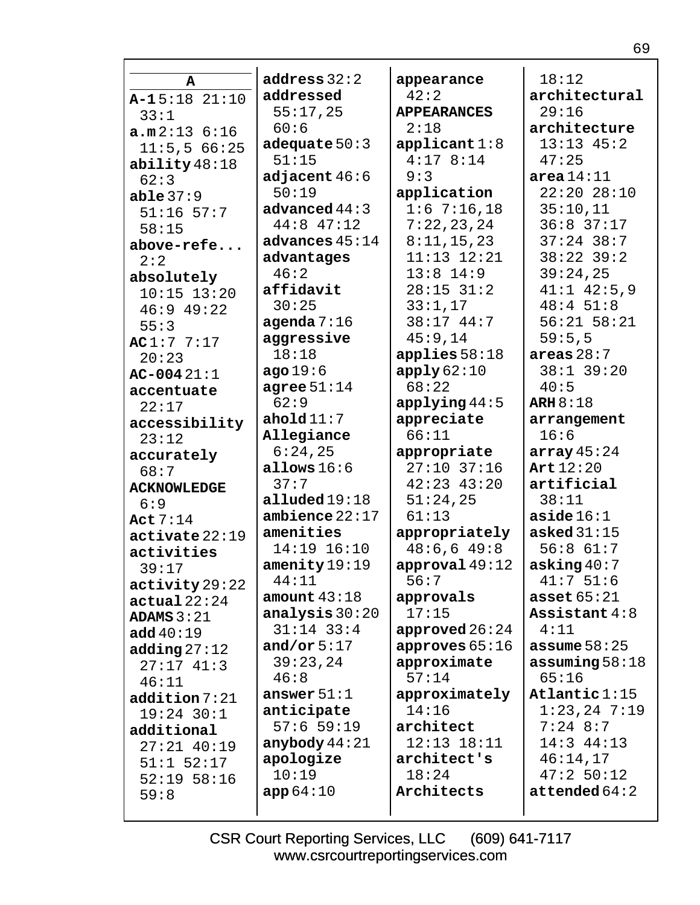|                    | address $32:2$           |                    | 18:12                    |
|--------------------|--------------------------|--------------------|--------------------------|
| A                  | addressed                | appearance<br>42:2 | architectural            |
| $A-15:18$ 21:10    |                          |                    | 29:16                    |
| 33:1               | 55:17,25                 | <b>APPEARANCES</b> |                          |
| a.m.2:136:16       | 60:6                     | 2:18               | architecture             |
| 11:5,566:25        | adequate $50:3$          | applicant 1:8      | $13:13$ $45:2$           |
| ability $48:18$    | 51:15                    | 4:178:14           | 47:25                    |
| 62:3               | adjacent $46:6$          | 9:3                | area 14:11               |
| able $37:9$        | 50:19                    | application        | 22:2028:10               |
| $51:16$ 57:7       | advanced $44:3$          | 1:67:16,18         | 35:10,11                 |
| 58:15              | $44:8$ $47:12$           | 7:22,23,24         | $36:8$ 37:17             |
| above-refe         | advances $45:14$         | 8:11,15,23         | $37:24$ 38:7             |
| 2:2                | advantages               | $11:13$ $12:21$    | $38:22$ 39:2             |
| absolutely         | 46:2                     | $13:8$ 14:9        | 39:24,25                 |
| $10:15$ $13:20$    | affidavit                | $28:15$ $31:2$     | $41:1$ $42:5,9$          |
| $46:9$ $49:22$     | 30:25                    | 33:1,17            | 48:451:8                 |
| 55:3               | agenda $7:16$            | 38:17 44:7         | $56:21$ $58:21$          |
| AC1:77:17          | aggressive               | 45:9,14            | 59:5,5                   |
| 20:23              | 18:18                    | applies $58:18$    | areas $28:7$             |
| $AC-00421:1$       | ago19:6                  | apply62:10         | 38:1 39:20               |
| accentuate         | agree $51:14$            | 68:22              | 40:5                     |
| 22:17              | 62:9                     | applying 44:5      | ARH $8:18$               |
| accessibility      | ahold $11:7$             | appreciate         | arrangement              |
| 23:12              | Allegiance               | 66:11              | 16:6                     |
| accurately         | 6:24,25                  | appropriate        | array $45:24$            |
| 68:7               | allows $16:6$            | $27:10$ 37:16      | Art $12:20$              |
| <b>ACKNOWLEDGE</b> | 37:7                     | $42:23$ $43:20$    | artificial               |
| 6:9                | alluded 19:18            | 51:24,25           | 38:11                    |
| Act $7:14$         | ambience $22:17$         | 61:13              | aside $16:1$             |
| active22:19        | amenities                | appropriately      | asked $31:15$            |
| activities         | 14:19 16:10              | 48:6,649:8         | 56:861:7                 |
| 39:17              | $\mathtt{amentity}19:19$ | approval $49:12$   | asking $40:7$            |
| activity29:22      | 44:11                    | 56:7               | 41:751:6                 |
| actual22:24        | amount $43:18$           | approvals          | asset $65:21$            |
| ADAMS $3:21$       | analysis $30:20$         | 17:15              | Assistant $4:8$          |
| add 40:19          | $31:14$ $33:4$           | approved $26:24$   | 4:11                     |
| adding $27:12$     | and/or $5:17$            | approves $65:16$   | assume $58:25$           |
| $27:17$ 41:3       | 39:23,24                 | approximate        | assuming $58:18$         |
| 46:11              | 46:8                     | 57:14              | 65:16                    |
| addition 7:21      | answer $51:1$            | approximately      | $\texttt{Atlantic1:15}$  |
| $19:24$ 30:1       | anticipate               | 14:16              | $1:23,24$ 7:19           |
| additional         | $57:6$ 59:19             | architect          | $7:24$ 8:7               |
| $27:21$ $40:19$    | anybody $44:21$          | $12:13$ $18:11$    | $14:3$ $44:13$           |
| $51:1$ $52:17$     | apologize                | architect's        | 46:14,17                 |
| $52:19$ $58:16$    | 10:19                    | 18:24              | 47:250:12                |
| 59:8               | app64:10                 | Architects         | $\texttt{attended} 64:2$ |
|                    |                          |                    |                          |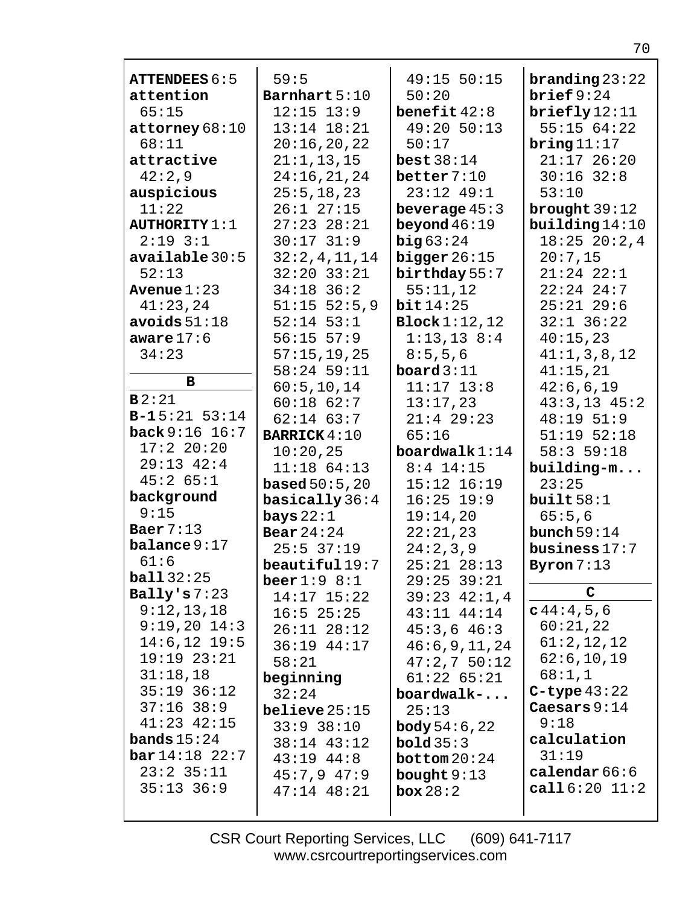| <b>ATTENDEES 6:5</b>     | 59:5                | 49:15 50:15      | $branching 23:22$ |
|--------------------------|---------------------|------------------|-------------------|
| attention                | Barnhart 5:10       | 50:20            | brief $9:24$      |
| 65:15                    | $12:15$ $13:9$      | benefit $42:8$   | briefly12:11      |
| $\texttt{attorney}68:10$ | $13:14$ $18:21$     | 49:20 50:13      | 55:1564:22        |
| 68:11                    | 20:16,20,22         | 50:17            | bring $11:17$     |
| attractive               | 21:1, 13, 15        | best 38:14       | $21:17$ 26:20     |
| 42:2,9                   | 24:16,21,24         | better $7:10$    | $30:16$ $32:8$    |
| auspicious               | 25:5, 18, 23        | $23:12$ 49:1     | 53:10             |
| 11:22                    | $26:1$ $27:15$      | beverage $45:3$  | brought $39:12$   |
| <b>AUTHORITY 1:1</b>     | $27:23$ $28:21$     | beyond $46:19$   | building $14:10$  |
| $2:19$ $3:1$             | $30:17$ 31:9        | big63:24         | $18:25$ $20:2,4$  |
| available 30:5           | 32:2,4,11,14        | bigger $26:15$   | 20:7,15           |
| 52:13                    | $32:20$ $33:21$     | birthday 55:7    | $21:24$ $22:1$    |
| Avenue $1:23$            | $34:18$ 36:2        | 55:11,12         | $22:24$ 24:7      |
| 41:23,24                 | $51:15$ $52:5,9$    | bit14:25         | $25:21$ 29:6      |
| avoids $51:18$           | $52:14$ $53:1$      | Block 1:12,12    | $32:1$ $36:22$    |
| aware $17:6$             | $56:15$ $57:9$      | 1:13,138:4       | 40:15,23          |
| 34:23                    | 57:15,19,25         | 8:5,5,6          | 41:1,3,8,12       |
|                          | $58:24$ 59:11       | board $3:11$     | 41:15,21          |
| в                        | 60:5, 10, 14        | $11:17$ $13:8$   | 42:6,6,19         |
| B2:21                    | $60:18$ $62:7$      | 13:17,23         | $43:3,13$ $45:2$  |
| $B-15:21 53:14$          | $62:14$ $63:7$      | $21:4$ 29:23     | 48:19 51:9        |
| back 9:16 16:7           | <b>BARRICK 4:10</b> | 65:16            | $51:19$ $52:18$   |
| 17:220:20                | 10:20,25            | boardwalk $1:14$ | 58:359:18         |
| $29:13$ $42:4$           | $11:18$ 64:13       | $8:4$ 14:15      | building-m        |
| 45:265:1                 | based $50:5$ , $20$ | $15:12$ $16:19$  | 23:25             |
| background               | basically $36:4$    | $16:25$ 19:9     | built $58:1$      |
| 9:15                     | bays $22:1$         | 19:14,20         | 65:5,6            |
| Baer $7:13$              | Bear $24:24$        | 22:21,23         | bunch $59:14$     |
| balance 9:17             | $25:5$ 37:19        | 24:2,3,9         | business $17:7$   |
| 61:6                     | beautiful19:7       | $25:21$ $28:13$  | Byron $7:13$      |
| ball32:25                | beer $1:9$ $8:1$    | $29:25$ 39:21    |                   |
| Bally's $7:23$           | $14:17$ $15:22$     | $39:23$ $42:1,4$ | C                 |
| 9:12,13,18               | $16:5$ 25:25        | $43:11$ $44:14$  | c44:4,5,6         |
| $9:19,20$ $14:3$         | $26:11$ $28:12$     | $45:3,6$ $46:3$  | 60:21,22          |
| $14:6, 12$ 19:5          | 36:19 44:17         | 46:6,9,11,24     | 61:2,12,12        |
| 19:1923:21               | 58:21               | 47:2,750:12      | 62:6, 10, 19      |
| 31:18,18                 | beginning           | $61:22$ $65:21$  | 68:1,1            |
| $35:19$ $36:12$          | 32:24               | boardwalk-       | $C$ -type $43:22$ |
| $37:16$ $38:9$           | belice25:15         | 25:13            | Caesars $9:14$    |
| $41:23$ $42:15$          | $33:9$ $38:10$      | $body\,54:6,22$  | 9:18              |
| <b>bands</b> $15:24$     | $38:14$ $43:12$     | bold35:3         | calculation       |
|                          |                     |                  | 31:19             |
| $bar 14:18$ 22:7         |                     |                  |                   |
| $23:2$ 35:11             | $43:19$ $44:8$      | bottom $20:24$   | calendar $66:6$   |
| $35:13$ $36:9$           | $45:7,9$ $47:9$     | bought $9:13$    | call 6:20 11:2    |
|                          | $47:14$ $48:21$     | box 28:2         |                   |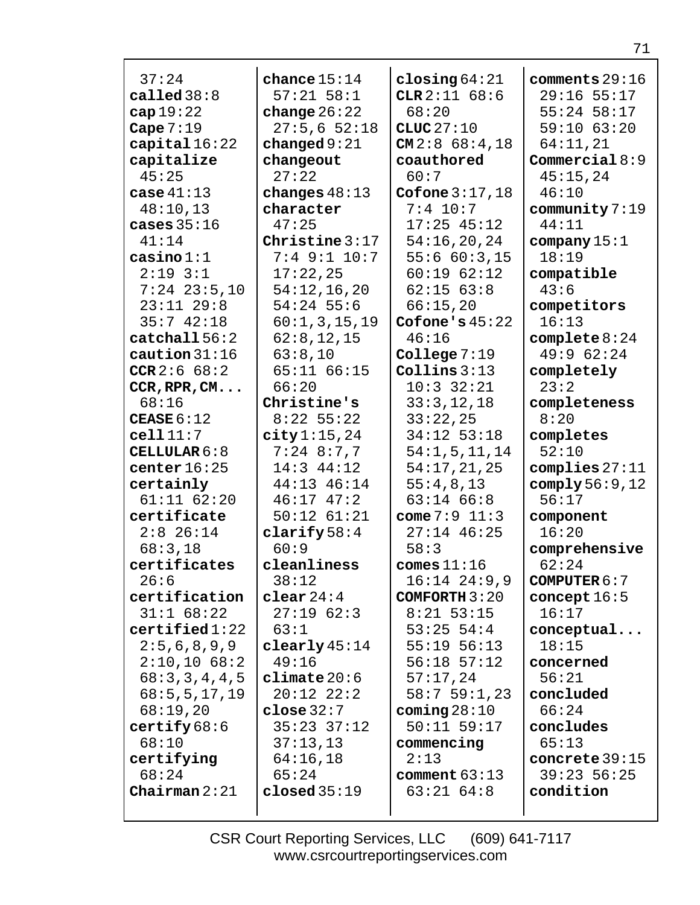| 37:24                    | chance $15:14$               | closing $64:21$                | comments $29:16$                 |
|--------------------------|------------------------------|--------------------------------|----------------------------------|
| called $38:8$            | $57:21$ $58:1$               | CLR $2:11$ 68:6                | $29:16$ 55:17                    |
| cap $19:22$              | change $26:22$               | 68:20                          | $55:24$ 58:17                    |
| Cape $7:19$              | 27:5,652:18                  | CLUC $27:10$                   | 59:10 63:20                      |
| capital $16:22$          | changed $9:21$               | $CM2:8$ 68:4,18                | 64:11,21                         |
| capitalize               | changeout                    | coauthored                     | Commercial $8:9$                 |
| 45:25                    | 27:22                        | 60:7                           | 45:15,24                         |
| case $41:13$             | changes $48:13$              | Cofone $3:17,18$               | 46:10                            |
| 48:10,13                 | character                    | $7:4$ 10:7                     | community $7:19$                 |
| cases $35:16$            | 47:25                        | $17:25$ 45:12                  | 44:11                            |
| 41:14                    | Christine $3:17$             | 54:16,20,24                    | company $15:1$                   |
| $\cosh 1:1$              | $7:4$ 9:1 10:7               | 55:660:3,15                    | 18:19                            |
| $2:19$ $3:1$             | 17:22,25                     | 60:1962:12                     | compatible                       |
| $7:24$ $23:5,10$         | 54:12,16,20                  | $62:15$ $63:8$                 | 43:6                             |
| $23:11$ $29:8$           | $54:24$ 55:6                 | 66:15,20                       | competitors                      |
| 35:742:18                | 60:1,3,15,19                 | Cofone's $45:22$               | 16:13                            |
| catchal156:2             | 62:8, 12, 15                 | 46:16                          | complete $8:24$                  |
| caution $31:16$          | 63:8,10                      | College $7:19$                 | 49:9 62:24                       |
| CCR $2:6$ 68:2           | 65:11 66:15                  | Collins $3:13$                 | completely                       |
| CCR, RPR, CM             | 66:20                        | $10:3$ 32:21                   | 23:2                             |
| 68:16                    | Christine's                  | 33:3,12,18                     | completeness                     |
| CEASE $6:12$<br>cell11:7 | $8:22$ 55:22                 | 33:22,25                       | 8:20                             |
| CELLULAR $6:8$           | city 1:15,24<br>$7:24$ 8:7,7 | 34:12 53:18<br>54:1, 5, 11, 14 | completes<br>52:10               |
| center $16:25$           | $14:3$ $44:12$               | 54:17,21,25                    | complies $27:11$                 |
| certainly                | 44:13 46:14                  | 55:4,8,13                      | comply $56:9,12$                 |
| $61:11$ $62:20$          | $46:17$ $47:2$               | $63:14$ $66:8$                 | 56:17                            |
| certificate              | $50:12$ $61:21$              | come $7:9$ 11:3                | component                        |
| $2:8$ 26:14              | clarify $58:4$               | $27:14$ 46:25                  | 16:20                            |
| 68:3,18                  | 60:9                         | 58:3                           | comprehensive                    |
| certificates             | cleanliness                  | comes $11:16$                  | 62:24                            |
| 26:6                     | 38:12                        | $16:14$ $24:9,9$               | <b>COMPUTER <math>6:7</math></b> |
| certification            | clear $24:4$                 | COMFORTH $3:20$                | concept $16:5$                   |
| $31:1$ 68:22             | 27:1962:3                    | $8:21$ 53:15                   | 16:17                            |
| certified1:22            | 63:1                         | $53:25$ 54:4                   | conceptual                       |
| 2:5,6,8,9,9              | clearly $45:14$              | $55:19$ $56:13$                | 18:15                            |
| $2:10,10$ 68:2           | 49:16                        | $56:18$ $57:12$                | concerned                        |
| 68:3,3,4,4,5             | climate 20:6                 | 57:17,24                       | 56:21                            |
| 68:5, 5, 17, 19          | $20:12$ $22:2$               | 58:759:1,23                    | concluded                        |
| 68:19,20                 | close~32:7                   | coming $28:10$                 | 66:24                            |
| certify 68:6             | $35:23$ $37:12$              | $50:11$ $59:17$                | concludes                        |
| 68:10                    | 37:13,13                     | commencing                     | 65:13                            |
| certifying               | 64:16,18                     | 2:13                           | concrete $39:15$                 |
| 68:24                    | 65:24                        | comment $63:13$                | $39:23$ 56:25                    |
| Chairman $2:21$          | closed $35:19$               | $63:21$ $64:8$                 | condition                        |
|                          |                              |                                |                                  |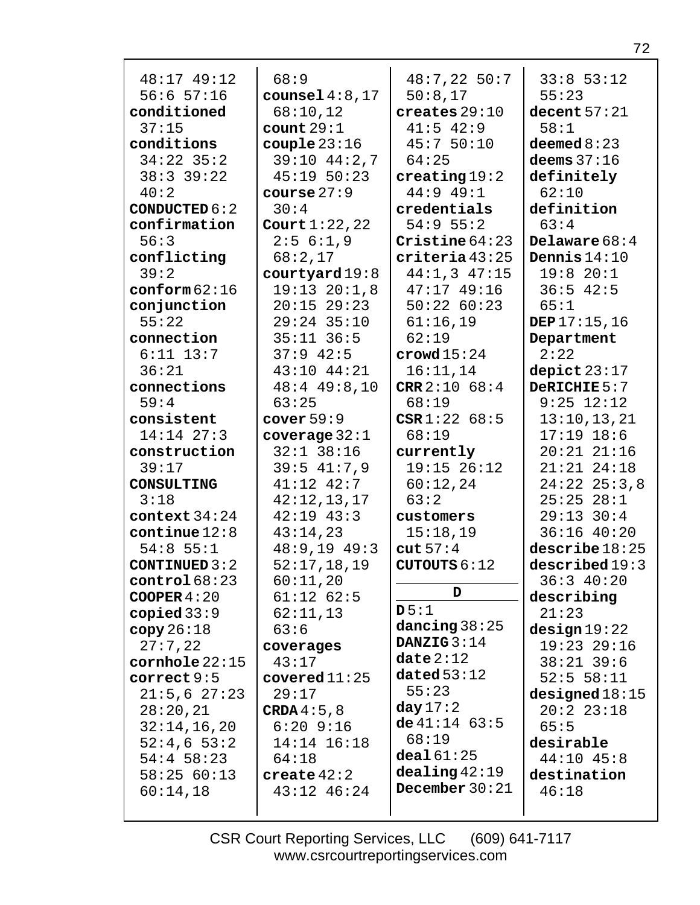| 48:17 49:12<br>$56:6$ $57:16$        | 68:9                         | $48:7,22$ 50:7<br>50:8,17           | $33:8$ 53:12                   |
|--------------------------------------|------------------------------|-------------------------------------|--------------------------------|
|                                      | counsel $4:8,17$<br>68:10,12 | creates $29:10$                     | 55:23<br>decent $57:21$        |
| conditioned<br>37:15                 |                              | $41:5$ $42:9$                       | 58:1                           |
|                                      | count $29:1$                 | 45:750:10                           |                                |
| conditions<br>$34:22$ 35:2           | couple $23:16$               |                                     | deemed $8:23$<br>deems $37:16$ |
|                                      | $39:10$ $44:2,7$             | 64:25                               |                                |
| $38:3$ 39:22                         | $45:19$ $50:23$              | $\c$ reating $19:2$                 | definitely                     |
| 40:2                                 | course $27:9$                | $44:9$ $49:1$                       | 62:10                          |
| <b>CONDUCTED 6:2</b><br>confirmation | 30:4<br>Court $1:22$ , 22    | credentials<br>$54:9$ 55:2          | definition<br>63:4             |
| 56:3                                 | 2:56:1,9                     | Cristine $64:23$                    | Delaware $68:4$                |
|                                      |                              | criteria43:25                       | Dennis $14:10$                 |
| conflicting<br>39:2                  | 68:2,17                      |                                     | 19:820:1                       |
|                                      | courtyard 19:8               | $44:1,3$ $47:15$<br>$47:17$ $49:16$ |                                |
| $\texttt{conform} 62:16$             | $19:13$ $20:1,8$             |                                     | $36:5$ 42:5                    |
| conjunction                          | $20:15$ 29:23                | 50:2260:23                          | 65:1                           |
| 55:22                                | $29:24$ 35:10                | 61:16,19                            | DEP $17:15,16$                 |
| connection                           | $35:11$ $36:5$               | 62:19                               | Department                     |
| $6:11$ 13:7                          | $37:9$ 42:5<br>43:10 44:21   | crowd $15:24$                       | 2:22                           |
| 36:21                                |                              | 16:11,14                            | depict $23:17$                 |
| connections<br>59:4                  | $48:4$ $49:8,10$<br>63:25    | CRR $2:10$ 68:4<br>68:19            | DeRICHIE 5:7<br>$9:25$ $12:12$ |
|                                      | cover $59:9$                 | CSR 1:22 68:5                       |                                |
| consistent                           |                              |                                     | 13:10, 13, 21                  |
| $14:14$ $27:3$                       | coverage $32:1$              | 68:19                               | $17:19$ $18:6$                 |
| construction                         | $32:1$ $38:16$               | currently                           | $20:21$ $21:16$                |
| 39:17                                | $39:5$ 41:7,9                | $19:15$ $26:12$                     | $21:21$ $24:18$                |
| <b>CONSULTING</b>                    | $41:12$ $42:7$               | 60:12,24                            | $24:22$ $25:3,8$               |
| 3:18                                 | 42:12,13,17                  | 63:2                                | $25:25$ $28:1$                 |
| context $34:24$                      | $42:19$ $43:3$               | customers                           | $29:13$ 30:4                   |
| continue $12:8$                      | 43:14,23                     | 15:18,19                            | $36:16$ 40:20                  |
| $54:8$ 55:1                          | $48:9,19$ $49:3$             | cut $57:4$                          | $describe$ 18:25               |
| CONTINUED $3:2$<br>control68:23      | 52:17,18,19                  | CUTOUTS $6:12$                      | described19:3                  |
|                                      | 60:11,20                     | D                                   | 36:340:20                      |
| COOPER $4:20$                        | $61:12$ $62:5$               | D5:1                                | describing                     |
| copied $33:9$                        | 62:11,13                     | dancing $38:25$                     | 21:23                          |
| copy26:18                            | 63:6                         | DANZIG $3:14$                       | design19:22                    |
| 27:7,22                              | coverages                    | date $2:12$                         | 19:23 29:16                    |
| cornhole $22:15$                     | 43:17                        | dated $53:12$                       | $38:21$ 39:6                   |
| correct 9:5                          | covered 11:25                | 55:23                               | 52:5 58:11                     |
| 21:5,627:23                          | 29:17                        | day17:2                             | designed 18:15                 |
| 28:20,21                             | CRDA $4:5,8$                 | de $41:14$ 63:5                     | 20:22:3:18                     |
| 32:14,16,20                          | $6:20$ $9:16$                | 68:19                               | 65:5                           |
| 52:4,653:2                           | 14:14 16:18                  | deal 61:25                          | desirable                      |
| $54:4$ 58:23                         | 64:18                        | $dealing$ 42:19                     | $44:10$ $45:8$                 |
| 58:2560:13                           | create $42:2$                | December $30:21$                    | destination                    |
| 60:14,18                             | $43:12$ $46:24$              |                                     | 46:18                          |
|                                      |                              |                                     |                                |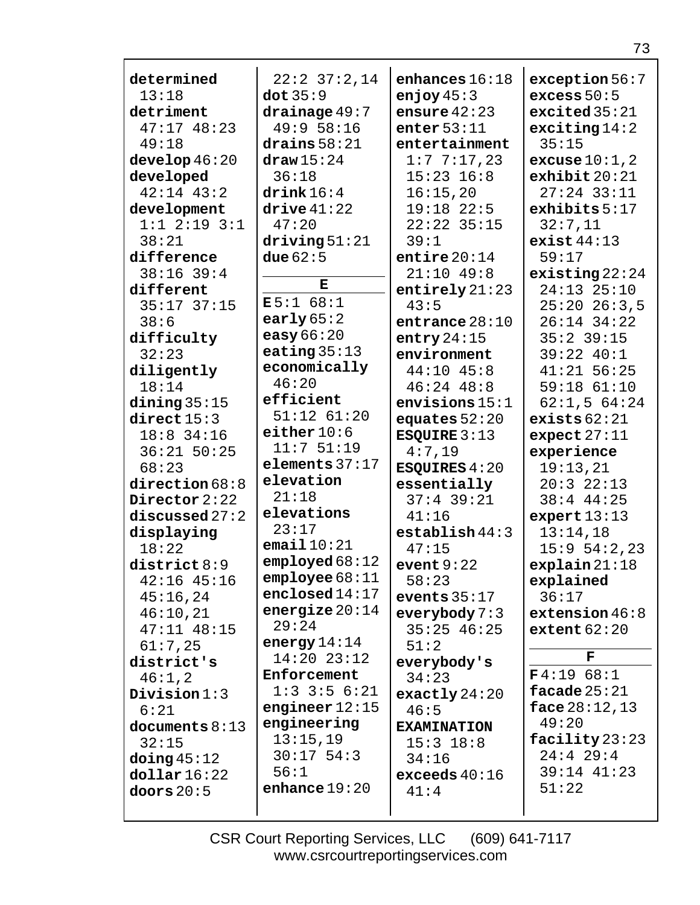| determined             | $22:2$ $37:2,14$          | enhances $16:18$          | exception 56:7                    |
|------------------------|---------------------------|---------------------------|-----------------------------------|
| 13:18                  | dot $35:9$                | enjoy $45:3$              | excess $50:5$                     |
| detriment              | drainage 49:7             | ensure $42:23$            | excited35:21                      |
| $47:17$ $48:23$        | 49:9 58:16                | enter $53:11$             | exciting 14:2                     |
| 49:18                  | drains $58:21$            | entertainment             | 35:15                             |
| $\text{develop }46:20$ | $\frac{draw}{15}:24$      | 1:77:17,23                | excuse $10:1,2$                   |
| developed              | 36:18                     | $15:23$ $16:8$            | exhibit 20:21                     |
| $42:14$ $43:2$         | drink 16:4                | 16:15,20                  | $27:24$ 33:11                     |
| development            | $\text{drive}41:22$       | $19:18$ 22:5              | exhibits 5:17                     |
| $1:1$ $2:19$ $3:1$     | 47:20                     | $22:22$ 35:15             | 32:7,11                           |
| 38:21                  | driving 51:21             | 39:1                      | exist $44:13$                     |
| difference             | due $62:5$                | entire $20:14$            | 59:17                             |
| $38:16$ 39:4           |                           | $21:10$ 49:8              |                                   |
| different              | Е                         |                           | existsing22:24<br>$24:13$ $25:10$ |
|                        | E5:168:1                  | entirely $21:23$          |                                   |
| $35:17$ $37:15$        | early $65:2$              | 43:5                      | $25:20$ $26:3,5$                  |
| 38:6                   | easy $66:20$              | entrance $28:10$          | $26:14$ 34:22                     |
| difficulty             | eating $35:13$            | entry $24:15$             | $35:2$ 39:15                      |
| 32:23                  | economically              | environment               | 39:22 40:1                        |
| diligently             | 46:20                     | $44:10$ $45:8$            | $41:21$ 56:25                     |
| 18:14                  | efficient                 | $46:24$ $48:8$            | 59:18 61:10                       |
| dining $35:15$         | $51:12$ $61:20$           | envisions $15:1$          | 62:1,564:24                       |
| direct $15:3$          | either $10:6$             | equates $52:20$           | exists $62:21$                    |
| $18:8$ 34:16           | 11:751:19                 | ESQUIRE $3:13$            | expect $27:11$                    |
| $36:21$ 50:25          |                           | 4:7,19                    | experience                        |
| 68:23                  | elements $37:17$          | <b>ESQUIRES 4:20</b>      | 19:13,21                          |
| direction68:8          | elevation                 | essentially               | 20:322:13                         |
| Director 2:22          | 21:18                     | $37:4$ 39:21              | $38:4$ 44:25                      |
| discussed $27:2$       | elevations                | 41:16                     | expert $13:13$                    |
| displaying             | 23:17                     | establish 44:3            | 13:14,18                          |
| 18:22                  | email $10:21$             | 47:15                     | 15:954:2,23                       |
| district 8:9           | emploped68:12             | event $9:22$              | explain21:18                      |
| $42:16$ $45:16$        | $\texttt{employee} 68:11$ | 58:23                     | explained                         |
| 45:16,24               | enclosed $14:17$          | events $35:17$            | 36:17                             |
| 46:10,21               | energize $20:14$          | everybody $7:3$           | extension $46:8$                  |
| $47:11$ $48:15$        | 29:24                     | $35:25$ 46:25             | extent $62:20$                    |
| 61:7,25                | energy $14:14$            | 51:2                      |                                   |
| district's             | $14:20$ $23:12$           | everybody's               | F                                 |
| 46:1,2                 | Enforcement               | 34:23                     | F4:1968:1                         |
| Division $1:3$         | $1:3$ 3:5 6:21            | $\texttt{exactly}\,24:20$ | facade $25:21$                    |
| 6:21                   | engineer $12:15$          | 46:5                      | face $28:12,13$                   |
| documents $8:13$       | engineering               | <b>EXAMINATION</b>        | 49:20                             |
| 32:15                  | 13:15,19                  | $15:3$ $18:8$             | facility $23:23$                  |
| doing $45:12$          | $30:17$ 54:3              | 34:16                     | $24:4$ 29:4                       |
| $\text{dollar}\,16:22$ | 56:1                      | exceeds $40:16$           | 39:14 41:23                       |
| doors $20:5$           | enhance $19:20$           | 41:4                      | 51:22                             |
|                        |                           |                           |                                   |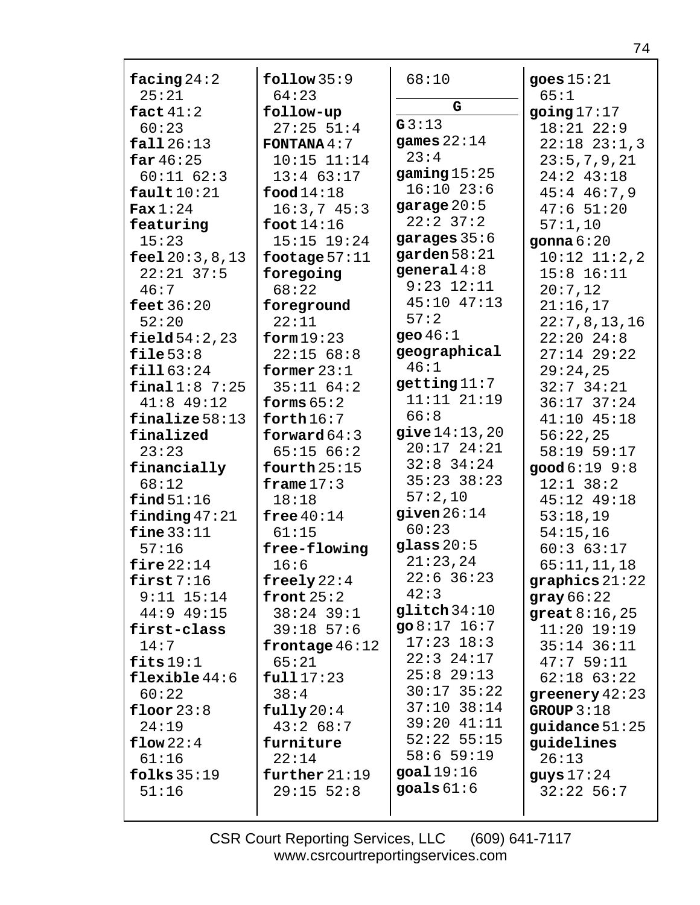| facing $24:2$       | follow 35:9          | 68:10             | goes $15:21$     |
|---------------------|----------------------|-------------------|------------------|
| 25:21               | 64:23                | G                 | 65:1             |
| fact $41:2$         | follow-up            |                   | going $17:17$    |
| 60:23               | $27:25$ 51:4         | G3:13             | $18:21$ $22:9$   |
| fall26:13           | <b>FONTANA</b> $4:7$ | games $22:14$     | $22:18$ $23:1,3$ |
| far 46:25           | $10:15$ $11:14$      | 23:4              | 23:5,7,9,21      |
| $60:11$ $62:3$      | $13:4$ 63:17         | gaming $15:25$    | $24:2$ 43:18     |
| fault10:21          | food $14:18$         | $16:10$ 23:6      | $45:4$ $46:7,9$  |
| $\textbf{Fax} 1:24$ | 16:3,745:3           | garage $20:5$     | 47:651:20        |
| featuring           | foot $14:16$         | $22:2$ 37:2       | 57:1,10          |
| 15:23               | $15:15$ $19:24$      | garages $35:6$    | gonna $6:20$     |
| feel $20:3,8,13$    | footage $57:11$      | garden $58:21$    | $10:12$ $11:2,2$ |
| $22:21$ 37:5        | foregoing            | general $4:8$     | $15:8$ $16:11$   |
| 46:7                | 68:22                | $9:23$ $12:11$    | 20:7,12          |
| feet $36:20$        | foreground           | 45:10 47:13       | 21:16,17         |
| 52:20               | 22:11                | 57:2              | 22:7,8,13,16     |
| field 54:2,23       | form $19:23$         | geo $46:1$        | $22:20$ $24:8$   |
| file $53:8$         | 22:1568:8            | geographical      | $27:14$ 29:22    |
| fill63:24           | former $23:1$        | 46:1              | 29:24,25         |
| final1:87:25        | 35:1164:2            | getting $11:7$    | $32:7$ $34:21$   |
| $41:8$ 49:12        | forms $65:2$         | $11:11$ $21:19$   | $36:17$ $37:24$  |
| $finalize 58:13$    | forth $16:7$         | 66:8              | $41:10$ $45:18$  |
| finalized           | forward $64:3$       | give 14:13,20     | 56:22,25         |
| 23:23               | 65:1566:2            | $20:17$ $24:21$   | 58:19 59:17      |
| financially         | fourth $25:15$       | $32:8$ 34:24      | good 6:19 9:8    |
| 68:12               | frame $17:3$         | $35:23$ $38:23$   | $12:1$ 38:2      |
| find 51:16          | 18:18                | 57:2,10           | 45:12 49:18      |
| finding $47:21$     | free $40:14$         | given $26:14$     | 53:18,19         |
| fine $33:11$        | 61:15                | 60:23             | 54:15,16         |
| 57:16               | free-flowing         | glass $20:5$      | 60:363:17        |
| fire $22:14$        | 16:6                 | 21:23,24          | 65:11,11,18      |
| first $7:16$        | freely $22:4$        | $22:6$ 36:23      | graphics $21:22$ |
| $9:11$ $15:14$      | front $25:2$         | 42:3              | gray 66:22       |
| $44:9$ $49:15$      | $38:24$ 39:1         | $g$ litch $34:10$ | great $8:16,25$  |
| first-class         | $39:18$ 57:6         | go $8:17$ 16:7    | $11:20$ $19:19$  |
| 14:7                | frontage $46:12$     | $17:23$ $18:3$    | $35:14$ $36:11$  |
| fits $19:1$         | 65:21                | $22:3$ $24:17$    | 47:759:11        |
| flexible $44:6$     | full17:23            | $25:8$ 29:13      | $62:18$ $63:22$  |
| 60:22               | 38:4                 | $30:17$ 35:22     | greenery $42:23$ |
| floor $23:8$        | fully20:4            | $37:10$ $38:14$   | GROUP $3:18$     |
| 24:19               | 43:268:7             | 39:20 41:11       | guidance $51:25$ |
| flow 22:4           | furniture            | $52:22$ $55:15$   | guidelines       |
| 61:16               | 22:14                | $58:6$ 59:19      | 26:13            |
| folks $35:19$       | further $21:19$      | goal $19:16$      | guys $17:24$     |
| 51:16               | $29:15$ 52:8         | goals $61:6$      | $32:22$ 56:7     |
|                     |                      |                   |                  |
|                     |                      |                   |                  |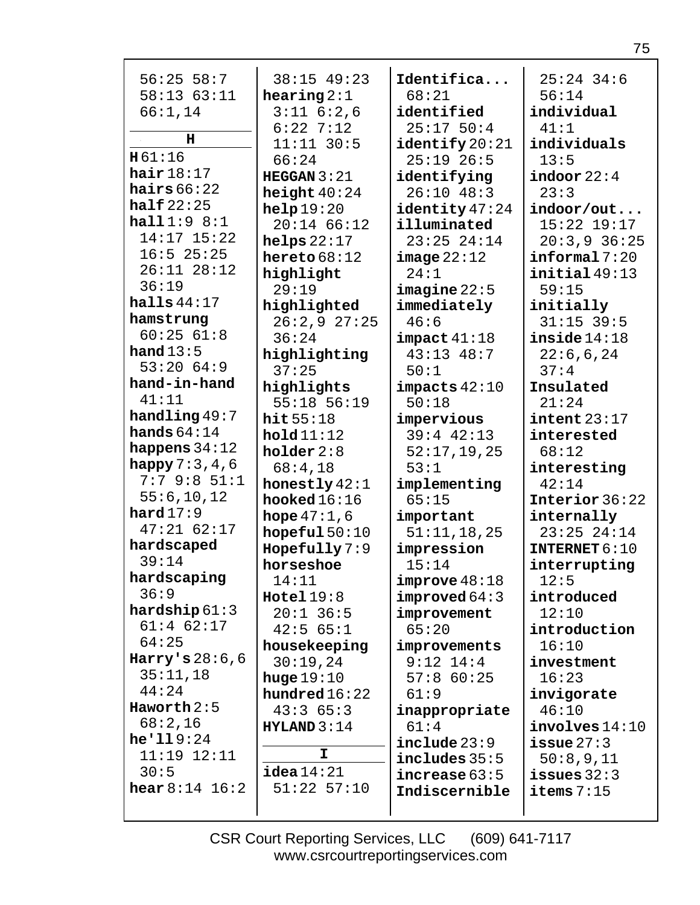| $56:25$ 58:7            | 38:15 49:23          | Identifica        | $25:24$ 34:6              |
|-------------------------|----------------------|-------------------|---------------------------|
| 58:1363:11              | hearing $2:1$        | 68:21             | 56:14                     |
| 66:1,14                 | $3:11$ $6:2,6$       | identified        | individual                |
| н                       | $6:22$ 7:12          | 25:1750:4         | 41:1                      |
| H61:16                  | $11:11$ 30:5         | identify 20:21    | individuals               |
| hair $18:17$            | 66:24                | $25:19$ 26:5      | 13:5                      |
| hairs $66:22$           | HEGGAN $3:21$        | identifying       | indoor $22:4$             |
| half $22:25$            | height $40:24$       | $26:10$ 48:3      | 23:3                      |
|                         | help19:20            | identity 47:24    | indoor/out                |
| half1:9 8:1             | $20:14$ 66:12        | illuminated       | $15:22$ $19:17$           |
| 14:17 15:22             | helps $22:17$        | $23:25$ $24:14$   | $20:3,9$ 36:25            |
| $16:5$ 25:25            | hereto $68:12$       | image 22:12       | $\texttt{informal}$ 7:20  |
| $26:11$ $28:12$         | highlight            | 24:1              | initial49:13              |
| 36:19                   | 29:19                | image22:5         | 59:15                     |
| halls $44:17$           | highlighted          | immediately       | initially                 |
| hamstrung               | 26:2,927:25          | 46:6              | $31:15$ 39:5              |
| 60:2561:8               | 36:24                | impect 41:18      | inside14:18               |
| hand $13:5$             | highlighting         | $43:13$ $48:7$    | 22:6,6,24                 |
| 53:2064:9               | 37:25                | 50:1              | 37:4                      |
| hand-in-hand            | highlights           | $impects$ $42:10$ | Insulated                 |
| 41:11                   | 55:18 56:19          | 50:18             | 21:24                     |
| handling 49:7           | hit55:18             | impervious        | $\texttt{intent}$ $23:17$ |
| hands $64:14$           | hold11:12            | $39:4$ $42:13$    | interested                |
| happens $34:12$         | holder $2:8$         | 52:17,19,25       | 68:12                     |
| happy $7:3,4,6$         | 68:4,18              | 53:1              | interesting               |
| $7:7$ 9:8 $51:1$        | honestly $42:1$      | implementing      | 42:14                     |
| 55:6, 10, 12            | hooked $16:16$       | 65:15             | Interior 36:22            |
| hard $17:9$             | <b>hope</b> $47:1,6$ | important         | internally                |
| $47:21$ 62:17           | hopeful $50:10$      | 51:11,18,25       | $23:25$ $24:14$           |
| hardscaped              | Hopefully 7:9        | impression        | INTERNET $6:10$           |
| 39:14                   | horseshoe            | 15:14             | interrupting              |
| hardscaping             | 14:11                | improve 48:18     | 12:5                      |
| 36:9                    | Hotel 19:8           | improved 64:3     | introduced                |
| hardship $61:3$         | $20:1$ 36:5          | improvement       | 12:10                     |
| $61:4$ $62:17$          | 42:565:1             | 65:20             | introduction              |
| 64:25                   | housekeeping         | improvements      | 16:10                     |
| Harry's $28:6,6$        | 30:19,24             | $9:12$ $14:4$     | investment                |
| 35:11,18                | huge $19:10$         | $57:8$ 60:25      | 16:23                     |
| 44:24                   | hundred $16:22$      | 61:9              | invigorate                |
| Haworth $2:5$           | 43:365:3             | inappropriate     | 46:10                     |
| 68:2,16                 | HYLAND 3:14          | 61:4              | involves 14:10            |
| he'119:24               |                      | include 23:9      | $i$ ssue $27:3$           |
| $11:19$ $12:11$         | I.                   | includes 35:5     | 50:8,9,11                 |
| 30:5                    | $i$ dea $14:21$      | increase 63:5     | $i$ ssues $32:3$          |
| <b>hear</b> $8:14$ 16:2 | $51:22$ $57:10$      | Indiscernible     | items $7:15$              |
|                         |                      |                   |                           |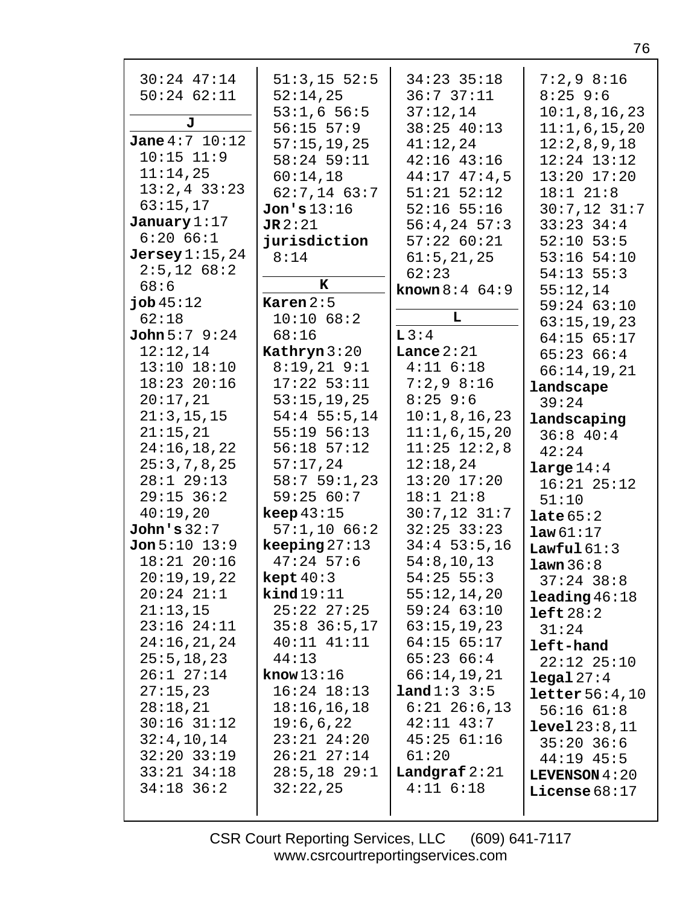| $30:24$ $47:14$<br>$50:24$ $62:11$<br>J                                               | $51:3,15$ 52:5<br>52:14,25<br>53:1,656:5<br>$56:15$ $57:9$                | 34:23 35:18<br>36:737:11<br>37:12,14<br>38:25 40:13                                     | $7:2,9$ 8:16<br>$8:25$ 9:6<br>10:1,8,16,23<br>11:1,6,15,20                       |
|---------------------------------------------------------------------------------------|---------------------------------------------------------------------------|-----------------------------------------------------------------------------------------|----------------------------------------------------------------------------------|
| <b>Jane</b> $4:7$ $10:12$<br>$10:15$ $11:9$<br>11:14,25<br>$13:2,4$ 33:23<br>63:15,17 | 57:15,19,25<br>58:24 59:11<br>60:14,18<br>$62:7,14$ $63:7$<br>Jon's 13:16 | 41:12,24<br>$42:16$ $43:16$<br>$44:17$ $47:4$ , 5<br>$51:21$ $52:12$<br>$52:16$ $55:16$ | 12:2,8,9,18<br>$12:24$ $13:12$<br>$13:20$ $17:20$<br>18:1 21:8<br>$30:7,12$ 31:7 |
| January $1:17$<br>6:2066:1                                                            | JR2:21                                                                    | $56:4,24$ 57:3                                                                          | $33:23$ $34:4$                                                                   |
| $Jersey$ $1:15,24$                                                                    | jurisdiction<br>8:14                                                      | 57:2260:21                                                                              | $52:10$ 53:5<br>$53:16$ $54:10$                                                  |
| $2:5,12$ 68:2                                                                         |                                                                           | 61:5, 21, 25<br>62:23                                                                   | $54:13$ $55:3$                                                                   |
| 68:6                                                                                  | K                                                                         | <b>known</b> $8:4 \ 64:9$                                                               | 55:12,14                                                                         |
| job45:12                                                                              | Karen $2:5$                                                               |                                                                                         | 59:24 63:10                                                                      |
| 62:18                                                                                 | 10:10 68:2                                                                | L                                                                                       | 63:15,19,23                                                                      |
| <b>John</b> $5:7$ $9:24$                                                              | 68:16                                                                     | L3:4                                                                                    | $64:15$ $65:17$                                                                  |
| 12:12,14                                                                              | Kathryn $3:20$                                                            | Lance $2:21$                                                                            | 65:2366:4                                                                        |
| $13:10$ $18:10$                                                                       | $8:19,21$ $9:1$                                                           | $4:11$ $6:18$                                                                           | 66:14,19,21                                                                      |
| 18:23 20:16                                                                           | $17:22$ 53:11                                                             | $7:2,9$ 8:16                                                                            | landscape                                                                        |
| 20:17,21                                                                              | 53:15,19,25                                                               | $8:25$ 9:6                                                                              | 39:24                                                                            |
| 21:3, 15, 15                                                                          | $54:4$ 55:5,14                                                            | 10:1,8,16,23                                                                            | landscaping                                                                      |
| 21:15,21                                                                              | $55:19$ $56:13$                                                           | 11:1,6,15,20                                                                            | 36:840:4                                                                         |
| 24:16,18,22                                                                           | $56:18$ $57:12$                                                           | $11:25$ $12:2,8$                                                                        | 42:24                                                                            |
| 25:3,7,8,25                                                                           | 57:17,24                                                                  | 12:18,24                                                                                | large $14:4$                                                                     |
| $28:1$ 29:13                                                                          | 58:759:1,23                                                               | 13:20 17:20                                                                             | $16:21$ $25:12$                                                                  |
| $29:15$ 36:2                                                                          | 59:2560:7                                                                 | 18:1 21:8                                                                               | 51:10                                                                            |
| 40:19,20                                                                              | keep 43:15                                                                | $30:7,12$ 31:7                                                                          | late $65:2$                                                                      |
| John's 32:7                                                                           | 57:1,1066:2                                                               | $32:25$ $33:23$                                                                         | law61:17                                                                         |
| Jon 5:10 13:9                                                                         | keeping $27:13$                                                           | $34:4$ 53:5,16                                                                          | Lawful $61:3$                                                                    |
| $18:21$ $20:16$                                                                       | $47:24$ 57:6                                                              | 54:8, 10, 13                                                                            | lawn 36:8                                                                        |
| 20:19,19,22                                                                           | $\texttt{kept }40:3$                                                      | $54:25$ 55:3                                                                            | $37:24$ 38:8                                                                     |
| $20:24$ $21:1$                                                                        | $\texttt{kind19:11}$                                                      | 55:12,14,20                                                                             | $\texttt{leading}46:18$                                                          |
| 21:13,15<br>$23:16$ $24:11$                                                           | $25:22$ $27:25$                                                           | $59:24$ 63:10                                                                           | left 28:2                                                                        |
| 24:16,21,24                                                                           | $35:8$ $36:5,17$<br>$40:11$ $41:11$                                       | 63:15,19,23<br>$64:15$ $65:17$                                                          | 31:24                                                                            |
| 25:5, 18, 23                                                                          | 44:13                                                                     | 65:2366:4                                                                               | left-hand                                                                        |
| $26:1$ $27:14$                                                                        | know $13:16$                                                              | 66:14,19,21                                                                             | $22:12$ $25:10$                                                                  |
| 27:15,23                                                                              | $16:24$ $18:13$                                                           | <b>land</b> $1:3:3:5$                                                                   | legal 27:4                                                                       |
| 28:18,21                                                                              | 18:16,16,18                                                               | $6:21$ $26:6,13$                                                                        | $\text{letter } 56:4,10$                                                         |
| $30:16$ $31:12$                                                                       | 19:6,6,22                                                                 | 42:11 43:7                                                                              | $56:16$ $61:8$<br><b>level</b> $23:8,11$                                         |
| 32:4,10,14                                                                            | $23:21$ $24:20$                                                           | $45:25$ $61:16$                                                                         | $35:20$ 36:6                                                                     |
| $32:20$ $33:19$                                                                       | $26:21$ $27:14$                                                           | 61:20                                                                                   | $44:19$ $45:5$                                                                   |
| $33:21$ $34:18$                                                                       | $28:5, 18$ 29:1                                                           | Landgraf $2:21$                                                                         | <b>LEVENSON</b> $4:20$                                                           |
| $34:18$ 36:2                                                                          | 32:22,25                                                                  | $4:11$ $6:18$                                                                           | License $68:17$                                                                  |
|                                                                                       |                                                                           |                                                                                         |                                                                                  |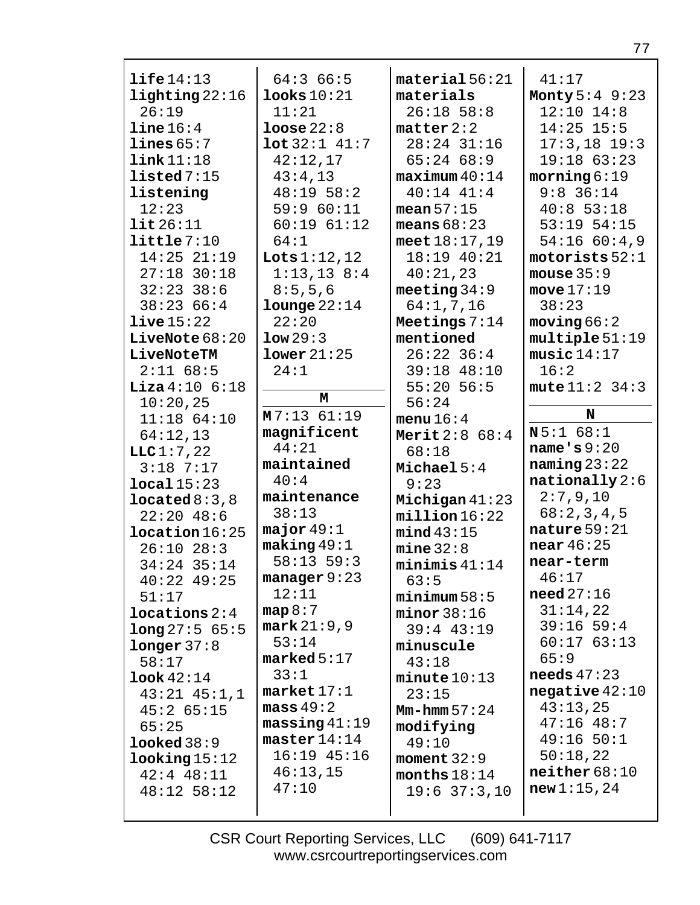| $\text{life}14:13$       | 64:366:5                | material 56:21   | 41:17                 |
|--------------------------|-------------------------|------------------|-----------------------|
| $\text{lighting } 22:16$ | $1$ ooks $10:21$        | materials        | Monty $5:4$ 9:23      |
| 26:19                    | 11:21                   |                  |                       |
|                          |                         | $26:18$ 58:8     | $12:10$ $14:8$        |
| line 16:4                | loose 22:8              | matter 2:2       | $14:25$ 15:5          |
| lines 65:7               | $\text{lot } 32:1$ 41:7 | $28:24$ 31:16    | $17:3,18$ 19:3        |
| link11:18                | 42:12,17                | 65:2468:9        | $19:18$ 63:23         |
| listed 7:15              | 43:4,13                 | maximum 40:14    | moring 6:19           |
| listening                | 48:1958:2               | $40:14$ $41:4$   | $9:8$ 36:14           |
| 12:23                    | 59:960:11               | mean $57:15$     | 40:853:18             |
| $\texttt{lit}26:11$      | 60:1961:12              | means $68:23$    | $53:19$ $54:15$       |
| little7:10               | 64:1                    | meet $18:17,19$  | $54:16$ 60:4,9        |
| $14:25$ $21:19$          | Lots $1:12,12$          | 18:19 40:21      | motorists 52:1        |
| $27:18$ 30:18            | $1:13,13$ 8:4           | 40:21,23         | mouse $35:9$          |
| $32:23$ 38:6             | 8:5,5,6                 | meeting $34:9$   | move $17:19$          |
| 38:2366:4                | $1$ ounge $22:14$       | 64:1, 7, 16      | 38:23                 |
| live15:22                | 22:20                   | Meetings $7:14$  | moving 66:2           |
| LiveNote $68:20$         | low29:3                 | mentioned        | multiple 51:19        |
| LiveNoteTM               | lower21:25              | $26:22$ 36:4     | music14:17            |
| $2:11$ 68:5              | 24:1                    | 39:18 48:10      | 16:2                  |
| <b>Liza</b> $4:10$ 6:18  |                         | $55:20$ 56:5     | mute $11:2$ 34:3      |
| 10:20,25                 | М                       | 56:24            |                       |
| $11:18$ 64:10            | $M7:13$ 61:19           | menu $16:4$      | N                     |
| 64:12,13                 | magnificent             | Merit $2:8$ 68:4 | N5:168:1              |
|                          |                         |                  |                       |
| LLC1:7,22                | 44:21                   | 68:18            | name $\cdot$ s $9:20$ |
| $3:18$ 7:17              | maintained              | Michael $5:4$    | naming $23:22$        |
| local15:23               | 40:4                    | 9:23             | $nationally 2:6$      |
| $1$ ocated $8:3,8$       | maintenance             | Michigan $41:23$ | 2:7,9,10              |
| $22:20$ 48:6             | 38:13                   | millicn16:22     | 68:2,3,4,5            |
| location16:25            | major $49:1$            | mind 43:15       | nature $59:21$        |
| $26:10$ $28:3$           | making 49:1             | mine 32:8        | near $46:25$          |
| 34:24 35:14              | $58:13$ $59:3$          | minimis 41:14    | near-term             |
| $40:22$ $49:25$          | $manager 9:23$          | 63:5             | 46:17                 |
| 51:17                    | 12:11                   | minimum 58:5     | need $27:16$          |
| $1$ ocations $2:4$       | map 8:7                 | minor 38:16      | 31:14,22              |
| long 27:5 65:5           | mark 21:9,9             | $39:4$ 43:19     | $39:16$ 59:4          |
| longer 37:8              | 53:14                   | minuscule        | 60:1763:13            |
| 58:17                    | $\texttt{marked} 5:17$  | 43:18            | 65:9                  |
| $\texttt{look}42:14$     | 33:1                    | $minute$ $10:13$ | needs $47:23$         |
| $43:21$ $45:1,1$         | market 17:1             | 23:15            | negative $42:10$      |
| 45:265:15                | mass 49:2               | $Mm-hmm 57:24$   | 43:13,25              |
| 65:25                    | massing 41:19           | modifying        | $47:16$ $48:7$        |
| looked 38:9              | $\texttt{master} 14:14$ | 49:10            | $49:16$ 50:1          |
| $\text{looking} 15:12$   | $16:19$ $45:16$         | moment $32:9$    | 50:18,22              |
| $42:4$ $48:11$           | 46:13,15                | months $18:14$   | neither 68:10         |
| $48:12$ 58:12            | 47:10                   | $19:6$ 37:3,10   | new1:15,24            |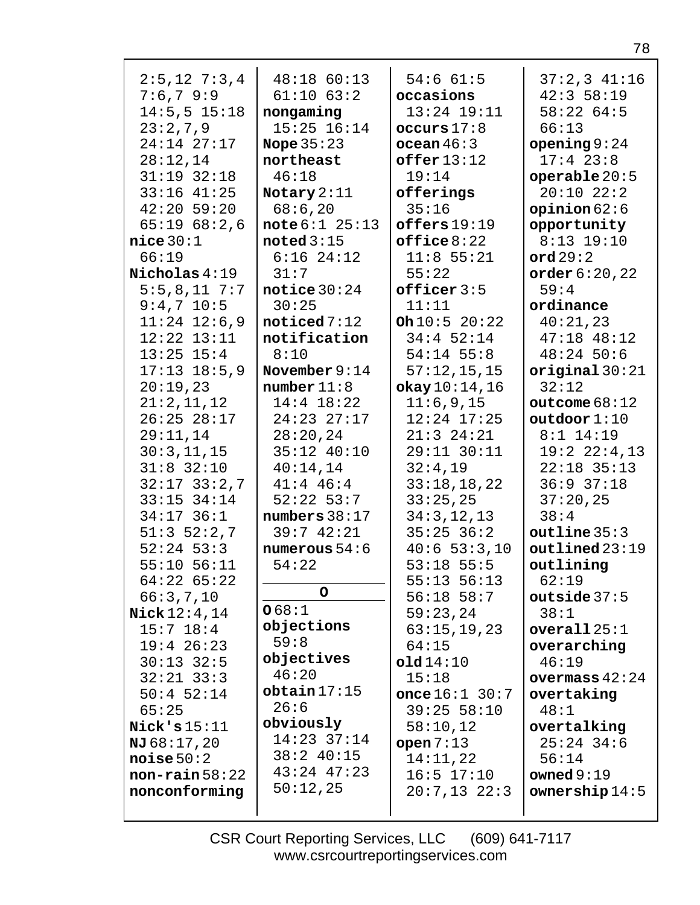| $2:5, 12 \ 7:3, 4$     | 48:18 60:13        | 54:661:5         | $37:2,3$ $41:16$        |
|------------------------|--------------------|------------------|-------------------------|
| 7:6,79:9               | $61:10$ $63:2$     | occasions        | 42:358:19               |
| $14:5, 5$ 15:18        | nongaming          | $13:24$ $19:11$  | 58:2264:5               |
| 23:2,7,9               | $15:25$ $16:14$    | occurs 17:8      | 66:13                   |
| 24:14 27:17            | Nope $35:23$       | ocean 46:3       | opening $9:24$          |
| 28:12,14               | northeast          | offer 13:12      | $17:4$ 23:8             |
| $31:19$ $32:18$        | 46:18              | 19:14            | operable $20:5$         |
| $33:16$ $41:25$        | Notary $2:11$      | offerings        | $20:10$ $22:2$          |
| $42:20$ 59:20          | 68:6,20            | 35:16            | opinion $62:6$          |
| 65:1968:2.6            | note 6:1 25:13     | offseters 19:19  | opportunity             |
| $nice$ 30:1            | noted $3:15$       | offsetice8:22    | $8:13$ 19:10            |
| 66:19                  | $6:16$ $24:12$     | $11:8$ 55:21     | ord $29:2$              |
| Nicholas 4:19          | 31:7               | 55:22            |                         |
| $5:5,8,11$ 7:7         | notice $30:24$     | $offseticer$ 3:5 | order $6:20,22$<br>59:4 |
|                        |                    |                  |                         |
| $9:4,7$ 10:5           | 30:25              | 11:11            | ordinance               |
| $11:24$ $12:6,9$       | $\nu$ ticed $7:12$ | Oh 10:5 20:22    | 40:21,23                |
| $12:22$ $13:11$        | notification       | $34:4$ 52:14     | $47:18$ $48:12$         |
| $13:25$ $15:4$         | 8:10               | $54:14$ 55:8     | $48:24$ 50:6            |
| $17:13$ $18:5,9$       | November $9:14$    | 57:12,15,15      | original $30:21$        |
| 20:19,23               | number 11:8        | okay10:14,16     | 32:12                   |
| 21:2,11,12             | $14:4$ 18:22       | 11:6,9,15        | outcome $68:12$         |
| $26:25$ $28:17$        | $24:23$ $27:17$    | $12:24$ $17:25$  | outdoor $1:10$          |
| 29:11,14               | 28:20,24           | $21:3$ $24:21$   | $8:1$ 14:19             |
| 30:3, 11, 15           | 35:12 40:10        | 29:11 30:11      | 19:22:4,13              |
| $31:8$ $32:10$         | 40:14,14           | 32:4,19          | $22:18$ 35:13           |
| $32:17$ $33:2,7$       | $41:4$ $46:4$      | 33:18,18,22      | $36:9$ $37:18$          |
| $33:15$ $34:14$        | $52:22$ 53:7       | 33:25,25         | 37:20,25                |
| $34:17$ 36:1           | numbers $38:17$    | 34:3, 12, 13     | 38:4                    |
| $51:3$ $52:2,7$        | 39:742:21          | $35:25$ $36:2$   | outline 35:3            |
| $52:24$ 53:3           | numerous $54:6$    | 40:653:3,10      | $outlined$ $23:19$      |
| $55:10$ $56:11$        | 54:22              | $53:18$ 55:5     | outlining               |
| $64:22$ $65:22$        | $\mathsf{o}$       | $55:13$ $56:13$  | 62:19                   |
| 66:3,7,10              | 068:1              | $56:18$ $58:7$   | outside $37:5$          |
| <b>Nick</b> $12:4, 14$ | objections         | 59:23,24         | 38:1                    |
| $15:7$ $18:4$          | 59:8               | 63:15,19,23      | overall $25:1$          |
| $19:4$ 26:23           | objectives         | 64:15            | overarching             |
| $30:13$ $32:5$         | 46:20              | old14:10         | 46:19                   |
| $32:21$ $33:3$         | obtain 17:15       | 15:18            | overmass $42:24$        |
| $50:4$ 52:14           | 26:6               | once $16:1$ 30:7 | overtaking              |
| 65:25                  | obviously          | 39:25 58:10      | 48:1                    |
| Nick's $15:11$         | $14:23$ 37:14      | 58:10,12         | overtalking             |
| NJ 68:17, 20           | $38:2$ 40:15       | open 7:13        | $25:24$ 34:6            |
| noise 50:2             | $43:24$ $47:23$    | 14:11,22         | 56:14                   |
| $non-rain 58:22$       | 50:12,25           | $16:5$ $17:10$   | owned $9:19$            |
| nonconforming          |                    | $20:7,13$ $22:3$ | comp14:5                |
|                        |                    |                  |                         |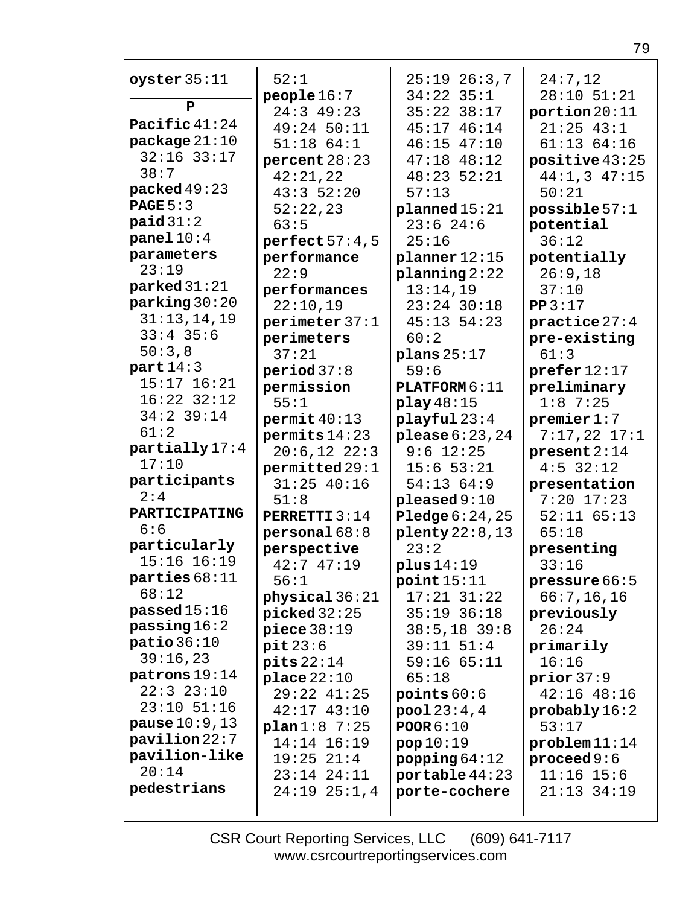| oyster $35:11$           | 52:1                    | $25:19$ $26:3,7$        | 24:7,12                    |
|--------------------------|-------------------------|-------------------------|----------------------------|
| P                        | people $16:7$           | $34:22$ $35:1$          | $28:10$ $51:21$            |
|                          | $24:3$ 49:23            | 35:22 38:17             | portion $20:11$            |
| Pacific 41:24            | 49:24 50:11             | 45:17 46:14             | $21:25$ 43:1               |
| package $21:10$          | $51:18$ $64:1$          | $46:15$ $47:10$         | 61:1364:16                 |
| $32:16$ $33:17$<br>38:7  | percent $28:23$         | $47:18$ $48:12$         | positive $43:25$           |
|                          | 42:21,22                | $48:23$ 52:21           | $44:1,3$ $47:15$           |
| packed $49:23$           | 43:352:20               | 57:13                   | 50:21                      |
| PAGE $5:3$               | 52:22,23                | plane d15:21            | possible $57:1$            |
| paid 31:2                | 63:5                    | $23:6$ 24:6             | potential                  |
| panel $10:4$             | perfect $57:4,5$        | 25:16                   | 36:12                      |
| parameters               | performance             | $planner$ 12:15         | potentially                |
| 23:19                    | 22:9                    | planning 2:22           | 26:9,18                    |
| parked 31:21             | performances            | 13:14,19                | 37:10                      |
| parking 30:20            | 22:10,19                | $23:24$ 30:18           | PP3:17                     |
| 31:13,14,19              | perimeter 37:1          | 45:13 54:23             | practice $27:4$            |
| $33:4$ 35:6              | perimeters              | 60:2                    | pre-existing               |
| 50:3,8                   | 37:21                   | plans $25:17$           | 61:3                       |
| part $14:3$              | period 37:8             | 59:6                    | $\text{prefer } 12:17$     |
| $15:17$ $16:21$          | permission              | <b>PLATFORM 6:11</b>    | preliminary                |
| $16:22$ $32:12$          | 55:1                    | play $48:15$            | $1:8$ 7:25                 |
| $34:2$ 39:14             | permit 40:13            | playful23:4             | premier $1:7$              |
| 61:2                     | $permits$ 14:23         | please $6:23$ , $24$    | $7:17,22$ $17:1$           |
| partially 17:4           | $20:6,12$ $22:3$        | $9:6$ 12:25             | present $2:14$             |
| 17:10                    | permitted 29:1          | $15:6$ 53:21            | $4:5$ 32:12                |
| participants             | $31:25$ 40:16           | 54:1364:9               | presentation               |
| 2:4                      | 51:8                    | $p$ leased $9:10$       | $7:20$ 17:23               |
| PARTICIPATING            | <b>PERRETTI 3:14</b>    | Pledge $6:24,25$        | $52:11$ $65:13$            |
| 6:6                      | personal 68:8           | $\text{plenty}$ 22:8,13 | 65:18                      |
| particularly             | perspective             | 23:2                    | presenting                 |
| $15:16$ $16:19$          | 42:747:19               | plus $14:19$            | 33:16                      |
| parties $68:11$          | 56:1                    | point 15:11             | pressure 66:5              |
| 68:12                    | physical $36:21$        | $17:21$ $31:22$         | 66:7, 16, 16               |
| passed $15:16$           | $\texttt{picked}$ 32:25 | $35:19$ $36:18$         | previously                 |
| passing 16:2             | piece $38:19$           | $38:5, 18$ 39:8         | 26:24                      |
| patio36:10               | pit23:6                 | $39:11$ $51:4$          | primarily                  |
| 39:16,23                 | pits 22:14              | $59:16$ $65:11$         | 16:16                      |
| patrons $19:14$          | place 22:10             | 65:18                   | prior 37:9                 |
| 22:323:10                | 29:22 41:25             | points $60:6$           | $42:16$ $48:16$            |
| $23:10$ 51:16            | $42:17$ $43:10$         | pool 23:4,4             | $\texttt{probability16:2}$ |
| <b>pause</b> $10:9,13$   | plan1:87:25             | POOR $6:10$             | 53:17                      |
| $\textbf{pavilion}$ 22:7 | 14:14 16:19             | pop10:19                | problem11:14               |
| pavilion-like            | 19:25 21:4              | popping $64:12$         | $\boldsymbol{proceed 9:6}$ |
| 20:14                    | 23:14 24:11             | portable $44:23$        | $11:16$ 15:6               |
| pedestrians              | $24:19$ $25:1,4$        | porte-cochere           | $21:13$ $34:19$            |
|                          |                         |                         |                            |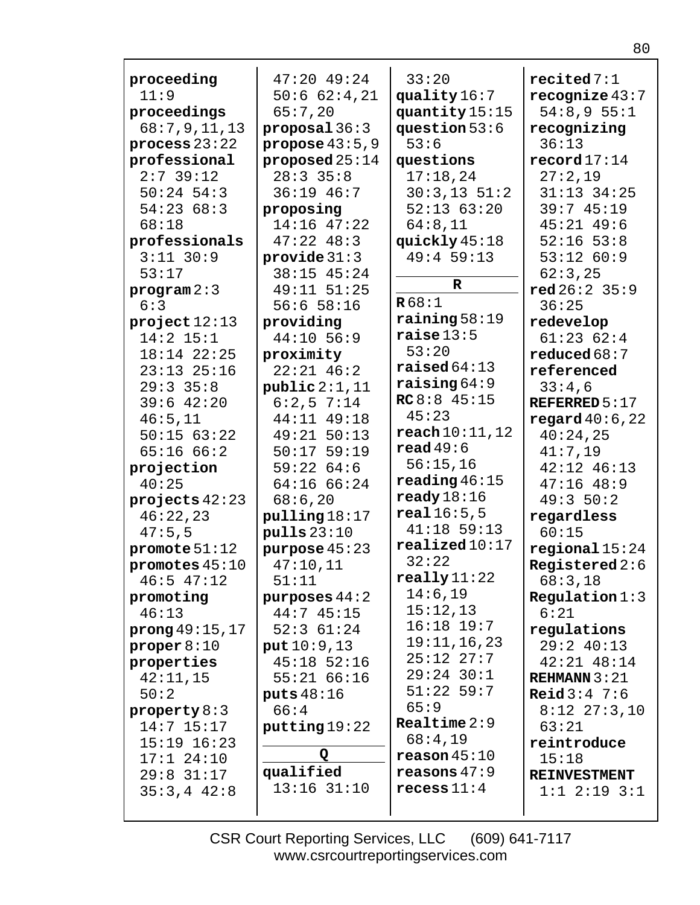| proceeding       | $47:20$ $49:24$    | 33:20                    | recited 7:1            |
|------------------|--------------------|--------------------------|------------------------|
| 11:9             | 50:662:4,21        | quality $16:7$           | recognize $43:7$       |
| proceedings      | 65:7,20            | quantity 15:15           | 54:8,955:1             |
| 68:7,9,11,13     | proposal $36:3$    | question $53:6$          | recognizing            |
| process $23:22$  | propose $43:5,9$   | 53:6                     | 36:13                  |
| professional     | proposed $25:14$   | questions                | $\texttt{record}17:14$ |
| $2:7$ 39:12      | $28:3$ 35:8        | 17:18,24                 | 27:2,19                |
| $50:24$ 54:3     | $36:19$ 46:7       | $30:3,13$ $51:2$         | $31:13$ $34:25$        |
| 54:2368:3        | proposing          | 52:1363:20               | 39:745:19              |
| 68:18            | $14:16$ $47:22$    | 64:8,11                  | $45:21$ $49:6$         |
| professionals    | $47:22$ $48:3$     | quickly $45:18$          | $52:16$ $53:8$         |
| $3:11$ $30:9$    | provide $31:3$     | 49:4 59:13               | 53:12 60:9             |
| 53:17            | 38:15 45:24        |                          | 62:3,25                |
| program 2:3      | 49:11 51:25        | $\mathbf R$              | $red\,26:2\,35:9$      |
| 6:3              | $56:6$ 58:16       | R68:1                    | 36:25                  |
| project12:13     | providing          | $\texttt{raining} 58:19$ | redevelop              |
| $14:2$ 15:1      | 44:10 56:9         | raise13:5                | 61:2362:4              |
| 18:14 22:25      | proximity          | 53:20                    | reduced $68:7$         |
| $23:13$ $25:16$  | $22:21$ 46:2       | raiseed 64:13            | referenced             |
| $29:3$ 35:8      | public 2:1,11      | $\texttt{raising} 64:9$  | 33:4,6                 |
| $39:6$ 42:20     | $6:2,5$ 7:14       | RC8:845:15               | REFERRED $5:17$        |
| 46:5,11          | 44:11 49:18        | 45:23                    | regard $40:6,22$       |
| 50:1563:22       | 49:21 50:13        | $\texttt{reach10:11,12}$ | 40:24,25               |
| 65:1666:2        | $50:17$ 59:19      | read $49:6$              | 41:7,19                |
| projection       | 59:2264:6          | 56:15,16                 | $42:12$ $46:13$        |
| 40:25            | 64:16 66:24        | reading $46:15$          | $47:16$ $48:9$         |
| projects $42:23$ | 68:6,20            | $\texttt{ready}18:16$    | 49:350:2               |
| 46:22,23         | $p$ ulling $18:17$ | real16:5,5               | regardless             |
| 47:5,5           | $p$ ulls $23:10$   | $41:18$ 59:13            | 60:15                  |
| promote $51:12$  | purpose $45:23$    | realized10:17            | regional15:24          |
| promotes $45:10$ | 47:10,11           | 32:22                    | Registered $2:6$       |
| $46:5$ $47:12$   | 51:11              | $\texttt{really}11:22$   | 68:3,18                |
| promoting        | purposes $44:2$    | 14:6,19                  | Regulation 1:3         |
| 46:13            | 44:745:15          | 15:12,13                 | 6:21                   |
| prong 49:15, 17  | 52:361:24          | $16:18$ 19:7             | regulations            |
| proper $8:10$    | put 10:9, 13       | 19:11,16,23              | $29:2$ 40:13           |
| properties       | $45:18$ 52:16      | $25:12$ $27:7$           | $42:21$ $48:14$        |
| 42:11,15         | 55:2166:16         | $29:24$ 30:1             | REHMANN $3:21$         |
| 50:2             | puts $48:16$       | $51:22$ 59:7             | <b>Reid</b> $3:4$ 7:6  |
| property $8:3$   | 66:4               | 65:9                     | $8:12$ $27:3,10$       |
| $14:7$ 15:17     | putting 19:22      | Realtime $2:9$           | 63:21                  |
| $15:19$ $16:23$  |                    | 68:4,19                  | reintroduce            |
| $17:1$ $24:10$   | Q                  | $\verb reason45:10 $     | 15:18                  |
| $29:8$ 31:17     | qualified          | reasons $47:9$           | <b>REINVESTMENT</b>    |
| $35:3,4$ 42:8    | $13:16$ $31:10$    | $r$ ecess $11:4$         | $1:1$ $2:19$ $3:1$     |
|                  |                    |                          |                        |
|                  |                    |                          |                        |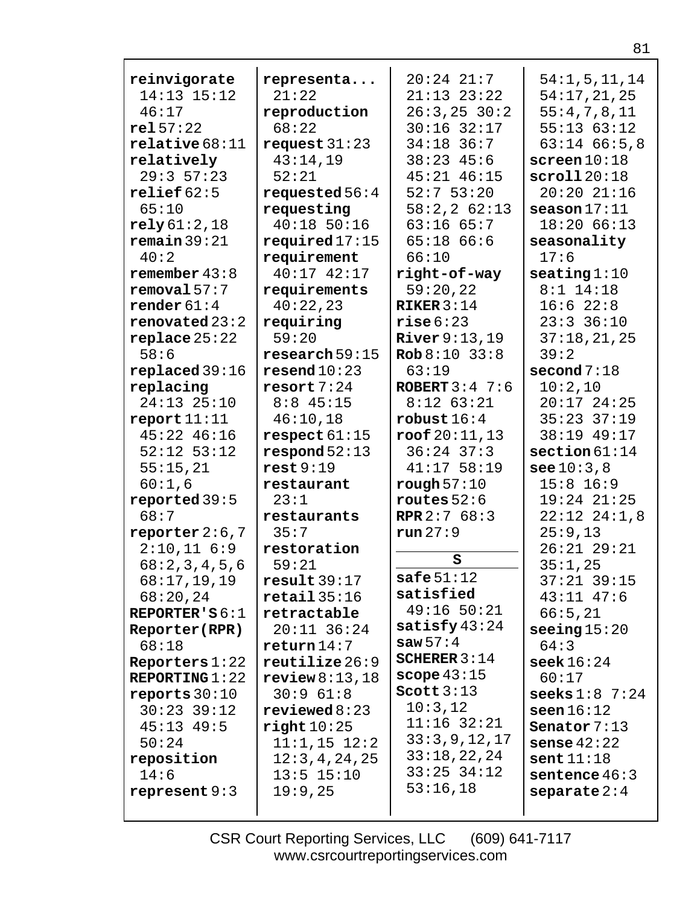| reinvigorate     | representa              | $20:24$ $21:7$                | 54:1, 5, 11, 14         |
|------------------|-------------------------|-------------------------------|-------------------------|
| $14:13$ $15:12$  | 21:22                   | $21:13$ $23:22$               | 54:17,21,25             |
| 46:17            | reproduction            | $26:3, 25$ 30:2               | 55:4,7,8,11             |
| rel57:22         | 68:22                   | $30:16$ 32:17                 | $55:13$ $63:12$         |
| relative68:11    | request $31:23$         | $34:18$ 36:7                  | $63:14$ $66:5,8$        |
| relatively       | 43:14,19                | $38:23$ 45:6                  | screen 10:18            |
| 29:357:23        | 52:21                   | $45:21$ $46:15$               | $\texttt{scroll} 20:18$ |
| relief $62:5$    | requested $56:4$        | $52:7$ 53:20                  | 20:2021:16              |
| 65:10            | requesting              | 58:2, 2 62:13                 | $\texttt{season}17:11$  |
| rely61:2,18      | $40:18$ 50:16           | $63:16$ $65:7$                | 18:2066:13              |
| remain 39:21     | required $17:15$        | $65:18$ $66:6$                | seasonality             |
| 40:2             | requirement             | 66:10                         | 17:6                    |
| remember $43:8$  | 40:17 42:17             | right-of-way                  | $\texttt{seating} 1:10$ |
| removal 57:7     | requirements            | 59:20,22                      | $8:1$ 14:18             |
| render $61:4$    | 40:22,23                | RIKER $3:14$                  | 16:622:8                |
| renovated $23:2$ | requiring               | rise6:23                      | $23:3$ 36:10            |
| replace 25:22    | 59:20                   | River $9:13,19$               | 37:18,21,25             |
| 58:6             | research 59:15          | $\text{Rob } 8:10 \quad 33:8$ | 39:2                    |
| replaced 39:16   | resend10:23             | 63:19                         | second $7:18$           |
| replacing        | resort 7:24             | ROBERT $3:4$ 7:6              | 10:2,10                 |
| 24:13 25:10      | $8:8$ 45:15             | $8:12$ $63:21$                | $20:17$ 24:25           |
| report 11:11     | 46:10,18                | robust $16:4$                 | $35:23$ $37:19$         |
| 45:22 46:16      | respect 61:15           | $\texttt{root} 20:11,13$      | 38:19 49:17             |
| $52:12$ $53:12$  | respond 52:13           | $36:24$ 37:3                  | section 61:14           |
| 55:15,21         | rest 9:19               | $41:17$ 58:19                 | $\text{see } 10:3.8$    |
| 60:1,6           | restaurant              | rough $57:10$                 | $15:8$ 16:9             |
| reported 39:5    | 23:1                    | routes $52:6$                 | $19:24$ $21:25$         |
| 68:7             | restaurants             | <b>RPR</b> $2:768:3$          | $22:12$ $24:1,8$        |
| reporter $2:6,7$ | 35:7                    | $run\,27:9$                   | 25:9,13                 |
| 2:10,116:9       | restoration             |                               | $26:21$ $29:21$         |
| 68:2,3,4,5,6     | 59:21                   | S                             | 35:1,25                 |
| 68:17,19,19      | result39:17             | safe $51:12$                  | $37:21$ 39:15           |
| 68:20,24         | $\texttt{retail}$ 35:16 | satisfied                     | $43:11$ $47:6$          |
| REPORTER'S $6:1$ | retractable             | $49:16$ 50:21                 | 66:5,21                 |
| Reporter(RPR)    | $20:11$ 36:24           | satisfy $43:24$               | seeing $15:20$          |
| 68:18            | return 14:7             | saw $57:4$                    | 64:3                    |
| Reporters $1:22$ | reutilize 26:9          | SCHERER $3:14$                | $\texttt{seek}16:24$    |
| REPORTING $1:22$ | review8:13,18           | scope $43:15$                 | 60:17                   |
| reports $30:10$  | 30:9 61:8               | Scott $3:13$                  | seeks $1:8$ 7:24        |
| $30:23$ $39:12$  | $revi$ ewed $8:23$      | 10:3,12                       | seen16:12               |
| $45:13$ $49:5$   | right 10:25             | $11:16$ 32:21                 | Senator $7:13$          |
| 50:24            | $11:1,15$ $12:2$        | 33:3,9,12,17                  | sense $42:22$           |
| reposition       | 12:3,4,24,25            | 33:18,22,24                   | sent11:18               |
| 14:6             | $13:5$ $15:10$          | $33:25$ $34:12$               | sentence $46:3$         |
| represent $9:3$  | 19:9,25                 | 53:16,18                      | separate $2:4$          |
|                  |                         |                               |                         |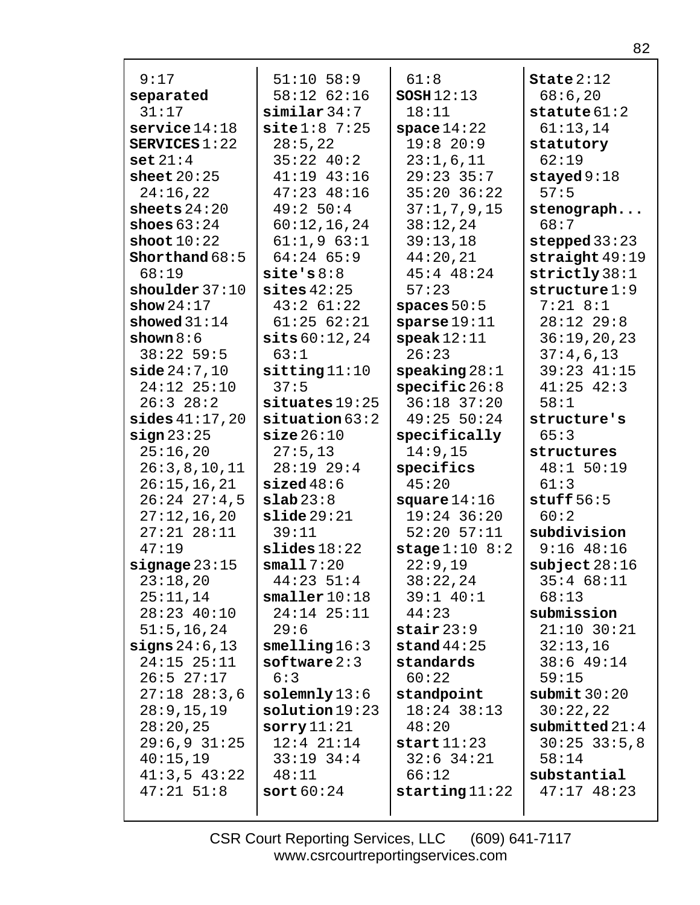| 9:17                        | $51:10$ 58:9            | 61:8                                     | State $2:12$                |
|-----------------------------|-------------------------|------------------------------------------|-----------------------------|
| separated                   | 58:12 62:16             | SOSH12:13                                | 68:6,20                     |
| 31:17                       | $\sinilar$ 34:7         | 18:11                                    | statute $61:2$              |
| $s$ ervice $14:18$          | site 1:87:25            | space $14:22$                            | 61:13,14                    |
| SERVICES $1:22$             | 28:5, 22                | 19:820:9                                 | statutory                   |
| set 21:4                    | $35:22$ 40:2            | 23:1,6,11                                | 62:19                       |
| sheet $20:25$               | $41:19$ $43:16$         | $29:23$ 35:7                             | stayed $9:18$               |
| 24:16,22                    | $47:23$ $48:16$         | $35:20$ $36:22$                          | 57:5                        |
| sheets $24:20$              | 49:250:4                | 37:1, 7, 9, 15                           | stenograph                  |
| shoes $63:24$               | 60:12,16,24             | 38:12,24                                 | 68:7                        |
| shoot $10:22$               | 61:1,963:1              | 39:13,18                                 | stepped $33:23$             |
| Shorthand $68:5$            | $64:24$ 65:9            | 44:20,21                                 | straight $49:19$            |
| 68:19                       | $\texttt{site's } 8:8$  | $45:4$ $48:24$                           | strictly 38:1               |
| shoulder $37:10$            | sites $42:25$           | 57:23                                    | structure 1:9               |
| show $24:17$                | $43:2$ 61:22            | spaces $50:5$                            | $7:21$ 8:1                  |
| showed $31:14$              | 61:2562:21              | sparse19:11                              | $28:12$ $29:8$              |
| shown $8:6$                 | sits 60:12,24           | $\texttt{speak}12:11$                    | 36:19,20,23                 |
| $38:22$ 59:5                | 63:1                    | 26:23                                    | 37:4,6,13                   |
| side 24:7,10                | sitting 11:10           | $\texttt{speaking} 28:1$                 | 39:23 41:15                 |
| 24:12 25:10                 | 37:5                    | $specific\,26:8$                         | $41:25$ $42:3$              |
| 26:328:2                    | $situates$ 19:25        | $36:18$ 37:20                            | 58:1                        |
| $\texttt{sides} 41:17,20$   | $s$ ituation $63:2$     | 49:25 50:24                              | structure's                 |
| sign 23:25                  | size 26:10              | specifically                             | 65:3                        |
| 25:16,20                    | 27:5,13                 | 14:9,15                                  | structures                  |
| 26:3,8,10,11                | $28:19$ $29:4$          | specifics                                | 48:1 50:19                  |
| 26:15,16,21                 | sized48:6               | 45:20                                    | 61:3                        |
| $26:24$ $27:4,5$            | slab23:8                | square $14:16$                           | stuff $56:5$                |
| 27:12,16,20                 | slide29:21              | $19:24$ 36:20                            | 60:2                        |
| $27:21$ $28:11$             | 39:11                   | $52:20$ $57:11$                          | subdivision                 |
| 47:19                       | slides18:22             | stage $1:10$ 8:2                         | $9:16$ 48:16                |
| $signage\,23:15$            | small 7:20              | 22:9,19                                  | $\texttt{subject} 28:16$    |
| 23:18,20                    | $44:23$ 51:4            | 38:22,24                                 | 35:468:11                   |
| 25:11,14                    | smaller10:18            | 39:1 40:1                                | 68:13                       |
| 28:23 40:10<br>51:5, 16, 24 | $24:14$ $25:11$<br>29:6 | 44:23                                    | submission<br>$21:10$ 30:21 |
| signs $24:6,13$             | smelling 16:3           | $\texttt{stair}$ $23:9$<br>stand $44:25$ | 32:13,16                    |
| $24:15$ $25:11$             | softmax2:3              | standards                                | $38:6$ 49:14                |
| $26:5$ $27:17$              | 6:3                     | 60:22                                    | 59:15                       |
| $27:18$ $28:3,6$            | $\texttt{solemnly}13:6$ | standpoint                               | submit $30:20$              |
| 28:9, 15, 19                | solution19:23           | 18:24 38:13                              | 30:22,22                    |
| 28:20,25                    | $s$ orry $11:21$        | 48:20                                    | submitted $21:4$            |
| $29:6,9$ 31:25              | $12:4$ $21:14$          | start11:23                               | $30:25$ 33:5,8              |
| 40:15,19                    | $33:19$ $34:4$          | $32:6$ $34:21$                           | 58:14                       |
| $41:3,5$ $43:22$            | 48:11                   | 66:12                                    | substantial                 |
| $47:21$ 51:8                | sort $60:24$            | starting $11:22$                         | $47:17$ $48:23$             |
|                             |                         |                                          |                             |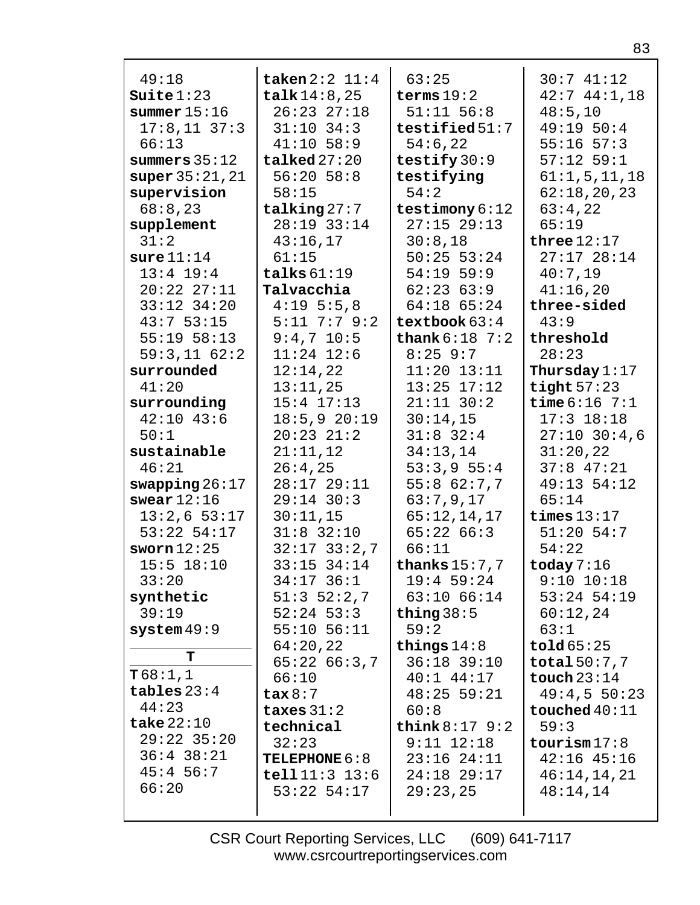| 49:18                                       | taken $2:2$ $11:4$   | 63:25                         | 30:741:12                    |
|---------------------------------------------|----------------------|-------------------------------|------------------------------|
| Suite1:23                                   | talk14:8,25          | terms $19:2$                  | $42:7$ $44:1,18$             |
| summer $15:16$                              | $26:23$ $27:18$      | $51:11$ $56:8$                | 48:5,10                      |
| $17:8,11$ 37:3                              | $31:10$ 34:3         | testified $51:7$              | 49:19 50:4                   |
| 66:13                                       | $41:10$ 58:9         | 54:6,22                       | $55:16$ $57:3$               |
| summers $35:12$                             | $talked$ $27:20$     | testify $30:9$                | $57:12$ 59:1                 |
| super $35:21,21$                            | $56:20$ $58:8$       | testifying                    | 61:1,5,11,18                 |
| supervision<br>58:15                        |                      | 54:2                          | 62:18,20,23                  |
| 68:8,23                                     | talking $27:7$       | testimony $6:12$              | 63:4,22                      |
| supplement                                  | 28:19 33:14          | $27:15$ 29:13                 | 65:19                        |
| 31:2                                        | 43:16,17             | 30:8,18                       | three $12:17$                |
| sure 11:14<br>61:15                         |                      | $50:25$ 53:24                 | $27:17$ $28:14$              |
| $13:4$ 19:4                                 | talks $61:19$        | $54:19$ 59:9                  | 40:7,19                      |
| $20:22$ $27:11$                             | Talvacchia           | 62:2363:9                     | 41:16,20                     |
| $33:12$ $34:20$                             | 4:195:5.8            | $64:18$ $65:24$               | three-sided                  |
| 43:753:15                                   | $5:11$ 7:7 9:2       | textbook $63:4$               | 43:9                         |
| $55:19$ $58:13$                             | $9:4,7$ 10:5         | thank $6:18$ 7:2              | threshold                    |
| 59:3,1162:2                                 | $11:24$ $12:6$       | $8:25$ 9:7                    | 28:23                        |
| surrounded                                  | 12:14,22             | $11:20$ $13:11$               | Thursday $1:17$              |
| 41:20                                       | 13:11,25             | $13:25$ $17:12$               | tight $57:23$                |
| surrounding                                 | $15:4$ $17:13$       | $21:11$ $30:2$                | <b>time</b> $6:16$ 7:1       |
| $42:10$ $43:6$                              | 18:5,920:19          | 30:14,15                      | $17:3$ $18:18$               |
| 50:1                                        | $20:23$ $21:2$       | $31:8$ 32:4                   | $27:10$ 30:4,6               |
| sustainable                                 | 21:11,12             | 34:13,14                      | 31:20,22                     |
| 46:21                                       | 26:4,25              | 53:3,955:4                    | $37:8$ 47:21                 |
| swapping $26:17$                            | 28:17 29:11          | 55:862:7,7                    | 49:13 54:12                  |
| swear $12:16$                               | $29:14$ 30:3         | 63:7,9,17                     | 65:14                        |
| $13:2,6$ 53:17                              | 30:11,15             | 65:12,14,17                   | times $13:17$                |
| $53:22$ $54:17$                             | $31:8$ 32:10         | 65:2266:3                     | $51:20$ 54:7                 |
| sworn $12:25$                               | $32:17$ $33:2,7$     | 66:11                         | 54:22                        |
| $15:5$ $18:10$                              | 33:15 34:14          | thanks $15:7,7$               | today $7:16$                 |
| 33:20                                       | $34:17$ 36:1         | $19:4$ 59:24                  | $9:10$ $10:18$               |
| synthetic                                   | $51:3$ $52:2,7$      | $63:10$ $66:14$               | $53:24$ 54:19                |
| 39:19                                       | $52:24$ 53:3         | thing $38:5$                  | 60:12,24                     |
| $system$ 49:9                               | $55:10$ $56:11$      | 59:2                          | 63:1                         |
| T                                           | 64:20,22             | things $14:8$                 | $\texttt{told65:25}$         |
| T68:1,1                                     | 65:2266:3,7          | 36:18 39:10<br>$40:1$ $44:17$ | total 50:7,7                 |
| 66:10<br>tables $23:4$<br>$\texttt{tax}8:7$ |                      | $48:25$ 59:21                 | touch $23:14$<br>49:4,550:23 |
| 44:23                                       | taxes $31:2$         | 60:8                          | touched $40:11$              |
| take $22:10$                                | technical            | think $8:17$ $9:2$            | 59:3                         |
| $29:22$ 35:20<br>32:23                      |                      | $9:11$ $12:18$                | $\texttt{tourism17:8}$       |
| $36:4$ $38:21$                              | <b>TELEPHONE 6:8</b> | $23:16$ $24:11$               | $42:16$ $45:16$              |
| $45:4$ 56:7                                 | tel111:3 13:6        | 24:18 29:17                   | 46:14,14,21                  |
| 66:20                                       | $53:22$ $54:17$      | 29:23,25                      | 48:14,14                     |
|                                             |                      |                               |                              |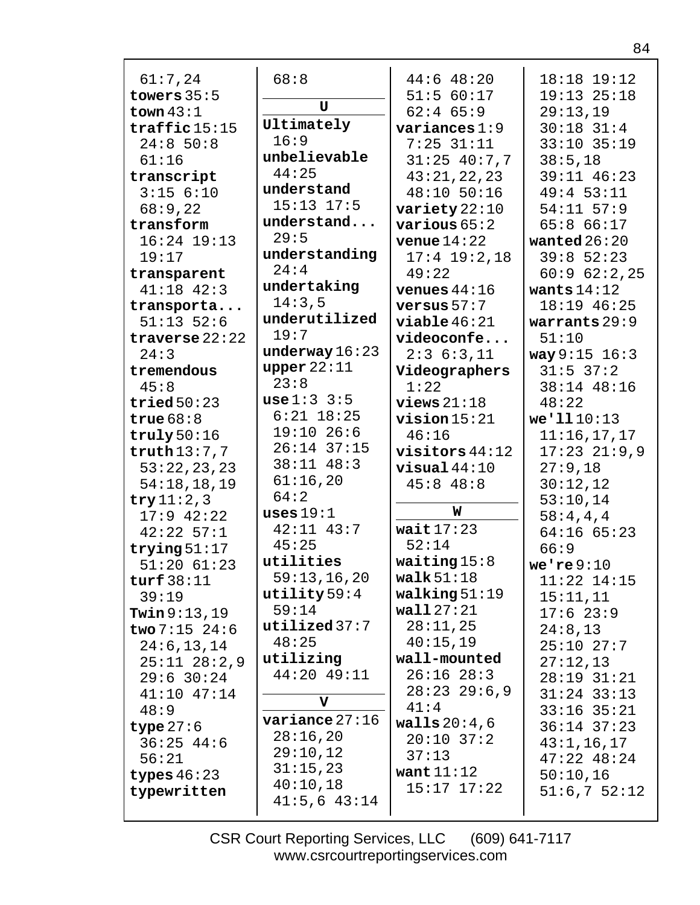| 61:7,24                 | 68:8             | $44:6$ $48:20$   | 18:18 19:12      |
|-------------------------|------------------|------------------|------------------|
| towers $35:5$           | $\mathbf{U}$     | 51:5 60:17       | $19:13$ $25:18$  |
| town $43:1$             |                  | $62:4$ $65:9$    | 29:13,19         |
| $\texttt{traffic}15:15$ | Ultimately       | variances $1:9$  | $30:18$ $31:4$   |
| 24:850:8                | 16:9             | $7:25$ 31:11     | 33:10 35:19      |
| 61:16                   | unbelievable     | $31:25$ 40:7,7   | 38:5,18          |
| transcript              | 44:25            | 43:21,22,23      | 39:11 46:23      |
| $3:15$ $6:10$           | understand       | 48:10 50:16      | 49:453:11        |
| 68:9,22                 | $15:13$ $17:5$   | variety $22:10$  | $54:11$ $57:9$   |
| transform               | understand       | various $65:2$   | 65:866:17        |
| $16:24$ $19:13$         | 29:5             | venue $14:22$    | wanted $26:20$   |
| 19:17                   | understanding    | $17:4$ 19:2,18   | $39:8$ 52:23     |
| transparent             | 24:4             | 49:22            | 60:962:2,25      |
| $41:18$ $42:3$          | undertaking      | venues $44:16$   | wants $14:12$    |
| transporta              | 14:3,5           | versus $57:7$    | 18:19 46:25      |
| $51:13$ $52:6$          | underutilized    | viable 46:21     | warrants $29:9$  |
| traverse $22:22$        | 19:7             | videoconfe       | 51:10            |
| 24:3                    | underway 16:23   | 2:36:3,11        | way 9:15 16:3    |
| tremendous              | upper $22:11$    | Videographers    | $31:5$ 37:2      |
| 45:8                    | 23:8             | 1:22             | 38:14 48:16      |
| tried $50:23$           | use 1:3 3:5      | views $21:18$    | 48:22            |
| true $68:8$             | $6:21$ 18:25     | $vision 15:21$   | we'1110:13       |
| truly 50:16             | $19:10$ 26:6     | 46:16            | 11:16,17,17      |
| truth13:7,7             | $26:14$ 37:15    | $visitors 44:12$ | $17:23$ $21:9,9$ |
| 53:22,23,23             | $38:11$ $48:3$   | $visual 44:10$   | 27:9,18          |
| 54:18,18,19             | 61:16,20         | $45:8$ $48:8$    | 30:12,12         |
| try $11:2,3$            | 64:2             |                  | 53:10,14         |
| $17:9$ 42:22            | uses $19:1$      | W                | 58:4,4,4         |
| $42:22$ 57:1            | $42:11$ $43:7$   | wait $17:23$     | $64:16$ $65:23$  |
| trying $51:17$          | 45:25            | 52:14            | 66:9             |
| $51:20$ $61:23$         | utilities        | waiting $15:8$   | we're $9:10$     |
| turf $38:11$            | 59:13,16,20      | walk $51:18$     | $11:22$ $14:15$  |
| 39:19                   | utility59:4      | walking $51:19$  | 15:11,11         |
| <b>Twin</b> $9:13,19$   | 59:14            | wall27:21        | $17:6$ 23:9      |
| two $7:15$ 24:6         | $utilized$ 37:7  | 28:11,25         | 24:8,13          |
| 24:6, 13, 14            | 48:25            | 40:15,19         | $25:10$ $27:7$   |
| $25:11$ $28:2,9$        | utilizing        | wall-mounted     | 27:12,13         |
| $29:6$ 30:24            | 44:20 49:11      | $26:16$ $28:3$   | 28:19 31:21      |
| $41:10$ $47:14$         | v                | $28:23$ 29:6,9   | $31:24$ $33:13$  |
| 48:9                    |                  | 41:4             | $33:16$ $35:21$  |
| type $27:6$             | $variance$ 27:16 | walls 20:4,6     | $36:14$ $37:23$  |
| $36:25$ 44:6            | 28:16,20         | $20:10$ 37:2     | 43:1, 16, 17     |
| 56:21                   | 29:10,12         | 37:13            | $47:22$ $48:24$  |
| types $46:23$           | 31:15,23         | want $11:12$     | 50:10,16         |
| typewritten             | 40:10,18         | $15:17$ $17:22$  | 51:6,752:12      |
|                         | $41:5,6$ $43:14$ |                  |                  |